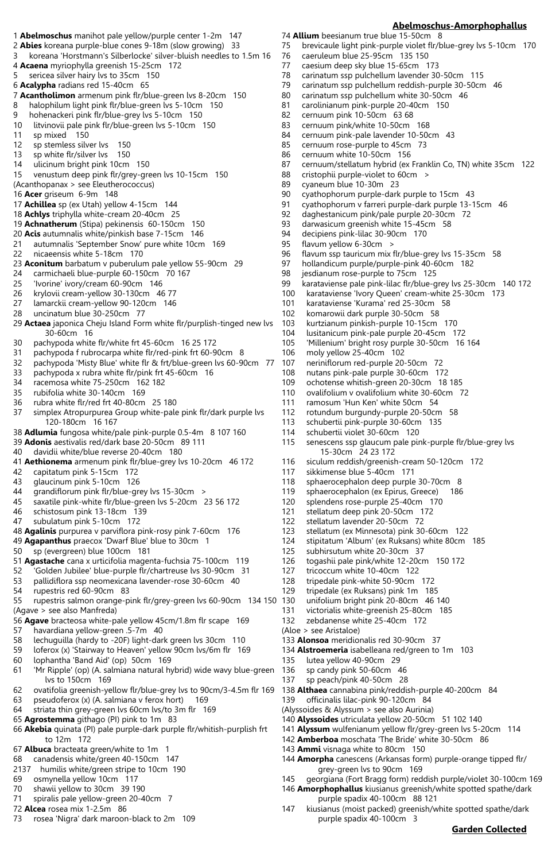## **Abelmoschus-Amorphophallus**

- 1 **Abelmoschus** manihot pale yellow/purple center 1-2m 147 74 **Allium** beesianum true blue 15-50cm 8
	- 75 brevicaule light pink-purple violet flr/blue-grey lvs 5-10cm 170
		- 76 caeruleum blue 25-95cm 135 150
		- caesium deep sky blue 15-65cm 173
		- 78 carinatum ssp pulchellum lavender 30-50cm 115
		- 79 carinatum ssp pulchellum reddish-purple 30-50cm 46
			- carinatum ssp pulchellum white 30-50cm 46
		- 81 carolinianum pink-purple 20-40cm 150<br>82 cernuum pink 10-50cm 63 68
		- 82 cernuum pink 10-50cm 63 68
		- 83 cernuum pink/white 10-50cm 168
		- 84 cernuum pink-pale lavender 10-50cm 43<br>85 cernuum rose-purple to 45cm 73
		- cernuum rose-purple to 45cm 73
		- 86 cernuum white 10-50cm 156<br>87 cernuum/stellatum hybrid (ex
		- 87 cernuum/stellatum hybrid (ex Franklin Co, TN) white 35cm 122<br>88 cristophii purple-violet to 60cm >
		- 88 cristophii purple-violet to 60cm ><br>89 cvaneum blue 10-30m 23
		- cyaneum blue 10-30m 23
		- 90 cyathophorum purple-dark purple to 15cm 43<br>91 cyathophorum y farreri purple-dark purple 13-1
		- 91 cyathophorum v farreri purple-dark purple 13-15cm 46
		- 92 daghestanicum pink/pale purple 20-30cm 72
		- 93 darwasicum greenish white 15-45cm 58<br>94 deciniens nink-lilac 30-90cm 170 decipiens pink-lilac 30-90cm 170
		-
		- 95 flavum yellow 6-30cm ><br>96 flavum ssp tauricum mix f
		- 96 flavum ssp tauricum mix flr/blue-grey lvs 15-35cm 58<br>97 hollandicum purple/purple-pink 40-60cm 182 hollandicum purple/purple-pink 40-60cm 182
		- 98 jesdianum rose-purple to 75cm 125<br>99 karataviense pale pink-lilac flr/blue-o
		- 99 karataviense pale pink-lilac flr/blue-grey lvs 25-30cm 140 172
		- karataviense 'Ivory Queen' cream-white 25-30cm 173
		- 101 karataviense 'Kurama' red 25-30cm 58
		- komarowii dark purple 30-50cm 58
		- 103 kurtzianum pinkish-purple 10-15cm 170
		- 104 lusitanicum pink-pale purple 20-45cm 172
		- 105 'Millenium' bright rosy purple 30-50cm 16 164
		- 106 moly yellow 25-40cm 102
		- 107 neriniflorum red-purple 20-50cm 72
		- 108 nutans pink-pale purple 30-60cm 172
		- 109 ochotense whitish-green 20-30cm 18 185
		- 110 ovalifolium v ovalifolium white 30-60cm 72
		- 111 ramosum 'Hun Ken' white 50cm 54
		- 112 rotundum burgundy-purple 20-50cm 58
		- 113 schubertii pink-purple 30-60cm 135
		- 114 schubertii violet 30-60cm 120
		- 115 senescens ssp glaucum pale pink-purple flr/blue-grey lvs 15-30cm 24 23 172
		- 116 siculum reddish/greenish-cream 50-120cm 172
		- 117 sikkimense blue 5-40cm 171
		- 118 sphaerocephalon deep purple 30-70cm 8
		- 119 sphaerocephalon (ex Epirus, Greece) 186
		- 120 splendens rose-purple 25-40cm 170
		- 121 stellatum deep pink 20-50cm 172
		- 122 stellatum lavender 20-50cm 72
		- 123 stellatum (ex Minnesota) pink 30-60cm 122
		- 124 stipitatum 'Album' (ex Ruksans) white 80cm 185
		- 125 subhirsutum white 20-30cm 37
		- 126 togashii pale pink/white 12-20cm 150 172
		- 127 tricoccum white 10-40cm 122
		- 128 tripedale pink-white 50-90cm 172
		- 129 tripedale (ex Ruksans) pink 1m 185
		- unifolium bright pink 20-80cm 46 140
		- 131 victorialis white-greenish 25-80cm 185
		- 132 zebdanense white 25-40cm 172
		- (Aloe > see Aristaloe)
		- 133 **Alonsoa** meridionalis red 30-90cm 37
		- 134 **Alstroemeria** isabelleana red/green to 1m 103
		- 135 lutea yellow 40-90cm 29
		- 136 sp candy pink 50-60cm 46
		- 137 sp peach/pink 40-50cm 28
		- 138 **Althaea** cannabina pink/reddish-purple 40-200cm 84
		- 139 officinalis lilac-pink 90-120cm 84 (Alyssoides & Alyssum > see also Aurinia)
		- 140 **Alyssoides** utriculata yellow 20-50cm 51 102 140
		- 141 **Alyssum** wulfenianum yellow flr/grey-green lvs 5-20cm 114
		- 142 **Amberboa** moschata 'The Bride' white 30-50cm 86
		- 143 **Ammi** visnaga white to 80cm 150
		- 144 **Amorpha** canescens (Arkansas form) purple-orange tipped flr/ grey-green lvs to 90cm 169
		- 145 georgiana (Fort Bragg form) reddish purple/violet 30-100cm 169
		- 146 **Amorphophallus** kiusianus greenish/white spotted spathe/dark purple spadix 40-100cm 88 121
		- 147 kiusianus (moist packed) greenish/white spotted spathe/dark purple spadix 40-100cm 3

# **Garden Collected**

5 sericea silver hairy lvs to 35cm 150 6 **Acalypha** radians red 15-40cm 65 7 **Acantholimon** armenum pink flr/blue-green lvs 8-20cm 150 8 halophilum light pink flr/blue-green lvs 5-10cm 150 9 hohenackeri pink flr/blue-grey lvs 5-10cm 150 10 litvinovii pale pink flr/blue-green lvs 5-10cm 150 11 sp mixed 150 12 sp stemless silver lvs 150 13 sp white flr/silver lvs 150 14 ulicinum bright pink 10cm 150 15 venustum deep pink flr/grey-green lvs 10-15cm 150 (Acanthopanax > see Eleutherococcus) 16 **Acer** griseum 6-9m 148 17 **Achillea** sp (ex Utah) yellow 4-15cm 144 18 **Achlys** triphylla white-cream 20-40cm 25 19 **Achnatherum** (Stipa) pekinensis 60-150cm 150 20 **Acis** autumnalis white/pinkish base 7-15cm 146 21 autumnalis 'September Snow' pure white 10cm 169 22 nicaeensis white 5-18cm 170 23 **Aconitum** barbatum v puberulum pale yellow 55-90cm 29 24 carmichaeli blue-purple 60-150cm 70 167<br>25 'Ivorine' ivory/cream 60-90cm 146 'Ivorine' ivory/cream 60-90cm 146 26 krylovii cream-yellow 30-130cm 46 77 27 lamarckii cream-yellow 90-120cm 146<br>28 Luncinatum blue 30-250cm 77 uncinatum blue  $30-250$ cm 77 29 **Actaea** japonica Cheju Island Form white flr/purplish-tinged new lvs 30-60cm 16 30 pachypoda white flr/white frt 45-60cm 16 25 172 31 pachypoda f rubrocarpa white flr/red-pink frt 60-90cm 8 32 pachypoda 'Misty Blue' white flr & frt/blue-green lvs 60-90cm 77 33 pachypoda x rubra white flr/pink frt 45-60cm 16 34 racemosa white 75-250cm 162 182 35 rubifolia white 30-140cm 169 36 rubra white flr/red frt 40-80cm 25 180 37 simplex Atropurpurea Group white-pale pink flr/dark purple lvs 120-180cm 16 167 38 **Adlumia** fungosa white/pale pink-purple 0.5-4m 8 107 160 39 **Adonis** aestivalis red/dark base 20-50cm 89 111 40 davidii white/blue reverse 20-40cm 180 41 **Aethionema** armenum pink flr/blue-grey lvs 10-20cm 46 172 42 capitatum pink 5-15cm 172 43 glaucinum pink 5-10cm 126 44 grandiflorum pink flr/blue-grey lvs 15-30cm > 45 saxatile pink-white flr/blue-green lvs 5-20cm 23 56 172 46 schistosum pink 13-18cm 139 47 subulatum pink 5-10cm 172 48 **Agalinis** purpurea v parviflora pink-rosy pink 7-60cm 176 49 **Agapanthus** praecox 'Dwarf Blue' blue to 30cm 1 50 sp (evergreen) blue 100cm 181 51 **Agastache** cana x urticifolia magenta-fuchsia 75-100cm 119 52 'Golden Jubilee' blue-purple flr/chartreuse lvs 30-90cm 31 53 pallidiflora ssp neomexicana lavender-rose 30-60cm 40 54 rupestris red 60-90cm 83 55 rupestris salmon orange-pink flr/grey-green lvs 60-90cm 134 150 (Agave > see also Manfreda) 56 **Agave** bracteosa white-pale yellow 45cm/1.8m flr scape 169 57 havardiana yellow-green .5-7m 40 58 lechuguilla (hardy to -20F) light-dark green lvs 30cm 110

2 **Abies** koreana purple-blue cones 9-18m (slow growing) 33

4 **Acaena** myriophylla greenish 15-25cm 172

3 koreana 'Horstmann's Silberlocke' silver-bluish needles to 1.5m 16

- 59 loferox (x) 'Stairway to Heaven' yellow 90cm lvs/6m flr 169
- 60 lophantha 'Band Aid' (op) 50cm 169
- 61 'Mr Ripple' (op) (A. salmiana natural hybrid) wide wavy blue-green lvs to 150cm 169
- 62 ovatifolia greenish-yellow flr/blue-grey lvs to 90cm/3-4.5m flr 169
- 63 pseudoferox (x) (A. salmiana v ferox hort) 169
- 65 **Agrostemma** githago (PI) pink to 1m 83
- to 12m 172
- 67 **Albuca** bracteata green/white to 1m 1
- 68 canadensis white/green 40-150cm 147
- 2137 humilis white/green stripe to 10cm 190
- 69 osmynella yellow 10cm 117
- 70 shawii yellow to 30cm 39 190
- 71 spiralis pale yellow-green 20-40cm 7
- 72 **Alcea** rosea mix 1-2.5m 86
- 73 rosea 'Nigra' dark maroon-black to 2m 109
- 
- 

- 
- 
- 64 striata thin grey-green lvs 60cm lvs/to 3m flr 169
- 66 **Akebia** quinata (PI) pale purple-dark purple flr/whitish-purplish frt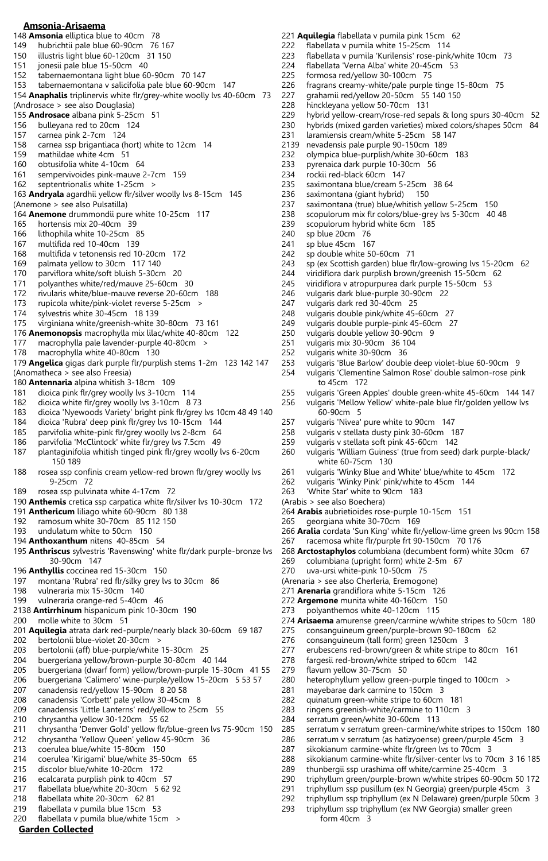#### **Amsonia-Arisaema**

- 148 **Amsonia** elliptica blue to 40cm 78
- 149 hubrichtii pale blue 60-90cm 76 167
- 150 illustris light blue 60-120cm 31 150<br>151 ionesii pale blue 15-50cm 40 jonesii pale blue 15-50cm 40
- 152 tabernaemontana light blue 60-90cm 70 147
- 153 tabernaemontana v salicifolia pale blue 60-90cm 147
- 154 **Anaphalis** triplinervis white flr/grey-white woolly lvs 40-60cm 73 (Androsace > see also Douglasia) 155 **Androsace** albana pink 5-25cm 51
- 156 bulleyana red to 20cm 124
- 157 carnea pink 2-7cm 124
- 158 carnea ssp brigantiaca (hort) white to 12cm 14
- 159 mathildae white 4cm 51
- 160 obtusifolia white 4-10cm 64<br>161 sempervivoides pink-mauve
- sempervivoides pink-mauve 2-7cm 159
- 162 septentrionalis white 1-25cm >
- 163 **Andryala** agardhii yellow flr/silver woolly lvs 8-15cm 145 (Anemone > see also Pulsatilla)
- 164 **Anemone** drummondii pure white 10-25cm 117
- 165 hortensis mix 20-40cm 39
- 166 lithophila white 10-25cm 85
- 167 multifida red 10-40cm 139
- 168 multifida v tetonensis red 10-20cm 172
- 169 palmata yellow to 30cm 117 140
- 
- 170 parviflora white/soft bluish 5-30cm 20<br>171 polyanthes white/red/mauve 25-60cm polyanthes white/red/mauve 25-60cm 30
- 172 rivularis white/blue-mauve reverse 20-60cm 188
- 173 rupicola white/pink-violet reverse 5-25cm ><br>174 sylvestris white 30-45cm 18 139
- sylvestris white 30-45cm 18 139
- 175 virginiana white/greenish-white 30-80cm 73 161
- 176 **Anemonopsis** macrophylla mix lilac/white 40-80cm 122
- 177 macrophylla pale lavender-purple 40-80cm >
- 178 macrophylla white 40-80cm 130
- 179 **Angelica** gigas dark purple flr/purplish stems 1-2m 123 142 147 (Anomatheca > see also Freesia)
- 180 **Antennaria** alpina whitish 3-18cm 109
- 181 dioica pink flr/grey woolly lvs 3-10cm 114
- 182 dioica white flr/grey woolly lvs 3-10cm 8 73
- 183 dioica 'Nyewoods Variety' bright pink flr/grey lvs 10cm 48 49 140
- 184 dioica 'Rubra' deep pink flr/grey lvs 10-15cm 144
- 185 parvifolia white-pink flr/grey woolly lvs 2-8cm 64
- 186 parvifolia 'McClintock' white flr/grey lvs 7.5cm 49
- 187 plantaginifolia whitish tinged pink flr/grey woolly lvs 6-20cm 150 189
- 188 rosea ssp confinis cream yellow-red brown flr/grey woolly lvs 9-25cm 72
- 189 rosea ssp pulvinata white 4-17cm 72
- 190 **Anthemis** cretica ssp carpatica white flr/silver lvs 10-30cm 172
- 191 **Anthericum** liliago white 60-90cm 80 138
- 192 ramosum white 30-70cm 85 112 150
- 193 undulatum white to 50cm 150
- 194 **Anthoxanthum** nitens 40-85cm 54
- 195 **Anthriscus** sylvestris 'Ravenswing' white flr/dark purple-bronze lvs 30-90cm 147
- 196 **Anthyllis** coccinea red 15-30cm 150
- 197 montana 'Rubra' red flr/silky grey lvs to 30cm 86
- 198 vulneraria mix 15-30cm 140
- 199 vulneraria orange-red 5-40cm 46
- 2138 **Antirrhinum** hispanicum pink 10-30cm 190
- 200 molle white to 30cm 51
- 201 **Aquilegia** atrata dark red-purple/nearly black 30-60cm 69 187 202 bertolonii blue-violet 20-30cm >
- 203 bertolonii (aff) blue-purple/white 15-30cm 25
- 204 buergeriana yellow/brown-purple 30-80cm 40 144
- 205 buergeriana (dwarf form) yellow/brown-purple 15-30cm 41 55
- 206 buergeriana 'Calimero' wine-purple/yellow 15-20cm 5 53 57
- 207 canadensis red/yellow 15-90cm 8 20 58
- 208 canadensis 'Corbett' pale yellow 30-45cm 8
- 209 canadensis 'Little Lanterns' red/yellow to 25cm 55
- 210 chrysantha yellow 30-120cm 55 62
- 211 chrysantha 'Denver Gold' yellow flr/blue-green lvs 75-90cm 150 212 chrysantha 'Yellow Queen' yellow 45-90cm 36
- 213 coerulea blue/white 15-80cm 150
- 214 coerulea 'Kirigami' blue/white 35-50cm 65
- 215 discolor blue/white 10-20cm 172
- 216 ecalcarata purplish pink to 40cm 57
- 217 flabellata blue/white 20-30cm 5 62 92
- 218 flabellata white 20-30cm 62 81
- 219 flabellata v pumila blue 15cm 53
- 220 flabellata v pumila blue/white 15cm >
- **Garden Collected**
- 221 **Aquilegia** flabellata v pumila pink 15cm 62 222 flabellata v pumila white 15-25cm 114 223 flabellata v pumila 'Kurilensis' rose-pink/white 10cm 73<br>224 flabellata 'Verna Alba' white 20-45cm 53 224 flabellata 'Verna Alba' white 20-45cm 53 225 formosa red/yellow 30-100cm 75 226 fragrans creamy-white/pale purple tinge 15-80cm 75<br>227 arahamii red/vellow 20-50cm 55 140 150 grahamii red/yellow 20-50cm 55 140 150 228 hinckleyana yellow 50-70cm 131 hybrid yellow-cream/rose-red sepals & long spurs 30-40cm 52 230 hybrids (mixed garden varieties) mixed colors/shapes 50cm 84 231 laramiensis cream/white 5-25cm 58 147<br>2139 nevadensis pale purple 90-150cm 189 nevadensis pale purple 90-150cm 189 232 olympica blue-purplish/white 30-60cm 183 233 pyrenaica dark purple 10-30cm 56<br>234 rockii red-black 60cm 147 234 rockii red-black 60cm 147<br>235 saximontana blue/cream 5saximontana blue/cream 5-25cm 38 64 236 saximontana (giant hybrid) 150<br>237 saximontana (true) blue/whitish v saximontana (true) blue/whitish yellow 5-25cm 150 238 scopulorum mix flr colors/blue-grey lvs 5-30cm 40 48 239 scopulorum hybrid white 6cm 185<br>240 sp blue 20cm 76 sp blue 20cm 76 241 sp blue 45cm 167<br>242 sp double white 50 242 sp double white 50-60cm 71<br>243 sp (ex Scottish garden) blue fli sp (ex Scottish garden) blue flr/low-growing lvs 15-20cm 62 244 viridiflora dark purplish brown/greenish 15-50cm 62 viridiflora v atropurpurea dark purple 15-50cm 53 246 vulgaris dark blue-purple 30-90cm 22 247 vulgaris dark red 30-40cm 25<br>248 vulgaris double pink/white 45vulgaris double pink/white 45-60cm 27 249 vulgaris double purple-pink 45-60cm 27 250 vulgaris double yellow 30-90cm 9 251 vulgaris mix 30-90cm 36 104 252 vulgaris white 30-90cm 36 253 vulgaris 'Blue Barlow' double deep violet-blue 60-90cm 9 254 vulgaris 'Clementine Salmon Rose' double salmon-rose pink to 45cm 172 255 vulgaris 'Green Apples' double green-white 45-60cm 144 147<br>256 vulgaris 'Mellow Yellow' white-pale blue flr/golden yellow lvs vulgaris 'Mellow Yellow' white-pale blue flr/golden yellow lvs 60-90cm 5 257 vulgaris 'Nivea' pure white to 90cm 147 258 vulgaris v stellata dusty pink 30-60cm 187 259 vulgaris v stellata soft pink 45-60cm 142 260 vulgaris 'William Guiness' (true from seed) dark purple-black/ white 60-75cm 130 261 vulgaris 'Winky Blue and White' blue/white to 45cm 172 262 vulgaris 'Winky Pink' pink/white to 45cm 144 263 'White Star' white to 90cm 183 (Arabis > see also Boechera) 264 **Arabis** aubrietioides rose-purple 10-15cm 151 265 georgiana white 30-70cm 169 266 **Aralia** cordata 'Sun King' white flr/yellow-lime green lvs 90cm 158 267 racemosa white flr/purple frt 90-150cm 70 176 268 **Arctostaphylos** columbiana (decumbent form) white 30cm 67 269 columbiana (upright form) white 2-5m 67 270 uva-ursi white-pink 10-50cm 75 (Arenaria > see also Cherleria, Eremogone) 271 **Arenaria** grandiflora white 5-15cm 126 272 **Argemone** munita white 40-160cm 150 273 polyanthemos white 40-120cm 115 274 **Arisaema** amurense green/carmine w/white stripes to 50cm 180 275 consanguineum green/purple-brown 90-180cm 62 276 consanguineum (tall form) green 1250cm 3 277 erubescens red-brown/green & white stripe to 80cm 161 278 fargesii red-brown/white striped to 60cm 142 279 flavum yellow 30-75cm 50 280 heterophyllum yellow green-purple tinged to 100cm > 281 mayebarae dark carmine to 150cm 3 282 quinatum green-white stripe to 60cm 181 283 ringens greenish-white/carmine to 110cm 3 284 serratum green/white 30-60cm 113 285 serratum v serratum green-carmine/white stripes to 150cm 180 286 serratum v serratum (as hatizyoense) green/purple 45cm 3 287 sikokianum carmine-white flr/green lvs to 70cm 3 288 sikokianum carmine-white flr/silver-center lvs to 70cm 3 16 185<br>289 thunbergii ssp urashima off white/carmine 25-40cm 3 thunbergii ssp urashima off white/carmine 25-40cm 3 290 triphyllum green/purple-brown w/white stripes 60-90cm 50 172 291 triphyllum ssp pusillum (ex N Georgia) green/purple 45cm 3
	- 292 triphyllum ssp triphyllum (ex N Delaware) green/purple 50cm 3 293 triphyllum ssp triphyllum (ex NW Georgia) smaller green
		- form 40cm 3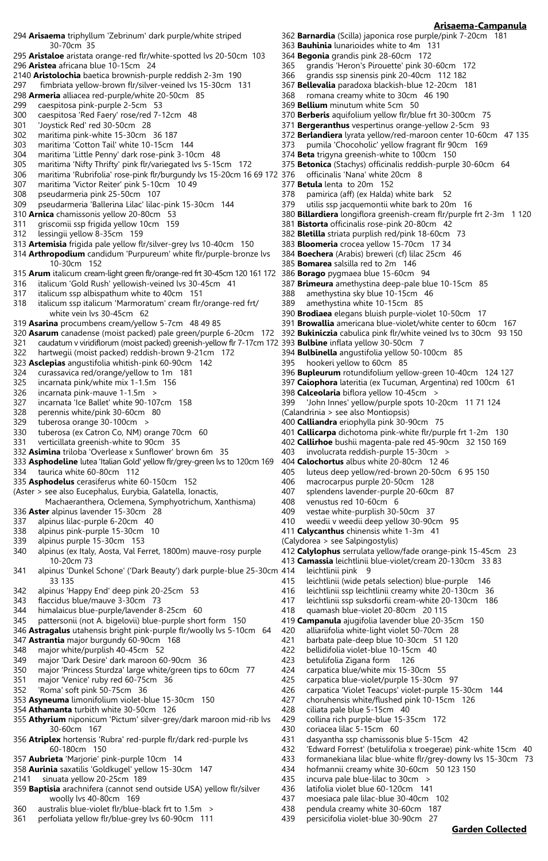**Arisaema-Campanula**

**Garden Collected**

- 294 **Arisaema** triphyllum 'Zebrinum' dark purple/white striped 30-70cm 35
- 295 **Aristaloe** aristata orange-red flr/white-spotted lvs 20-50cm 103 296 **Aristea** africana blue 10-15cm 24
- 
- 2140 **Aristolochia** baetica brownish-purple reddish 2-3m 190
- 297 fimbriata yellow-brown flr/silver-veined lvs 15-30cm 131 298 **Armeria** alliacea red-purple/white 20-50cm 85
- 
- 299 caespitosa pink-purple 2-5cm 53<br>300 caespitosa 'Red Faery' rose/red 7-1 caespitosa 'Red Faery' rose/red 7-12cm 48
- 301 'Joystick Red' red 30-50cm 28
- 
- 302 maritima pink-white 15-30cm 36 187 303 maritima 'Cotton Tail' white 10-15cm 144
- 304 maritima 'Little Penny' dark rose-pink 3-10cm 48
- 305 maritima 'Nifty Thrifty' pink flr/variegated lvs 5-15cm 172
- 306 maritima 'Rubrifolia' rose-pink flr/burgundy lvs 15-20cm 16 69 172
- 307 maritima 'Victor Reiter' pink 5-10cm 10 49
- 308 pseudarmeria pink 25-50cm 107
- 309 pseudarmeria 'Ballerina Lilac' lilac-pink 15-30cm 144
- 310 **Arnica** chamissonis yellow 20-80cm 53
- 311 griscomii ssp frigida yellow 10cm 159
- lessingii yellow 8-35cm 159
- 313 **Artemisia** frigida pale yellow flr/silver-grey lvs 10-40cm 150
- 314 **Arthropodium** candidum 'Purpureum' white flr/purple-bronze lvs 10-30cm 152
- 315 **Arum** italicum cream-light green flr/orange-red frt 30-45cm 120 161 172
- 316 italicum 'Gold Rush' yellowish-veined lvs 30-45cm 41
- 317 italicum ssp albispathum white to 40cm 151
- 318 italicum ssp italicum 'Marmoratum' cream flr/orange-red frt/ white vein lvs 30-45cm 62
- 319 **Asarina** procumbens cream/yellow 5-7cm 48 49 85
- 320 **Asarum** canadense (moist packed) pale green/purple 6-20cm 172
- 321 caudatum v viridiflorum (moist packed) greenish-yellow flr 7-17cm 172
- 322 hartwegii (moist packed) reddish-brown 9-21cm 172
- 323 **Asclepias** angustifolia whitish-pink 60-90cm 142
- 324 curassavica red/orange/yellow to 1m 181
- 325 incarnata pink/white mix 1-1.5m 156
- 326 incarnata pink-mauve 1-1.5m >
- 327 incarnata 'Ice Ballet' white 90-107cm 158
- 328 perennis white/pink 30-60cm 80
- 329 tuberosa orange 30-100cm >
- 330 tuberosa (ex Catron Co, NM) orange 70cm 60
- 331 verticillata greenish-white to 90cm 35
- 332 **Asimina** triloba 'Overlease x Sunflower' brown 6m 35
- 333 **Asphodeline** lutea 'Italian Gold' yellow flr/grey-green lvs to 120cm 169 334 taurica white 60-80cm 112
- 335 **Asphodelus** cerasiferus white 60-150cm 152
- (Aster > see also Eucephalus, Eurybia, Galatella, Ionactis,
- Machaeranthera, Oclemena, Symphyotrichum, Xanthisma) 336 **Aster** alpinus lavender 15-30cm 28
- 337 alpinus lilac-purple 6-20cm 40
- 338 alpinus pink-purple 15-30cm 10
- 339 alpinus purple 15-30cm 153
- 340 alpinus (ex Italy, Aosta, Val Ferret, 1800m) mauve-rosy purple 10-20cm 73
- 341 alpinus 'Dunkel Schone' ('Dark Beauty') dark purple-blue 25-30cm 33 135
- 342 alpinus 'Happy End' deep pink 20-25cm 53
- 343 flaccidus blue/mauve 3-30cm 73
- 344 himalaicus blue-purple/lavender 8-25cm 60
- 345 pattersonii (not A. bigelovii) blue-purple short form 150
- 346 **Astragalus** utahensis bright pink-purple flr/woolly lvs 5-10cm 64
- 347 **Astrantia** major burgundy 60-90cm 168
- 348 major white/purplish 40-45cm 52
- 349 major 'Dark Desire' dark maroon 60-90cm 36
- 350 major 'Princess Sturdza' large white/green tips to 60cm 77
- 351 major 'Venice' ruby red 60-75cm 36
- 352 'Roma' soft pink 50-75cm 36
- 353 **Asyneuma** limonifolium violet-blue 15-30cm 150
- 354 **Athamanta** turbith white 30-50cm 126
- 355 **Athyrium** niponicum 'Pictum' silver-grey/dark maroon mid-rib lvs 30-60cm 167
- 356 **Atriplex** hortensis 'Rubra' red-purple flr/dark red-purple lvs 60-180cm 150
- 357 **Aubrieta** 'Marjorie' pink-purple 10cm 14
- 358 **Aurinia** saxatilis 'Goldkugel' yellow 15-30cm 147
- 2141 sinuata yellow 20-25cm 189
- 359 **Baptisia** arachnifera (cannot send outside USA) yellow flr/silver woolly lvs 40-80cm 169
- 360 australis blue-violet flr/blue-black frt to 1.5m >
- 361 perfoliata yellow flr/blue-grey lvs 60-90cm 111
- 362 **Barnardia** (Scilla) japonica rose purple/pink 7-20cm 181
- 363 **Bauhinia** lunarioides white to 4m 131
- 364 **Begonia** grandis pink 28-60cm 172
- 365 grandis 'Heron's Pirouette' pink 30-60cm 172
- 366 grandis ssp sinensis pink 20-40cm 112 182
- 367 **Bellevalia** paradoxa blackish-blue 12-20cm 181
- 368 romana creamy white to 30cm 46 190
- 369 **Bellium** minutum white 5cm 50
- 370 **Berberis** aquifolium yellow flr/blue frt 30-300cm 75
- 371 **Bergeranthus** vespertinus orange-yellow 2-5cm 93
- 372 **Berlandiera** lyrata yellow/red-maroon center 10-60cm 47 135
- 373 pumila 'Chocoholic' yellow fragrant flr 90cm 169
- 374 **Beta** trigyna greenish-white to 100cm 150
- 375 **Betonica** (Stachys) officinalis reddish-purple 30-60cm 64
- officinalis 'Nana' white 20cm 8 377 **Betula** lenta to 20m 152
- 378 pamirica (aff) (ex Halda) white bark 52
- 379 utilis ssp jacquemontii white bark to 20m 16
- 380 **Billardiera** longiflora greenish-cream flr/purple frt 2-3m 1 120
- 381 **Bistorta** officinalis rose-pink 20-80cm 42
- 382 **Bletilla** striata purplish red/pink 18-60cm 73
- 383 **Bloomeria** crocea yellow 15-70cm 17 34
- 384 **Boechera** (Arabis) breweri (cf) lilac 25cm 46
- 385 **Bomarea** salsilla red to 2m 146
- 386 **Borago** pygmaea blue 15-60cm 94
- 387 **Brimeura** amethystina deep-pale blue 10-15cm 85
- 388 amethystina sky blue 10-15cm 46
- 389 amethystina white 10-15cm 85

395 hookeri yellow to 60cm 85

(Calandrinia > see also Montiopsis)

398 **Calceolaria** biflora yellow 10-45cm >

400 **Calliandra** eriophylla pink 30-90cm 75

403 involucrata reddish-purple 15-30cm > 404 **Calochortus** albus white 20-80cm 12 46

vestae white-purplish 30-50cm 37 410 weedii v weedii deep yellow 30-90cm 95 411 **Calycanthus** chinensis white 1-3m 41

418 quamash blue-violet 20-80cm 20 115

422 bellidifolia violet-blue 10-15cm 40 betulifolia Zigana form 126 424 carpatica blue/white mix 15-30cm 55<br>425 carpatica blue-violet/purple 15-30cm

429 collina rich purple-blue 15-35cm 172

435 incurva pale blue-lilac to 30cm > 436 latifolia violet blue 60-120cm 141 437 moesiaca pale lilac-blue 30-40cm 102 438 pendula creamy white 30-60cm 187 439 persicifolia violet-blue 30-90cm 27

431 dasyantha ssp chamissonis blue 5-15cm 42

434 hofmannii creamy white 30-60cm 50 123 150

432 'Edward Forrest' (betulifolia x troegerae) pink-white 15cm 40 433 formanekiana lilac blue-white flr/grey-downy lvs 15-30cm 73

428 ciliata pale blue 5-15cm 40

430 coriacea lilac 5-15cm 60

406 macrocarpus purple 20-50cm 128 407 splendens lavender-purple 20-60cm 87

408 venustus red 10-60cm 6<br>409 vestae white-purplish 30-

(Calydorea > see Salpingostylis)

leichtlinii pink 9

390 **Brodiaea** elegans bluish purple-violet 10-50cm 17

394 **Bulbinella** angustifolia yellow 50-100cm 85

- 391 **Browallia** americana blue-violet/white center to 60cm 167
- 392 **Bukiniczia** cabulica pink flr/white veined lvs to 30cm 93 150 393 **Bulbine** inflata yellow 30-50cm 7

396 **Bupleurum** rotundifolium yellow-green 10-40cm 124 127 397 **Caiophora** lateritia (ex Tucuman, Argentina) red 100cm 61

399 'John Innes' yellow/purple spots 10-20cm 11 71 124

401 **Callicarpa** dichotoma pink-white flr/purple frt 1-2m 130 402 **Callirhoe** bushii magenta-pale red 45-90cm 32 150 169

412 **Calylophus** serrulata yellow/fade orange-pink 15-45cm 23 413 **Camassia** leichtlinii blue-violet/cream 20-130cm 33 83

415 leichtlinii (wide petals selection) blue-purple 146 416 leichtlinii ssp leichtlinii creamy white 20-130cm 36 leichtlinii ssp suksdorfii cream-white 20-130cm 186

419 **Campanula** ajugifolia lavender blue 20-35cm 150 420 alliariifolia white-light violet 50-70cm 28 421 barbata pale-deep blue 10-30cm 51 120

carpatica blue-violet/purple 15-30cm 97 426 carpatica 'Violet Teacups' violet-purple 15-30cm 144 427 choruhensis white/flushed pink 10-15cm 126

405 luteus deep yellow/red-brown 20-50cm 6 95 150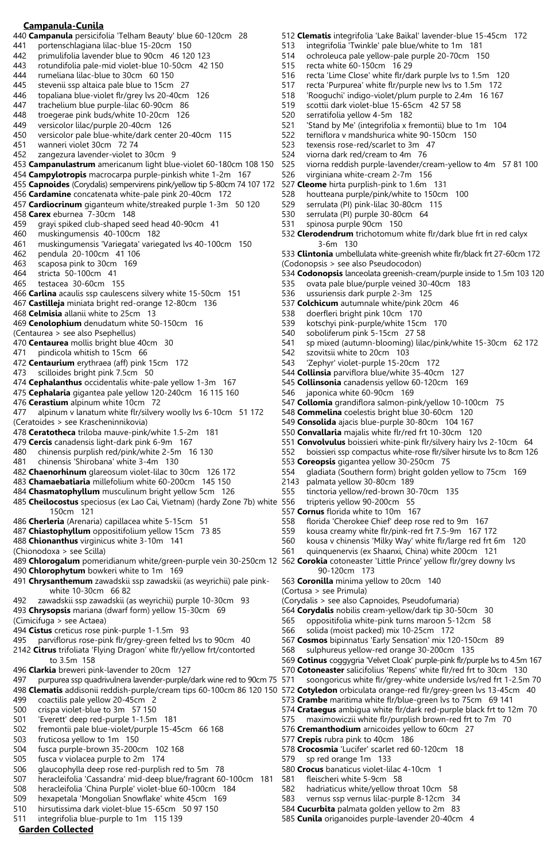# **Campanula-Cunila**

- 440 **Campanula** persicifolia 'Telham Beauty' blue 60-120cm 28
- 441 portenschlagiana lilac-blue 15-20cm 150
- 442 primulifolia lavender blue to 90cm 46 120 123
- 443 rotundifolia pale-mid violet-blue 10-50cm 42 150
- 444 rumeliana lilac-blue to 30cm 60 150
- 445 stevenii ssp altaica pale blue to 15cm 27<br>446 topaliana blue-violet flr/grev lys 20-40cm topaliana blue-violet flr/grey lvs 20-40cm 126
- 
- 447 trachelium blue purple-lilac 60-90cm 86<br>448 troegerae pink buds/white 10-20cm 126 troegerae pink buds/white 10-20cm 126
- 449 versicolor lilac/purple 20-40cm 126
- 
- 450 versicolor pale blue-white/dark center 20-40cm 115 wanneri violet 30cm 72 74
- 452 zangezura lavender-violet to 30cm 9
- 453 **Campanulastrum** americanum light blue-violet 60-180cm 108 150
- 454 **Campylotropis** macrocarpa purple-pinkish white 1-2m 167
- 455 **Capnoides** (Corydalis) sempervirens pink/yellow tip 5-80cm 74 107 172
- 456 **Cardamine** concatenata white-pale pink 20-40cm 172
- 457 **Cardiocrinum** giganteum white/streaked purple 1-3m 50 120
- 458 **Carex** eburnea 7-30cm 148
- 459 grayi spiked club-shaped seed head 40-90cm 41
- 460 muskingumensis 40-100cm 182
- 461 muskingumensis 'Variegata' variegated lvs 40-100cm 150
- 462 pendula 20-100cm 41 106
- 463 scaposa pink to 30cm 169
- 464 stricta 50-100cm 41
- testacea 30-60cm 155
- 466 **Carlina** acaulis ssp caulescens silvery white 15-50cm 151
- 467 **Castilleja** miniata bright red-orange 12-80cm 136
- 468 **Celmisia** allanii white to 25cm 13
- 469 **Cenolophium** denudatum white 50-150cm 16
- (Centaurea > see also Psephellus)
- 470 **Centaurea** mollis bright blue 40cm 30
- 471 pindicola whitish to 15cm 66
- 472 **Centaurium** erythraea (aff) pink 15cm 172
- 473 scilloides bright pink 7.5cm 50
- 474 **Cephalanthus** occidentalis white-pale yellow 1-3m 167
- 475 **Cephalaria** gigantea pale yellow 120-240cm 16 115 160
- 476 **Cerastium** alpinum white 10cm 72
- 477 alpinum v lanatum white flr/silvery woolly lvs 6-10cm 51 172 (Ceratoides > see Krascheninnikovia)
- 478 **Ceratotheca** triloba mauve-pink/white 1.5-2m 181
- 479 **Cercis** canadensis light-dark pink 6-9m 167
- 480 chinensis purplish red/pink/white 2-5m 16 130
- 481 chinensis 'Shirobana' white 3-4m 130
- 482 **Chaenorhinum** glareosum violet-lilac to 30cm 126 172
- 483 **Chamaebatiaria** millefolium white 60-200cm 145 150
- 484 **Chasmatophyllum** musculinum bright yellow 5cm 126
- 485 **Cheilocostus** speciosus (ex Lao Cai, Vietnam) (hardy Zone 7b) white 150cm 121
- 486 **Cherleria** (Arenaria) capillacea white 5-15cm 51
- 487 **Chiastophyllum** oppositifolium yellow 15cm 73 85
- 488 **Chionanthus** virginicus white 3-10m 141
- (Chionodoxa > see Scilla)
- 489 **Chlorogalum** pomeridianum white/green-purple vein 30-250cm 12 562 **Corokia** cotoneaster 'Little Prince' yellow flr/grey downy lvs
- 490 **Chlorophytum** bowkeri white to 1m 169
- 491 **Chrysanthemum** zawadskii ssp zawadskii (as weyrichii) pale pink white 10-30cm 66 82
- 492 zawadskii ssp zawadskii (as weyrichii) purple 10-30cm 93
- 493 **Chrysopsis** mariana (dwarf form) yellow 15-30cm 69
- (Cimicifuga > see Actaea)
- 494 **Cistus** creticus rose pink-purple 1-1.5m 93
- 495 parviflorus rose-pink flr/grey-green felted lvs to 90cm 40
- 2142 **Citrus** trifoliata 'Flying Dragon' white flr/yellow frt/contorted to 3.5m 158
- 496 **Clarkia** breweri pink-lavender to 20cm 127
- 497 purpurea ssp quadrivulnera lavender-purple/dark wine red to 90cm 75
- 498 **Clematis** addisonii reddish-purple/cream tips 60-100cm 86 120 150
- 499 coactilis pale yellow 20-45cm 2
- 500 crispa violet-blue to 3m 57 150
- 501 'Everett' deep red-purple 1-1.5m 181
- 502 fremontii pale blue-violet/purple 15-45cm 66 168 503 fruticosa yellow to 1m 150
- 504 fusca purple-brown 35-200cm 102 168
- 505 fusca v violacea purple to 2m 174
- 506 glaucophylla deep rose red-purplish red to 5m 78
- 507 heracleifolia 'Cassandra' mid-deep blue/fragrant 60-100cm 181
- 508 heracleifolia 'China Purple' violet-blue 60-100cm 184
- 509 hexapetala 'Mongolian Snowflake' white 45cm 169
- 510 hirsutissima dark violet-blue 15-65cm 50 97 150
- 511 integrifolia blue-purple to 1m 115 139

# **Garden Collected**

512 **Clematis** integrifolia 'Lake Baikal' lavender-blue 15-45cm 172

- 513 integrifolia 'Twinkle' pale blue/white to 1m 181
- 514 ochroleuca pale yellow-pale purple 20-70cm 150
- recta white 60-150cm 16 29
- 516 recta 'Lime Close' white flr/dark purple lvs to 1.5m 120
- 517 recta 'Purpurea' white flr/purple new lvs to 1.5m 172<br>518 Yeoguchi' indigo-violet/plum purple to 2.4m 16 167
	- 'Rooguchi' indigo-violet/plum purple to 2.4m 16 167
- 519 scottii dark violet-blue 15-65cm 42 57 58
- serratifolia yellow 4-5m 182
- 521 'Stand by Me' (integrifolia x fremontii) blue to 1m 104
- 522 terniflora v mandshurica white 90-150cm 150<br>523 texensis rose-red/scarlet to 3m 47
- texensis rose-red/scarlet to 3m 47
- 524 viorna dark red/cream to 4m 76<br>525 viorna reddish purple-lavender/c
- 525 viorna reddish purple-lavender/cream-yellow to 4m 57 81 100<br>526 virginiana white-cream 2-7m 156
- virginiana white-cream 2-7m 156
- 527 **Cleome** hirta purplish-pink to 1.6m 131
- 528 houtteana purple/pink/white to 150cm 100<br>529 serrulata (PI) pink-lilac 30-80cm 115
- serrulata (PI) pink-lilac 30-80cm 115
- 530 serrulata (PI) purple 30-80cm 64

536 ussuriensis dark purple 2-3m 125

542 szovitsii white to 20cm 103

543 'Zephyr' violet-purple 15-20cm 172 544 **Collinsia** parviflora blue/white 35-40cm 127 545 **Collinsonia** canadensis yellow 60-120cm 169 japonica white 60-90cm 169

553 **Coreopsis** gigantea yellow 30-250cm 75

555 tinctoria yellow/red-brown 30-70cm 135 tripteris yellow 90-200cm 55 557 **Cornus** florida white to 10m 167

558 florida 'Cherokee Chief' deep rose red to 9m 167 559 kousa creamy white flr/pink-red frt 7.5-9m 167 172 560 kousa v chinensis 'Milky Way' white flr/large red frt 6m 120 561 quinquenervis (ex Shaanxi, China) white 200cm 121

2143 palmata yellow 30-80cm 189

90-120cm 173

(Cortusa > see Primula)

563 **Coronilla** minima yellow to 20cm 140

(Corydalis > see also Capnoides, Pseudofumaria)

566 solida (moist packed) mix 10-25cm 172

568 sulphureus yellow-red orange 30-200cm 135

576 **Cremanthodium** arnicoides yellow to 60cm 27

578 **Crocosmia** 'Lucifer' scarlet red 60-120cm 18

582 hadriaticus white/yellow throat 10cm 58 583 vernus ssp vernus lilac-purple 8-12cm 34 584 **Cucurbita** palmata golden yellow to 2m 83 585 **Cunila** origanoides purple-lavender 20-40cm 4

580 **Crocus** banaticus violet-lilac 4-10cm 1

577 **Crepis** rubra pink to 40cm 186

579 sp red orange 1m 133

581 fleischeri white 5-9cm 58

564 **Corydalis** nobilis cream-yellow/dark tip 30-50cm 30 565 oppositifolia white-pink turns maroon 5-12cm 58

567 **Cosmos** bipinnatus 'Early Sensation' mix 120-150cm 89

**Cotinus** coggygria 'Velvet Cloak' purple-pink flr/purple lvs to 4.5m 167 **Cotoneaster** salicifolius 'Repens' white flr/red frt to 30cm 130 571 soongoricus white flr/grey-white underside lvs/red frt 1-2.5m 70 **Cotyledon** orbiculata orange-red flr/grey-green lvs 13-45cm 40 **Crambe** maritima white flr/blue-green lvs to 75cm 69 141 **Crataegus** ambigua white flr/dark red-purple black frt to 12m 70 575 maximowiczii white flr/purplish brown-red frt to 7m 70

537 **Colchicum** autumnale white/pink 20cm 46 doerfleri bright pink 10cm 170 539 kotschyi pink-purple/white 15cm 170 540 soboliferum pink 5-15cm 27 58<br>541 sp mixed (autumn-blooming) lila

- 531 spinosa purple 90cm 150
- 532 **Clerodendrum** trichotomum white flr/dark blue frt in red calyx 3-6m 130
- 533 **Clintonia** umbellulata white-greenish white flr/black frt 27-60cm 172 (Codonopsis > see also Pseudocodon)
- 

sp mixed (autumn-blooming) lilac/pink/white 15-30cm 62 172

534 **Codonopsis** lanceolata greenish-cream/purple inside to 1.5m 103 120 ovata pale blue/purple veined 30-40cm 183

**Collomia** grandiflora salmon-pink/yellow 10-100cm 75 **Commelina** coelestis bright blue 30-60cm 120 **Consolida** ajacis blue-purple 30-80cm 104 167 **Convallaria** majalis white flr/red frt 10-30cm 120

551 **Convolvulus** boissieri white-pink flr/silvery hairy lvs 2-10cm 64 552 boissieri ssp compactus white-rose flr/silver hirsute lvs to 8cm 126

gladiata (Southern form) bright golden yellow to 75cm 169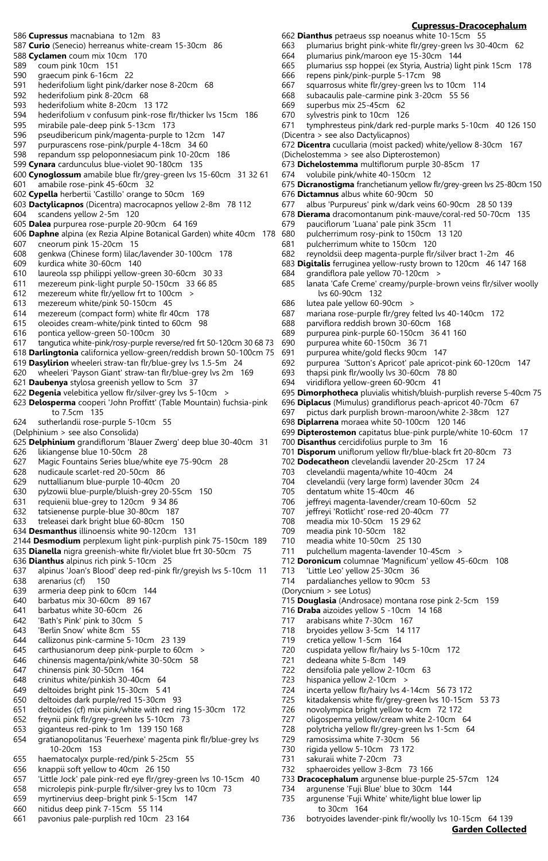- 586 **Cupressus** macnabiana to 12m 83
- 587 **Curio** (Senecio) herreanus white-cream 15-30cm 86
- 588 **Cyclamen** coum mix 10cm 170
- 589 coum pink 10cm 151
- 590 graecum pink 6-16cm 22
- 591 hederifolium light pink/darker nose 8-20cm 68
- hederifolium pink 8-20cm 68
- 593 hederifolium white 8-20cm 13 172<br>594 hederifolium v confusum pink-rose
- 594 hederifolium v confusum pink-rose flr/thicker lvs 15cm 186
- 595 mirabile pale-deep pink 5-13cm 173
- 596 pseudibericum pink/magenta-purple to 12cm 147 purpurascens rose-pink/purple 4-18cm 34 60
- 598 repandum ssp peloponnesiacum pink 10-20cm 186
- 599 **Cynara** cardunculus blue-violet 90-180cm 135
- 600 **Cynoglossum** amabile blue flr/grey-green lvs 15-60cm 31 32 61
- 601 amabile rose-pink 45-60cm 32
- 602 **Cypella** herbertii 'Castillo' orange to 50cm 169
- 603 **Dactylicapnos** (Dicentra) macrocapnos yellow 2-8m 78 112
- 604 scandens yellow 2-5m 120
- 605 **Dalea** purpurea rose-purple 20-90cm 64 169
- 606 **Daphne** alpina (ex Rezia Alpine Botanical Garden) white 40cm 178
- 607 cneorum pink 15-20cm 15 genkwa (Chinese form) lilac/lavender 30-100cm 178
- 609 kurdica white 30-60cm 140
- 610 laureola ssp philippi yellow-green 30-60cm 30 33
- mezereum pink-light purple 50-150cm 33 66 85
- 612 mezereum white flr/yellow frt to 100cm >
- 613 mezereum white/pink 50-150cm 45
- mezereum (compact form) white flr 40cm 178
- 615 oleoides cream-white/pink tinted to 60cm 98
- 616 pontica yellow-green 50-100cm 30
- 617 tangutica white-pink/rosy-purple reverse/red frt 50-120cm 30 68 73
- 618 **Darlingtonia** californica yellow-green/reddish brown 50-100cm 75
- 619 **Dasylirion** wheeleri straw-tan flr/blue-grey lvs 1.5-5m 24
- 620 wheeleri 'Payson Giant' straw-tan flr/blue-grey lvs 2m 169
- 621 **Daubenya** stylosa greenish yellow to 5cm 37 622 **Degenia** velebitica yellow flr/silver-grey lvs 5-10cm >
- 623 **Delosperma** cooperi 'John Proffitt' (Table Mountain) fuchsia-pink to 7.5cm 135
- 624 sutherlandii rose-purple 5-10cm 55
- (Delphinium > see also Consolida)
- 625 **Delphinium** grandiflorum 'Blauer Zwerg' deep blue 30-40cm 31
- 626 likiangense blue 10-50cm 28
- 627 Magic Fountains Series blue/white eye 75-90cm 28
- 628 nudicaule scarlet-red 20-50cm 86
- 629 nuttallianum blue-purple 10-40cm 20
- 630 pylzowii blue-purple/bluish-grey 20-55cm 150
- 631 requienii blue-grey to 120cm 9 34 86
- 632 tatsienense purple-blue 30-80cm 187
- 633 treleasei dark bright blue 60-80cm 150
- 634 **Desmanthus** illinoensis white 90-120cm 131
- 2144 **Desmodium** perplexum light pink-purplish pink 75-150cm 189
- 635 **Dianella** nigra greenish-white flr/violet blue frt 30-50cm 75
- 636 **Dianthus** alpinus rich pink 5-10cm 25
- 637 alpinus 'Joan's Blood' deep red-pink flr/greyish lvs 5-10cm 11
- 638 arenarius (cf) 150
- 639 armeria deep pink to 60cm 144
- 640 barbatus mix 30-60cm 89 167
- 641 barbatus white 30-60cm 26
- 642 'Bath's Pink' pink to 30cm 5
- 643 'Berlin Snow' white 8cm 55
- 644 callizonus pink-carmine 5-10cm 23 139
- 645 carthusianorum deep pink-purple to 60cm >
- 646 chinensis magenta/pink/white 30-50cm 58
- 647 chinensis pink 30-50cm 164
- 648 crinitus white/pinkish 30-40cm 64
- 649 deltoides bright pink 15-30cm 5 41
- 650 deltoides dark purple/red 15-30cm 93
- 651 deltoides (cf) mix pink/white with red ring 15-30cm 172
- 652 freynii pink flr/grey-green lvs 5-10cm 73
- 653 giganteus red-pink to 1m 139 150 168
- 654 gratianopolitanus 'Feuerhexe' magenta pink flr/blue-grey lvs 10-20cm 153
- 655 haematocalyx purple-red/pink 5-25cm 55
- 656 knappii soft yellow to 40cm 26 150
- 657 'Little Jock' pale pink-red eye flr/grey-green lvs 10-15cm 40
- 658 microlepis pink-purple flr/silver-grey lvs to 10cm 73
- 659 myrtinervius deep-bright pink 5-15cm 147 660 nitidus deep pink 7-15cm 55 114
- 
- 661 pavonius pale-purplish red 10cm 23 164

# **Cupressus-Dracocephalum**

**Garden Collected**

662 **Dianthus** petraeus ssp noeanus white 10-15cm 55

- 663 plumarius bright pink-white flr/grey-green lvs 30-40cm 62
- 664 plumarius pink/maroon eye 15-30cm 144
- 665 plumarius ssp hoppei (ex Styria, Austria) light pink 15cm 178
- 666 repens pink/pink-purple 5-17cm 98
- 667 squarrosus white flr/grey-green lvs to 10cm 114
- subacaulis pale-carmine pink 3-20cm 55 56
- 669 superbus mix 25-45cm 62 sylvestris pink to 10cm 126
- 
- 671 tymphresteus pink/dark red-purple marks 5-10cm 40 126 150 (Dicentra > see also Dactylicapnos)
- 672 **Dicentra** cucullaria (moist packed) white/yellow 8-30cm 167
- (Dichelostemma > see also Dipterostemon)
- 673 **Dichelostemma** multiflorum purple 30-85cm 17
- 674 volubile pink/white 40-150cm 12
- 675 **Dicranostigma** franchetianum yellow flr/grey-green lvs 25-80cm 150
- 676 **Dictamnus** albus white 60-90cm 50
- albus 'Purpureus' pink w/dark veins 60-90cm 28 50 139
- 678 **Dierama** dracomontanum pink-mauve/coral-red 50-70cm 135
- 679 pauciflorum 'Luana' pale pink 35cm 11
- pulcherrimum rosy-pink to 150cm 13 120
- 681 pulcherrimum white to 150cm 120
- 682 reynoldsii deep magenta-purple flr/silver bract 1-2m 46
- 683 **Digitalis** ferruginea yellow-rusty brown to 120cm 46 147 168

688 parviflora reddish brown 30-60cm 168 689 purpurea pink-purple 60-150cm 36 41 160

686 lutea pale yellow 60-90cm >

690 purpurea white 60-150cm 36 71 691 purpurea white/gold flecks 90cm 147

694 viridiflora yellow-green 60-90cm 41

684 grandiflora pale yellow 70-120cm > 685 lanata 'Cafe Creme' creamy/purple-b lanata 'Cafe Creme' creamy/purple-brown veins flr/silver woolly lvs 60-90cm 132

mariana rose-purple flr/grey felted lvs 40-140cm 172

692 purpurea 'Sutton's Apricot' pale apricot-pink 60-120cm 147

699 **Dipterostemon** capitatus blue-pink purple/white 10-60cm 17

701 **Disporum** uniflorum yellow flr/blue-black frt 20-80cm 73 702 **Dodecatheon** clevelandii lavender 20-25cm 17 24

712 **Doronicum** columnae 'Magnificum' yellow 45-60cm 108

715 **Douglasia** (Androsace) montana rose pink 2-5cm 159

695 **Dimorphotheca** pluvialis whitish/bluish-purplish reverse 5-40cm 75 696 **Diplacus** (Mimulus) grandiflorus peach-apricot 40-70cm 67 697 pictus dark purplish brown-maroon/white 2-38cm 127

thapsi pink flr/woolly lvs 30-60cm 78 80

698 **Diplarrena** moraea white 50-100cm 120 146

700 **Disanthus** cercidifolius purple to 3m 16

703 clevelandii magenta/white 10-40cm 24 704 clevelandii (very large form) lavender 30cm 24

706 jeffreyi magenta-lavender/cream 10-60cm 52 jeffreyi 'Rotlicht' rose-red 20-40cm 77

711 pulchellum magenta-lavender 10-45cm >

705 dentatum white 15-40cm 46

708 meadia mix 10-50cm 15 29 62 709 meadia pink 10-50cm 182 710 meadia white 10-50cm 25 130

713 'Little Leo' yellow 25-30cm 36 714 pardalianches yellow to 90cm 53

721 dedeana white 5-8cm 149

722 densifolia pale yellow 2-10cm 63<br>723 hispanica yellow 2-10cm > hispanica yellow 2-10cm >

729 ramosissima white 7-30cm 56<br>730 rigida yellow 5-10cm 73 172 rigida yellow 5-10cm 73 172

732 sphaeroides yellow 3-8cm 73 166

734 argunense 'Fuji Blue' blue to 30cm 144 735 argunense 'Fuji White' white/light blue lower lip

731 sakuraii white 7-20cm 73

to 30cm 164

716 **Draba** aizoides yellow 5 -10cm 14 168 717 arabisans white 7-30cm 167 718 bryoides yellow 3-5cm 14 117 719 cretica yellow 1-5cm 164

720 cuspidata yellow flr/hairy lvs 5-10cm 172

724 incerta yellow flr/hairy lvs 4-14cm 56 73 172 725 kitadakensis white flr/grey-green lvs 10-15cm 53 73

733 **Dracocephalum** argunense blue-purple 25-57cm 124

736 botryoides lavender-pink flr/woolly lvs 10-15cm 64 139

726 novolympica bright yellow to 4cm 72 172 727 oligosperma yellow/cream white 2-10cm 64 728 polytricha yellow flr/grey-green lvs 1-5cm 64

(Dorycnium > see Lotus)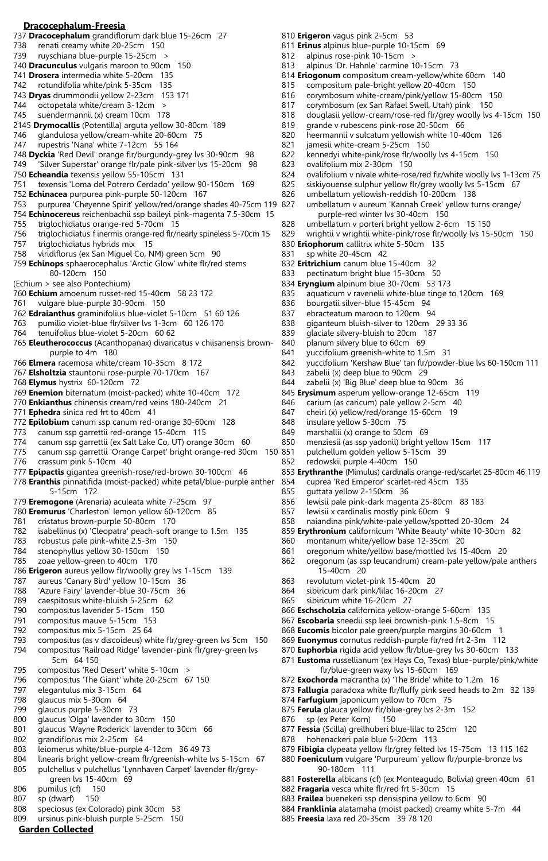## **Dracocephalum-Freesia**

- 737 **Dracocephalum** grandiflorum dark blue 15-26cm 27
- 738 renati creamy white 20-25cm 150
- 739 ruyschiana blue-purple 15-25cm >
- 740 **Dracunculus** vulgaris maroon to 90cm 150
- 741 **Drosera** intermedia white 5-20cm 135
- 742 rotundifolia white/pink 5-35cm 135 743 **Dryas** drummondii yellow 2-23cm 153 171
- 
- 744 octopetala white/cream 3-12cm > suendermannii (x) cream 10cm 178
- 2145 **Drymocallis** (Potentilla) arguta yellow 30-80cm 189
- 746 glandulosa yellow/cream-white 20-60cm 75<br>747 gunestris 'Nana' white 7-12cm 55 164
- rupestris 'Nana' white 7-12cm 55 164
- 748 **Dyckia** 'Red Devil' orange flr/burgundy-grey lvs 30-90cm 98
- 749 'Silver Superstar' orange flr/pale pink-silver lvs 15-20cm 98
- 750 **Echeandia** texensis yellow 55-105cm 131
- 751 texensis 'Loma del Potrero Cerdado' yellow 90-150cm 169
- 752 **Echinacea** purpurea pink-purple 50-120cm 167
- 753 purpurea 'Cheyenne Spirit' yellow/red/orange shades 40-75cm 119
- 754 **Echinocereus** reichenbachii ssp baileyi pink-magenta 7.5-30cm 15
- 755 triglochidiatus orange-red 5-70cm 15
- triglochidiatus f inermis orange-red flr/nearly spineless 5-70cm 15
- 757 triglochidiatus hybrids mix 15
- 758 viridiflorus (ex San Miguel Co, NM) green 5cm 90
- 759 **Echinops** sphaerocephalus 'Arctic Glow' white flr/red stems 80-120cm 150
- (Echium > see also Pontechium)
- 760 **Echium** amoenum russet-red 15-40cm 58 23 172
- 761 vulgare blue-purple 30-90cm 150
- 762 **Edraianthus** graminifolius blue-violet 5-10cm 51 60 126
- 763 pumilio violet-blue flr/silver lvs 1-3cm 60 126 170
- 764 tenuifolius blue-violet 5-20cm 60 62
- 765 **Eleutherococcus** (Acanthopanax) divaricatus v chiisanensis brown purple to 4m 180
- 766 **Elmera** racemosa white/cream 10-35cm 8 172
- 767 **Elsholtzia** stauntonii rose-purple 70-170cm 167
- 768 **Elymus** hystrix 60-120cm 72
- 769 **Enemion** biternatum (moist-packed) white 10-40cm 172
- 770 **Enkianthus** chinensis cream/red veins 180-240cm 21
- 771 **Ephedra** sinica red frt to 40cm 41
- 772 **Epilobium** canum ssp canum red-orange 30-60cm 128
- 773 canum ssp garrettii red-orange 15-40cm 115
- 774 canum ssp garrettii (ex Salt Lake Co, UT) orange 30cm 60
- 775 canum ssp garrettii 'Orange Carpet' bright orange-red 30cm 150
- 776 crassum pink 5-10cm 40
- 777 **Epipactis** gigantea greenish-rose/red-brown 30-100cm 46
- 778 **Eranthis** pinnatifida (moist-packed) white petal/blue-purple anther 5-15cm 172
- 779 **Eremogone** (Arenaria) aculeata white 7-25cm 97
- 780 **Eremurus** 'Charleston' lemon yellow 60-120cm 85
- 781 cristatus brown-purple 50-80cm 170
- 782 isabellinus (x) 'Cleopatra' peach-soft orange to 1.5m 135
- 783 robustus pale pink-white 2.5-3m 150
- 784 stenophyllus yellow 30-150cm 150
- 785 zoae yellow-green to 40cm 170 786 **Erigeron** aureus yellow flr/woolly grey lvs 1-15cm 139
- 787 aureus 'Canary Bird' yellow 10-15cm 36
- 788 'Azure Fairy' lavender-blue 30-75cm 36
- 789 caespitosus white-bluish 5-25cm 62
- 790 compositus lavender 5-15cm 150
- 791 compositus mauve 5-15cm 153
- 792 compositus mix 5-15cm 25 64
- 793 compositus (as v discoideus) white flr/grey-green lvs 5cm 150 794 compositus 'Railroad Ridge' lavender-pink flr/grey-green lvs
- 5cm 64 150 795 compositus 'Red Desert' white 5-10cm >
- 796 compositus 'The Giant' white 20-25cm 67 150
- 797 elegantulus mix 3-15cm 64
- 798 glaucus mix 5-30cm 64
- 799 glaucus purple 5-30cm 73
- 800 glaucus 'Olga' lavender to 30cm 150
- 801 glaucus 'Wayne Roderick' lavender to 30cm 66
- 802 grandiflorus mix 2-25cm 64
- 803 leiomerus white/blue-purple 4-12cm 36 49 73
- 804 linearis bright yellow-cream flr/greenish-white lvs 5-15cm 67
- 805 pulchellus v pulchellus 'Lynnhaven Carpet' lavender flr/grey green lvs 15-40cm 69
- 806 pumilus (cf) 150
- 807 sp (dwarf) 150
- 808 speciosus (ex Colorado) pink 30cm 53
- 809 ursinus pink-bluish purple 5-25cm 150

# **Garden Collected**

- 810 **Erigeron** vagus pink 2-5cm 53
- 811 **Erinus** alpinus blue-purple 10-15cm 69
- 812 alpinus rose-pink 10-15cm >
- 813 alpinus 'Dr. Hahnle' carmine 10-15cm 73
- 814 **Eriogonum** compositum cream-yellow/white 60cm 140
- 815 compositum pale-bright yellow 20-40cm 150<br>816 corvmbosum white-cream/pink/vellow 15-80cm
- 816 corymbosum white-cream/pink/yellow 15-80cm 150
- 817 corymbosum (ex San Rafael Swell, Utah) pink 150<br>818 douglasii yellow-cream/rose-red flr/grey woolly lys
- douglasii yellow-cream/rose-red flr/grey woolly lvs 4-15cm 150
- 819 grande v rubescens pink-rose 20-50cm 66
- 820 heermannii v sulcatum yellowish white 10-40cm 126 jamesii white-cream 5-25cm 150
- 822 kennedyi white-pink/rose flr/woolly lvs 4-15cm 150
- 
- 823 ovalifolium mix 2-30cm 150<br>824 ovalifolium v nivale white-rose ovalifolium v nivale white-rose/red flr/white woolly lvs 1-13cm 75
- 825 siskiyouense sulphur yellow flr/grey woolly lvs 5-15cm 67
- 826 umbellatum yellowish-reddish 10-200cm 138
- umbellatum v aureum 'Kannah Creek' yellow turns orange/ purple-red winter lvs 30-40cm 150
- 828 umbellatum v porteri bright yellow 2-6cm 15 150<br>829 vrightij v wrightij white-pink/rose flr/woolly lys 15
- wrightii v wrightii white-pink/rose flr/woolly lvs 15-50cm 150

842 yuccifolium 'Kershaw Blue' tan flr/powder-blue lvs 60-150cm 111<br>843 zabelii (x) deep blue to 90cm 29

853 **Erythranthe** (Mimulus) cardinalis orange-red/scarlet 25-80cm 46 119

- 830 **Eriophorum** callitrix white 5-50cm 135
- 831 sp white 20-45cm 42
- 832 **Eritrichium** canum blue 15-40cm 32
- 833 pectinatum bright blue 15-30cm 50
- 834 **Eryngium** alpinum blue 30-70cm 53 173

838 giganteum bluish-silver to 120cm 29 33 36 839 glaciale silvery-bluish to 20cm 187 840 planum silvery blue to 60cm 69 841 yuccifolium greenish-white to 1.5m 31

zabelii (x) deep blue to 90cm 29 844 zabelii (x) 'Big Blue' deep blue to 90cm 36 845 **Erysimum** asperum yellow-orange 12-65cm 119 846 carium (as caricum) pale yellow 2-5cm 40 847 cheiri (x) yellow/red/orange 15-60cm 19

850 menziesii (as ssp yadonii) bright yellow 15cm 117 pulchellum golden yellow 5-15cm 39

854 cuprea 'Red Emperor' scarlet-red 45cm 135

857 lewisii x cardinalis mostly pink 60cm 9

860 montanum white/yellow base 12-35cm 20

856 lewisii pale pink-dark magenta 25-80cm 83 183

858 naiandina pink/white-pale yellow/spotted 20-30cm 24 859 **Erythronium** californicum 'White Beauty' white 10-30cm 82

861 oregonum white/yellow base/mottled lvs 15-40cm 20

**Eschscholzia** californica yellow-orange 5-60cm 135 **Escobaria** sneedii ssp leei brownish-pink 1.5-8cm 15 **Eucomis** bicolor pale green/purple margins 30-60cm 1 **Euonymus** cornutus reddish-purple flr/red frt 2-3m 112 **Euphorbia** rigida acid yellow flr/blue-grey lvs 30-60cm 133 **Eustoma** russellianum (ex Hays Co, Texas) blue-purple/pink/white

 flr/blue-green waxy lvs 15-60cm 169 872 **Exochorda** macrantha (x) 'The Bride' white to 1.2m 16

874 **Farfugium** japonicum yellow to 70cm 75 875 **Ferula** glauca yellow flr/blue-grey lvs 2-3m 152

878 hohenackeri pale blue 5-20cm 113

882 **Fragaria** vesca white flr/red frt 5-30cm 15

885 **Freesia** laxa red 20-35cm 39 78 120

883 **Frailea** buenekeri ssp densispina yellow to 6cm 90

877 **Fessia** (Scilla) greilhuberi blue-lilac to 25cm 120

873 **Fallugia** paradoxa white flr/fluffy pink seed heads to 2m 32 139

879 **Fibigia** clypeata yellow flr/grey felted lvs 15-75cm 13 115 162 880 **Foeniculum** vulgare 'Purpureum' yellow flr/purple-bronze lvs

881 **Fosterella** albicans (cf) (ex Monteagudo, Bolivia) green 40cm 61

884 **Franklinia** alatamaha (moist packed) creamy white 5-7m 44

862 oregonum (as ssp leucandrum) cream-pale yellow/pale anthers

848 insulare yellow 5-30cm 75 849 marshallii (x) orange to 50cm 69

852 redowskii purple 4-40cm 150

855 guttata yellow 2-150cm 36

15-40cm 20

865 sibiricum white 16-20cm 27

876 sp (ex Peter Korn) 150

90-180cm 111

863 revolutum violet-pink 15-40cm 20 864 sibiricum dark pink/lilac 16-20cm 27

- 835 aquaticum v ravenelii white-blue tinge to 120cm 169
- 836 bourgatii silver-blue 15-45cm 94<br>837 ebracteatum maroon to 120cm 9 ebracteatum maroon to 120cm 94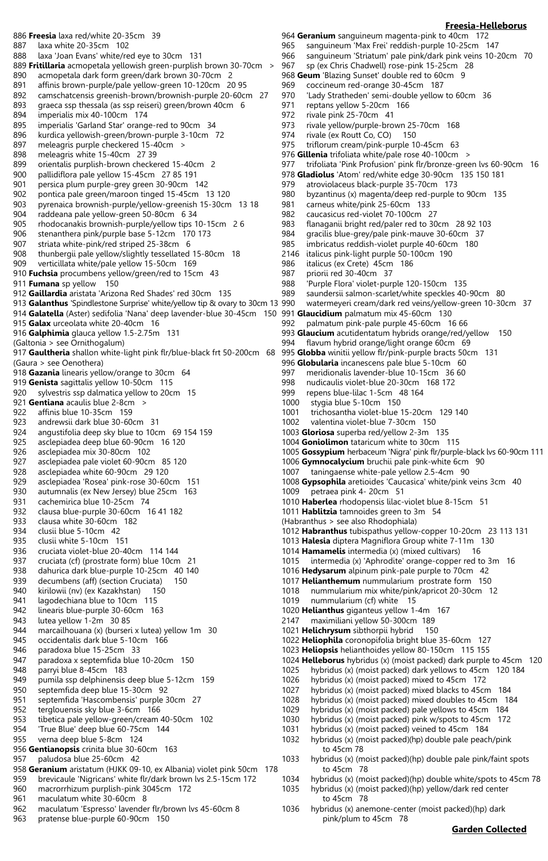886 **Freesia** laxa red/white 20-35cm 39 887 laxa white 20-35cm 102 888 laxa 'Joan Evans' white/red eye to 30cm 131 889 **Fritillaria** acmopetala yellowish green-purplish brown 30-70cm > 890 acmopetala dark form green/dark brown 30-70cm 2 891 affinis brown-purple/pale yellow-green 10-120cm 20 95 892 camschatcensis greenish-brown/brownish-purple 20-60cm 27 893 graeca ssp thessala (as ssp reiseri) green/brown 40cm 6<br>894 imperialis mix 40-100cm 174 imperialis mix 40-100cm 174 895 imperialis 'Garland Star' orange-red to 90cm 34 896 kurdica yellowish-green/brown-purple 3-10cm 72<br>897 meleagris purple checkered 15-40cm > meleagris purple checkered 15-40cm > 898 meleagris white 15-40cm 27 39 899 orientalis purplish-brown checkered 15-40cm 2 pallidiflora pale yellow 15-45cm 27 85 191 901 persica plum purple-grey green 30-90cm 142 902 pontica pale green/maroon tinged 15-45cm 13 120 903 pyrenaica brownish-purple/yellow-greenish 15-30cm 13 18 904 raddeana pale yellow-green 50-80cm 6 34 905 rhodocanakis brownish-purple/yellow tips 10-15cm 26<br>906 stenanthera pink/purple base 5-12cm 170 173 stenanthera pink/purple base 5-12cm 170 173 907 striata white-pink/red striped 25-38cm 6 thunbergii pale yellow/slightly tessellated 15-80cm 18 909 verticillata white/pale yellow 15-50cm 169 910 **Fuchsia** procumbens yellow/green/red to 15cm 43 911 **Fumana** sp yellow 150 912 **Gaillardia** aristata 'Arizona Red Shades' red 30cm 135 913 **Galanthus** 'Spindlestone Surprise' white/yellow tip & ovary to 30cm 13 914 **Galatella** (Aster) sedifolia 'Nana' deep lavender-blue 30-45cm 150 991 **Glaucidium** palmatum mix 45-60cm 130 915 **Galax** urceolata white 20-40cm 16 916 **Galphimia** glauca yellow 1.5-2.75m 131 (Galtonia > see Ornithogalum) 917 **Gaultheria** shallon white-light pink flr/blue-black frt 50-200cm 68 (Gaura > see Oenothera) 918 **Gazania** linearis yellow/orange to 30cm 64 919 **Genista** sagittalis yellow 10-50cm 115 920 sylvestris ssp dalmatica yellow to 20cm 15 921 **Gentiana** acaulis blue 2-8cm > 922 affinis blue 10-35cm 159 923 andrewsii dark blue 30-60cm 31 924 angustifolia deep sky blue to 10cm 69 154 159 925 asclepiadea deep blue 60-90cm 16 120 asclepiadea mix 30-80cm 102 927 asclepiadea pale violet 60-90cm 85 120 928 asclepiadea white 60-90cm 29 120 929 asclepiadea 'Rosea' pink-rose 30-60cm 151 930 autumnalis (ex New Jersey) blue 25cm 163 931 cachemirica blue 10-25cm 74<br>932 clausa blue-purple 30-60cm 1 932 clausa blue-purple 30-60cm 16 41 182 933 clausa white 30-60cm 182 934 clusii blue 5-10cm 42 935 clusii white 5-10cm 151 936 cruciata violet-blue 20-40cm 114 144 937 cruciata (cf) (prostrate form) blue 10cm 21 938 dahurica dark blue-purple 10-25cm 40 140 939 decumbens (aff) (section Cruciata) 150 940 kirilowii (nv) (ex Kazakhstan) 150 941 lagodechiana blue to 10cm 115 942 linearis blue-purple 30-60cm 163 943 lutea yellow 1-2m 30 85 944 marcailhouana (x) (burseri x lutea) yellow 1m 30 945 occidentalis dark blue 5-10cm 166 946 paradoxa blue 15-25cm 33 947 paradoxa x septemfida blue 10-20cm 150 948 parryi blue 8-45cm 183 949 pumila ssp delphinensis deep blue 5-12cm 159 950 septemfida deep blue 15-30cm 92 951 septemfida 'Hascombensis' purple 30cm 27 952 terglouensis sky blue 3-6cm 166 953 tibetica pale yellow-green/cream 40-50cm 102 954 'True Blue' deep blue 60-75cm 144 955 verna deep blue 5-8cm 124 956 **Gentianopsis** crinita blue 30-60cm 163 957 paludosa blue 25-60cm 42 958 **Geranium** aristatum (HJKK 09-10, ex Albania) violet pink 50cm 178 959 brevicaule 'Nigricans' white flr/dark brown lvs 2.5-15cm 172 960 macrorrhizum purplish-pink 3045cm 172 961 maculatum white 30-60cm 8

962 maculatum 'Espresso' lavender flr/brown lvs 45-60cm 8

pratense blue-purple 60-90cm 150

- **Freesia-Helleborus** 964 **Geranium** sanguineum magenta-pink to 40cm 172 965 sanguineum 'Max Frei' reddish-purple 10-25cm 147 966 sanguineum 'Striatum' pale pink/dark pink veins 10-20cm 70<br>967 sp (ex Chris Chadwell) rose-pink 15-25cm 28 sp (ex Chris Chadwell) rose-pink 15-25cm 28 968 **Geum** 'Blazing Sunset' double red to 60cm 9 969 coccineum red-orange 30-45cm 187 'Lady Stratheden' semi-double yellow to 60cm 36 971 reptans yellow 5-20cm 166<br>972 rivale pink 25-70cm 41 rivale pink 25-70cm 41 973 rivale yellow/purple-brown 25-70cm 168 974 rivale (ex Routt Co, CO) 150<br>975 triflorum cream/pink-purple 1 triflorum cream/pink-purple 10-45cm 63 976 **Gillenia** trifoliata white/pale rose 40-100cm > 977 trifoliata 'Pink Profusion' pink flr/bronze-green lvs 60-90cm 16 978 **Gladiolus** 'Atom' red/white edge 30-90cm 135 150 181 979 atroviolaceus black-purple 35-70cm 173 980 byzantinus (x) magenta/deep red-purple to 90cm 135<br>981 carneus white/pink 25-60cm 133 carneus white/pink 25-60cm 133 982 caucasicus red-violet 70-100cm 27 983 flanaganii bright red/paler red to 30cm 28 92 103 gracilis blue-grey/pale pink-mauve 30-60cm 37 985 imbricatus reddish-violet purple 40-60cm 180<br>2146 italicus pink-light purple 50-100cm 190 italicus pink-light purple 50-100cm 190 986 italicus (ex Crete) 45cm 186 987 priorii red 30-40cm 37<br>988 Purple Flora' violet-purp 988 'Purple Flora' violet-purple 120-150cm 135 saundersii salmon-scarlet/white speckles 40-90cm 80 990 watermeyeri cream/dark red veins/yellow-green 10-30cm 37 992 palmatum pink-pale purple 45-60cm 16 66 993 **Glaucium** acutidentatum hybrids orange/red/yellow 150 994 flavum hybrid orange/light orange 60cm 69 995 **Globba** winitii yellow flr/pink-purple bracts 50cm 131 996 **Globularia** incanescens pale blue 5-10cm 60 997 meridionalis lavender-blue 10-15cm 36 60 998 nudicaulis violet-blue 20-30cm 168 172 999 repens blue-lilac 1-5cm 48 164<br>1000 stvaia blue 5-10cm 150 stygia blue 5-10cm 150 1001 trichosantha violet-blue 15-20cm 129 140 1002 valentina violet-blue 7-30cm 150 1003 **Gloriosa** superba red/yellow 2-3m 135 1004 **Goniolimon** tataricum white to 30cm 115 1005 **Gossypium** herbaceum 'Nigra' pink flr/purple-black lvs 60-90cm 111 1006 **Gymnocalycium** bruchii pale pink-white 6cm 90 1007 taningaense white-pale yellow 2.5-4cm 90 1008 **Gypsophila** aretioides 'Caucasica' white/pink veins 3cm 40 1009 petraea pink 4- 20cm 51 1010 **Haberlea** rhodopensis lilac-violet blue 8-15cm 51 1011 **Hablitzia** tamnoides green to 3m 54 (Habranthus > see also Rhodophiala) 1012 **Habranthus** tubispathus yellow-copper 10-20cm 23 113 131 1013 **Halesia** diptera Magniflora Group white 7-11m 130 1014 **Hamamelis** intermedia (x) (mixed cultivars) 16 1015 intermedia (x) 'Aphrodite' orange-copper red to 3m 16 1016 **Hedysarum** alpinum pink-pale purple to 70cm 42 1017 **Helianthemum** nummularium prostrate form 150 1018 nummularium mix white/pink/apricot 20-30cm 12 1019 nummularium (cf) white 15 1020 **Helianthus** giganteus yellow 1-4m 167
	- 2147 maximiliani yellow 50-300cm 189
	- 1021 **Helichrysum** sibthorpii hybrid 150
	- 1022 **Heliophila** coronopifolia bright blue 35-60cm 127
	- 1023 **Heliopsis** helianthoides yellow 80-150cm 115 155
	- 1024 **Helleborus** hybridus (x) (moist packed) dark purple to 45cm 120
	- 1025 hybridus (x) (moist packed) dark yellows to 45cm 120 184
	- 1026 hybridus (x) (moist packed) mixed to 45cm 172
	- 1027 hybridus (x) (moist packed) mixed blacks to 45cm 184
	- 1028 hybridus (x) (moist packed) mixed doubles to 45cm 184
	- 1029 hybridus (x) (moist packed) pale yellows to 45cm 184
	- 1030 hybridus (x) (moist packed) pink w/spots to 45cm 172
	- 1031 hybridus (x) (moist packed) veined to 45cm 184
	- 1032 hybridus (x) (moist packed)(hp) double pale peach/pink to 45cm 78
	- 1033 hybridus (x) (moist packed)(hp) double pale pink/faint spots to 45cm 78
	- 1034 hybridus (x) (moist packed)(hp) double white/spots to 45cm 78 1035 hybridus (x) (moist packed)(hp) yellow/dark red center to 45cm 78
	- 1036 hybridus (x) anemone-center (moist packed)(hp) dark pink/plum to 45cm 78

## **Garden Collected**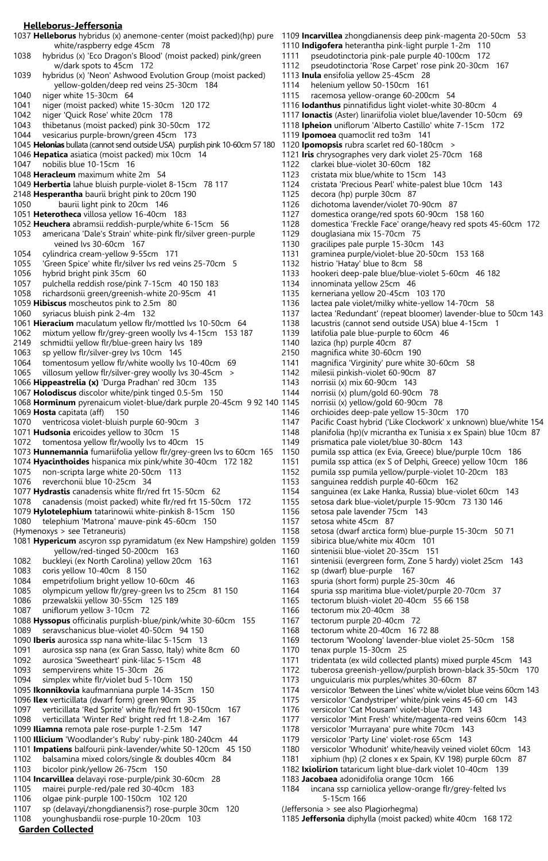#### **Helleborus-Jeffersonia**

1037 **Helleborus** hybridus (x) anemone-center (moist packed)(hp) pure 1109 **Incarvillea** zhongdianensis deep pink-magenta 20-50cm 53 white/raspberry edge 45cm 78<br>1038 hybridus (x) 'Eco Dragon's Blood' (n hybridus (x) 'Eco Dragon's Blood' (moist packed) pink/green w/dark spots to 45cm 172 1039 hybridus (x) 'Neon' Ashwood Evolution Group (moist packed) yellow-golden/deep red veins 25-30cm 184<br>1040 niger white 15-30cm 64 niger white 15-30cm 64 1041 niger (moist packed) white 15-30cm 120 172<br>1042 niger 'Quick Rose' white 20cm 178 niger 'Quick Rose' white 20cm 178 1043 thibetanus (moist packed) pink 30-50cm 172 1044 vesicarius purple-brown/green 45cm 173 1045 **Helonias** bullata (cannot send outside USA) purplish pink 10-60cm 57 180 1120 **Ipomopsis** rubra scarlet red 60-180cm > 1046 **Hepatica** asiatica (moist packed) mix 10cm 14 1047 nobilis blue 10-15cm 16 1048 **Heracleum** maximum white 2m 54 1049 **Herbertia** lahue bluish purple-violet 8-15cm 78 117 2148 **Hesperantha** baurii bright pink to 20cm 190 1050 baurii light pink to 20cm 146 1051 **Heterotheca** villosa yellow 16-40cm 183 1052 **Heuchera** abramsii reddish-purple/white 6-15cm 56 1053 americana 'Dale's Strain' white-pink flr/silver green-purple veined lvs 30-60cm 167<br>1054 cylindrica cream-vellow 9-55 1054 cylindrica cream-yellow 9-55cm 171<br>1055 Green Spice' white flr/silver lvs red ve 'Green Spice' white flr/silver lvs red veins 25-70cm 5 1056 hybrid bright pink 35cm 60<br>1057 pulchella reddish rose/pink 7 pulchella reddish rose/pink 7-15cm 40 150 183 1058 richardsonii green/greenish-white 20-95cm 41 1059 **Hibiscus** moscheutos pink to 2.5m 80 syriacus bluish pink 2-4m 132 1061 **Hieracium** maculatum yellow flr/mottled lvs 10-50cm 64 1062 mixtum yellow flr/grey-green woolly lvs 4-15cm 153 187 2149 schmidtii yellow flr/blue-green hairy lvs 189 1063 sp yellow flr/silver-grey lvs 10cm 145 1064 tomentosum yellow flr/white woolly lvs 10-40cm 69 1065 villosum yellow flr/silver-grey woolly lvs 30-45cm > 1066 **Hippeastrelia (x)** 'Durga Pradhan' red 30cm 135 1067 **Holodiscus** discolor white/pink tinged 0.5-5m 150 1068 **Horminum** pyrenaicum violet-blue/dark purple 20-45cm 9 92 140 1069 **Hosta** capitata (aff) 150 1070 ventricosa violet-bluish purple 60-90cm 3 1071 **Hudsonia** ericoides yellow to 30cm 15 1072 tomentosa yellow flr/woolly lvs to 40cm 15 1073 **Hunnemannia** fumariifolia yellow flr/grey-green lvs to 60cm 165 1074 **Hyacinthoides** hispanica mix pink/white 30-40cm 172 182 1075 non-scripta large white 20-50cm 113 1076 reverchonii blue 10-25cm 34 1077 **Hydrastis** canadensis white flr/red frt 15-50cm 62 1078 canadensis (moist packed) white flr/red frt 15-50cm 172 1079 **Hylotelephium** tatarinowii white-pinkish 8-15cm 150 1080 telephium 'Matrona' mauve-pink 45-60cm 150 (Hymenoxys > see Tetraneuris) 1081 **Hypericum** ascyron ssp pyramidatum (ex New Hampshire) golden yellow/red-tinged 50-200cm 163 1082 buckleyi (ex North Carolina) yellow 20cm 163 1083 coris yellow 10-40cm 8 150 1084 empetrifolium bright yellow 10-60cm 46 1085 olympicum yellow flr/grey-green lvs to 25cm 81 150 1086 przewalskii yellow 30-55cm 125 189 1087 uniflorum yellow 3-10cm 72 1088 **Hyssopus** officinalis purplish-blue/pink/white 30-60cm 155 1089 seravschanicus blue-violet 40-50cm 94 150 1090 **Iberis** aurosica ssp nana white-lilac 5-15cm 13 1091 aurosica ssp nana (ex Gran Sasso, Italy) white 8cm 60 1092 aurosica 'Sweetheart' pink-lilac 5-15cm 48 1093 sempervirens white 15-30cm 26 1094 simplex white flr/violet bud 5-10cm 150 1095 **Ikonnikovia** kaufmanniana purple 14-35cm 150 1096 **Ilex** verticillata (dwarf form) green 90cm 35 1097 verticillata 'Red Sprite' white flr/red frt 90-150cm 167 1098 verticillata 'Winter Red' bright red frt 1.8-2.4m 167 1099 **Iliamna** remota pale rose-purple 1-2.5m 147 1100 **Illicium** 'Woodlander's Ruby' ruby-pink 180-240cm 44 1101 **Impatiens** balfourii pink-lavender/white 50-120cm 45 150 1102 balsamina mixed colors/single & doubles 40cm 84 1103 bicolor pink/yellow 26-75cm 150 1104 **Incarvillea** delavayi rose-purple/pink 30-60cm 28 1105 mairei purple-red/pale red 30-40cm 183 1106 olgae pink-purple 100-150cm 102 120 1107 sp (delavayi/zhongdianensis?) rose-purple 30cm 120 1108 younghusbandii rose-purple 10-20cm 103

1110 **Indigofera** heterantha pink-light purple 1-2m 110 1111 pseudotinctoria pink-pale purple 40-100cm 172 1112 pseudotinctoria 'Rose Carpet' rose pink 20-30cm 167 1113 **Inula** ensifolia yellow 25-45cm 28 1114 helenium yellow 50-150cm 161<br>1115 racemosa vellow-orange 60-200 racemosa yellow-orange 60-200cm 54 1116 **Iodanthus** pinnatifidus light violet-white 30-80cm 4 1117 **Ionactis** (Aster) linariifolia violet blue/lavender 10-50cm 69 1118 **Ipheion** uniflorum 'Alberto Castillo' white 7-15cm 172 1119 **Ipomoea** quamoclit red to3m 141 1121 **Iris** chrysographes very dark violet 25-70cm 168 1122 clarkei blue-violet 30-60cm 182<br>1123 cristata mix blue/white to 15cm cristata mix blue/white to 15cm 143 1124 cristata 'Precious Pearl' white-palest blue 10cm 143 1125 decora (hp) purple 30cm 87<br>1126 dichotoma lavender/violet 70 dichotoma lavender/violet 70-90cm 87 1127 domestica orange/red spots 60-90cm 158 160 1128 domestica 'Freckle Face' orange/heavy red spots 45-60cm 172 douglasiana mix 15-70cm 75 1130 gracilipes pale purple 15-30cm 143 1131 graminea purple/violet-blue 20-50cm 153 168 1132 histrio 'Hatay' blue to 8cm 58 1133 hookeri deep-pale blue/blue-violet 5-60cm 46 182 innominata yellow 25cm 46 1135 kerneriana yellow 20-45cm 103 170 1136 lactea pale violet/milky white-yellow 14-70cm 58 lactea 'Redundant' (repeat bloomer) lavender-blue to 50cm 143 1138 lacustris (cannot send outside USA) blue 4-15cm 1 1139 latifolia pale blue-purple to 60cm 46 1140 lazica (hp) purple 40cm 87 2150 magnifica white 30-60cm 190 1141 magnifica 'Virginity' pure white 30-60cm 58 1142 milesii pinkish-violet 60-90cm 87 1143 norrisii (x) mix 60-90cm 143 1144 norrisii (x) plum/gold 60-90cm 78 norrisii (x) yellow/gold 60-90cm 78 1146 orchioides deep-pale yellow 15-30cm 170 1147 Pacific Coast hybrid ('Like Clockwork' x unknown) blue/white 154 1148 planifolia (hp)(v micrantha ex Tunisia x ex Spain) blue 10cm 87 1149 prismatica pale violet/blue 30-80cm 143 1150 pumila ssp attica (ex Evia, Greece) blue/purple 10cm 186 1151 pumila ssp attica (ex S of Delphi, Greece) yellow 10cm 186 1152 pumila ssp pumila yellow/purple-violet 10-20cm 183 1153 sanguinea reddish purple 40-60cm 162 1154 sanguinea (ex Lake Hanka, Russia) blue-violet 60cm 143 1155 setosa dark blue-violet/purple 15-90cm 73 130 146 1156 setosa pale lavender 75cm 143 1157 setosa white 45cm 87 1158 setosa (dwarf arctica form) blue-purple 15-30cm 50 71 sibirica blue/white mix 40cm 101 1160 sintenisii blue-violet 20-35cm 151 1161 sintenisii (evergreen form, Zone 5 hardy) violet 25cm 143 1162 sp (dwarf) blue-purple 167 1163 spuria (short form) purple 25-30cm 46 1164 spuria ssp maritima blue-violet/purple 20-70cm 37 1165 tectorum bluish-violet 20-40cm 55 66 158 1166 tectorum mix 20-40cm 38 1167 tectorum purple 20-40cm 72 1168 tectorum white 20-40cm 16 72 88 1169 tectorum 'Woolong' lavender-blue violet 25-50cm 158 1170 tenax purple 15-30cm 25 1171 tridentata (ex wild collected plants) mixed purple 45cm 143 1172 tuberosa greenish-yellow/purplish brown-black 35-50cm 170 1173 unguicularis mix purples/whites 30-60cm 87 1174 versicolor 'Between the Lines' white w/violet blue veins 60cm 143 1175 versicolor 'Candystriper' white/pink veins 45-60 cm 143 1176 versicolor 'Cat Mousam' violet-blue 70cm 143 1177 versicolor 'Mint Fresh' white/magenta-red veins 60cm 143 1178 versicolor 'Murrayana' pure white 70cm 143 1179 versicolor 'Party Line' violet-rose 65cm 143 1180 versicolor 'Whodunit' white/heavily veined violet 60cm 143 1181 xiphium (hp) (2 clones x ex Spain, KV 198) purple 60cm 87 1182 **Ixiolirion** tataricum light blue-dark violet 10-40cm 139 1183 **Jacobaea** adonidifolia orange 10cm 166 1184 incana ssp carniolica yellow-orange flr/grey-felted lvs 5-15cm 166

(Jeffersonia > see also Plagiorhegma)

1185 **Jeffersonia** diphylla (moist packed) white 40cm 168 172

**Garden Collected**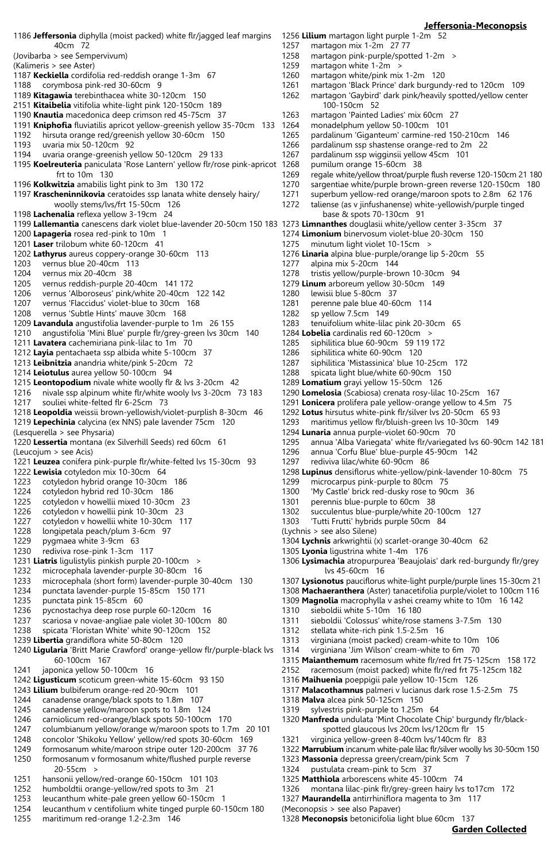## **Jeffersonia-Meconopsis**

1186 **Jeffersonia** diphylla (moist packed) white flr/jagged leaf margins 40cm 72 (Jovibarba > see Sempervivum) (Kalimeris > see Aster) 1187 **Keckiella** cordifolia red-reddish orange 1-3m 67 1188 corymbosa pink-red 30-60cm 9 1189 **Kitagawia** terebinthacea white 30-120cm 150 2151 **Kitaibelia** vitifolia white-light pink 120-150cm 189 1190 **Knautia** macedonica deep crimson red 45-75cm 37 1191 **Kniphofia** fluviatilis apricot yellow-greenish yellow 35-70cm 133 1192 hirsuta orange red/greenish yellow 30-60cm 150 uvaria mix 50-120cm 92 1194 uvaria orange-greenish yellow 50-120cm 29 133 1195 **Koelreuteria** paniculata 'Rose Lantern' yellow flr/rose pink-apricot frt to 10m 130 1196 **Kolkwitzia** amabilis light pink to 3m 130 172 1197 **Krascheninnikovia** ceratoides ssp lanata white densely hairy/ woolly stems/lvs/frt 15-50cm 126 1198 **Lachenalia** reflexa yellow 3-19cm 24 1199 **Lallemantia** canescens dark violet blue-lavender 20-50cm 150 183 1273 **Limnanthes** douglasii white/yellow center 3-35cm 37 1200 **Lapageria** rosea red-pink to 10m 1 1201 **Laser** trilobum white 60-120cm 41 1202 **Lathyrus** aureus coppery-orange 30-60cm 113 1203 vernus blue 20-40cm 113 1204 vernus mix 20-40cm 38<br>1205 vernus reddish-purple 20 vernus reddish-purple 20-40cm 141 172 1206 vernus 'Alboroseus' pink/white 20-40cm 122 142 1207 vernus 'Flaccidus' violet-blue to 30cm 168 vernus 'Subtle Hints' mauve 30cm 168 1209 **Lavandula** angustifolia lavender-purple to 1m 26 155 1210 angustifolia 'Mini Blue' purple flr/grey-green lvs 30cm 140 1211 **Lavatera** cachemiriana pink-lilac to 1m 70 1212 **Layia** pentachaeta ssp albida white 5-100cm 37 1213 **Leibnitzia** anandria white/pink 5-20cm 72 1214 **Leiotulus** aurea yellow 50-100cm 94 1215 **Leontopodium** nivale white woolly flr & lvs 3-20cm 42 1216 nivale ssp alpinum white flr/white wooly lvs 3-20cm 73 183 1217 souliei white-felted flr 6-25cm 73 1218 **Leopoldia** weissii brown-yellowish/violet-purplish 8-30cm 46 1219 **Lepechinia** calycina (ex NNS) pale lavender 75cm 120 (Lesquerella > see Physaria) 1220 **Lessertia** montana (ex Silverhill Seeds) red 60cm 61 (Leucojum > see Acis) 1221 **Leuzea** conifera pink-purple flr/white-felted lvs 15-30cm 93 1222 **Lewisia** cotyledon mix 10-30cm 64 1223 cotyledon hybrid orange 10-30cm 186 1224 cotyledon hybrid red 10-30cm 186 1225 cotyledon v howellii mixed 10-30cm 23 1226 cotyledon v howellii pink 10-30cm 23 1227 cotyledon v howellii white 10-30cm 117 1228 longipetala peach/plum 3-6cm 97 1229 pygmaea white 3-9cm 63 1230 rediviva rose-pink 1-3cm 117 1231 **Liatris** ligulistylis pinkish purple 20-100cm > 1232 microcephala lavender-purple 30-80cm 16 1233 microcephala (short form) lavender-purple 30-40cm 130 1234 punctata lavender-purple 15-85cm 150 171 1235 punctata pink 15-85cm 60 1236 pycnostachya deep rose purple 60-120cm 16 1237 scariosa v novae-angliae pale violet 30-100cm 80 1238 spicata 'Floristan White' white 90-120cm 152 1239 **Libertia** grandiflora white 50-80cm 120 1240 **Ligularia** 'Britt Marie Crawford' orange-yellow flr/purple-black lvs 60-100cm 167 1241 japonica yellow 50-100cm 16 1242 **Ligusticum** scoticum green-white 15-60cm 93 150 1243 **Lilium** bulbiferum orange-red 20-90cm 101 1244 canadense orange/black spots to 1.8m 107 1245 canadense yellow/maroon spots to 1.8m 124 1246 carniolicum red-orange/black spots 50-100cm 170 1247 columbianum yellow/orange w/maroon spots to 1.7m 20 101 1248 concolor 'Shikoku Yellow' yellow/red spots 30-60cm 169 1249 formosanum white/maroon stripe outer 120-200cm 37 76 1250 formosanum v formosanum white/flushed purple reverse 20-55cm > 1251 hansonii yellow/red-orange 60-150cm 101 103 1252 humboldtii orange-yellow/red spots to 3m 21 1253 leucanthum white-pale green yellow 60-150cm 1 1254 leucanthum v centifolium white tinged purple 60-150cm 180 1255 maritimum red-orange 1.2-2.3m 146

1256 **Lilium** martagon light purple 1-2m 52 1257 martagon mix 1-2m 27 77<br>1258 martagon pink-purple/spot 1258 martagon pink-purple/spotted 1-2m > 1259 martagon white 1-2m > martagon white  $1-2m$ 1260 martagon white/pink mix 1-2m 120 1261 martagon 'Black Prince' dark burgundy-red to 120cm 109 1262 martagon 'Gaybird' dark pink/heavily spotted/yellow center 100-150cm 52<br>1263 martagon 'Painted martagon 'Painted Ladies' mix 60cm 27 1264 monadelphum yellow 50-100cm 101 1265 pardalinum 'Giganteum' carmine-red 150-210cm 146 1266 pardalinum ssp shastense orange-red to 2m 22 1267 pardalinum ssp wigginsii yellow 45cm 101 1268 pumilum orange 15-60cm 38<br>1269 regale white/yellow throat/purp regale white/yellow throat/purple flush reverse 120-150cm 21 180 1270 sargentiae white/purple brown-green reverse 120-150cm 180 1271 superbum yellow-red orange/maroon spots to 2.8m 62 176 taliense (as v jinfushanense) white-yellowish/purple tinged base & spots 70-130cm 91 1274 **Limonium** binervosum violet-blue 20-30cm 150 1275 minutum light violet 10-15cm > 1276 **Linaria** alpina blue-purple/orange lip 5-20cm 55 1277 alpina mix 5-20cm 144 1278 tristis yellow/purple-brown 10-30cm 94 1279 **Linum** arboreum yellow 30-50cm 149 1280 lewisii blue 5-80cm 37 1281 perenne pale blue 40-60cm 114<br>1282 sp vellow 7.5cm 149 sp yellow 7.5cm 149 1283 tenuifolium white-lilac pink 20-30cm 65 1284 **Lobelia** cardinalis red 60-120cm > 1285 siphilitica blue 60-90cm 59 119 172 1286 siphilitica white 60-90cm 120 1287 siphilitica 'Mistassinica' blue 10-25cm 172 1288 spicata light blue/white 60-90cm 150 1289 **Lomatium** grayi yellow 15-50cm 126 1290 **Lomelosia** (Scabiosa) crenata rosy-lilac 10-25cm 167 1291 **Lonicera** prolifera pale yellow-orange yellow to 4.5m 75 1292 **Lotus** hirsutus white-pink flr/silver lvs 20-50cm 65 93 1293 maritimus yellow flr/bluish-green lvs 10-30cm 149 1294 **Lunaria** annua purple-violet 60-90cm 70 1295 annua 'Alba Variegata' white flr/variegated lvs 60-90cm 142 181 1296 annua 'Corfu Blue' blue-purple 45-90cm 142 1297 rediviva lilac/white 60-90cm 86 1298 **Lupinus** densiflorus white-yellow/pink-lavender 10-80cm 75 1299 microcarpus pink-purple to 80cm 75 1300 'My Castle' brick red-dusky rose to 90cm 36 1301 perennis blue-purple to 60cm 38 1302 succulentus blue-purple/white 20-100cm 127 1303 'Tutti Frutti' hybrids purple 50cm 84 (Lychnis > see also Silene) 1304 **Lychnis** arkwrightii (x) scarlet-orange 30-40cm 62 1305 **Lyonia** ligustrina white 1-4m 176 1306 **Lysimachia** atropurpurea 'Beaujolais' dark red-burgundy flr/grey lvs 45-60cm 16 1307 **Lysionotus** pauciflorus white-light purple/purple lines 15-30cm 21 1308 **Machaeranthera** (Aster) tanacetifolia purple/violet to 100cm 116 1309 **Magnolia** macrophylla v ashei creamy white to 10m 16 142 1310 sieboldii white 5-10m 16 180 1311 sieboldii 'Colossus' white/rose stamens 3-7.5m 130 1312 stellata white-rich pink 1.5-2.5m 16 1313 virginiana (moist packed) cream-white to 10m 106 1314 virginiana 'Jim Wilson' cream-white to 6m 70 1315 **Maianthemum** racemosum white flr/red frt 75-125cm 158 172 2152 racemosum (moist packed) white flr/red frt 75-125cm 182 1316 **Maihuenia** poeppigii pale yellow 10-15cm 126 1317 **Malacothamnus** palmeri v lucianus dark rose 1.5-2.5m 75

- 1318 **Malva** alcea pink 50-125cm 150
- 1319 sylvestris pink-purple to 1.25m 64
- 1320 **Manfreda** undulata 'Mint Chocolate Chip' burgundy flr/black spotted glaucous lvs 20cm lvs/120cm flr 15
- 1321 virginica yellow-green 8-40cm lvs/140cm flr 83
- 1322 **Marrubium** incanum white-pale lilac flr/silver woolly lvs 30-50cm 150
- 1323 **Massonia** depressa green/cream/pink 5cm 7
- 1324 pustulata cream-pink to 5cm 37
- 1325 **Matthiola** arborescens white 45-100cm 74
- 1326 montana lilac-pink flr/grey-green hairy lvs to17cm 172
- 1327 **Maurandella** antirrhiniflora magenta to 3m 117
- (Meconopsis > see also Papaver)

1328 **Meconopsis** betonicifolia light blue 60cm 137

**Garden Collected**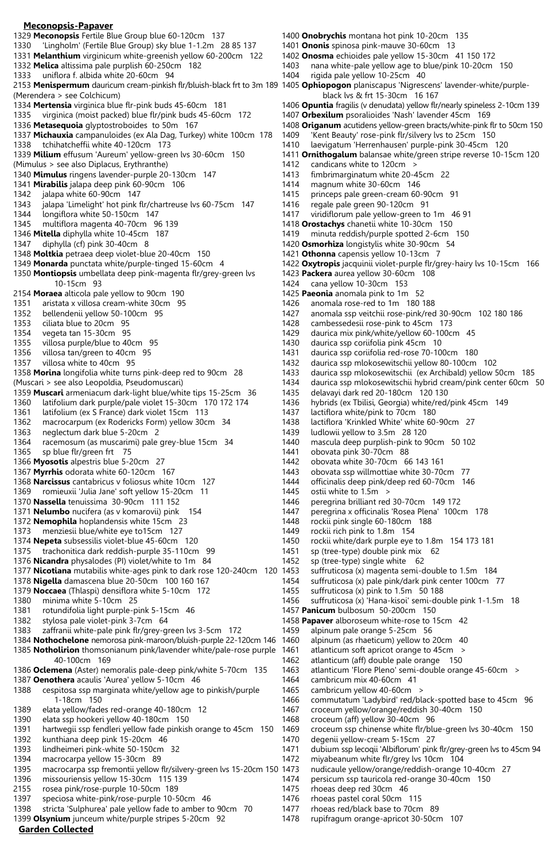#### **Meconopsis-Papaver** 1329 **Meconopsis** Fertile Blue Group blue 60-120cm 137 1330 'Lingholm' (Fertile Blue Group) sky blue 1-1.2m 28 85 137 1331 **Melanthium** virginicum white-greenish yellow 60-200cm 122 1332 **Melica** altissima pale purplish 60-250cm 182 1333 uniflora f. albida white 20-60cm 94 2153 **Menispermum** dauricum cream-pinkish flr/bluish-black frt to 3m 189 1405 **Ophiopogon** planiscapus 'Nigrescens' lavender-white/purple- (Merendera > see Colchicum) 1334 **Mertensia** virginica blue flr-pink buds 45-60cm 181 1335 virginica (moist packed) blue flr/pink buds 45-60cm 172 1336 **Metasequoia** glyptostroboides to 50m 167 1337 **Michauxia** campanuloides (ex Ala Dag, Turkey) white 100cm 178 1338 tchihatcheffii white 40-120cm 173 1339 **Milium** effusum 'Aureum' yellow-green lvs 30-60cm 150 (Mimulus > see also Diplacus, Erythranthe) 1340 **Mimulus** ringens lavender-purple 20-130cm 147 1341 **Mirabilis** jalapa deep pink 60-90cm 106 1342 jalapa white 60-90cm 147<br>1343 ialapa 'Limelight' hot pink f jalapa 'Limelight' hot pink flr/chartreuse lvs 60-75cm 147 1344 longiflora white 50-150cm 147 1345 multiflora magenta 40-70cm 96 139 1346 **Mitella** diphylla white 10-45cm 187 1347 diphylla (cf) pink 30-40cm 8 1348 **Moltkia** petraea deep violet-blue 20-40cm 150 1349 **Monarda** punctata white/purple-tinged 15-60cm 4 1350 **Montiopsis** umbellata deep pink-magenta flr/grey-green lvs 10-15cm 93 2154 **Moraea** alticola pale yellow to 90cm 190 1351 aristata x villosa cream-white 30cm 95 bellendenii yellow 50-100cm 95 1353 ciliata blue to 20cm 95 1354 vegeta tan 15-30cm 95 1355 villosa purple/blue to 40cm 95 1356 villosa tan/green to 40cm 95 1357 villosa white to 40cm 95 1358 **Morina** longifolia white turns pink-deep red to 90cm 28 (Muscari > see also Leopoldia, Pseudomuscari) 1359 **Muscari** armeniacum dark-light blue/white tips 15-25cm 36 1360 latifolium dark purple/pale violet 15-30cm 170 172 174 1361 latifolium (ex S France) dark violet 15cm 113 1362 macrocarpum (ex Rodericks Form) yellow 30cm 34 1363 neglectum dark blue 5-20cm 2 1364 racemosum (as muscarimi) pale grey-blue 15cm 34 1365 sp blue flr/green frt 75 1366 **Myosotis** alpestris blue 5-20cm 27 1367 **Myrrhis** odorata white 60-120cm 167 1368 **Narcissus** cantabricus v foliosus white 10cm 127 1369 romieuxii 'Julia Jane' soft yellow 15-20cm 11 1370 **Nassella** tenuissima 30-90cm 111 152 1371 **Nelumbo** nucifera (as v komarovii) pink 154 1372 **Nemophila** hoplandensis white 15cm 23 1373 menziesii blue/white eye to15cm 127 1374 **Nepeta** subsessilis violet-blue 45-60cm 120 1375 trachonitica dark reddish-purple 35-110cm 99 1376 **Nicandra** physalodes (PI) violet/white to 1m 84 1377 **Nicotiana** mutabilis white-ages pink to dark rose 120-240cm 120 1378 **Nigella** damascena blue 20-50cm 100 160 167 1379 **Noccaea** (Thlaspi) densiflora white 5-10cm 172 1380 minima white 5-10cm 25 1381 rotundifolia light purple-pink 5-15cm 46 1382 stylosa pale violet-pink 3-7cm 64 1383 zaffranii white-pale pink flr/grey-green lvs 3-5cm 172 1384 **Nothochelone** nemorosa pink-maroon/bluish-purple 22-120cm 146 1385 **Notholirion** thomsonianum pink/lavender white/pale-rose purple 40-100cm 169 1386 **Oclemena** (Aster) nemoralis pale-deep pink/white 5-70cm 135 1387 **Oenothera** acaulis 'Aurea' yellow 5-10cm 46 1388 cespitosa ssp marginata white/yellow age to pinkish/purple 1-18cm 150 1389 elata yellow/fades red-orange 40-180cm 12 1390 elata ssp hookeri yellow 40-180cm 150 1391 hartwegii ssp fendleri yellow fade pinkish orange to 45cm 150 1392 kunthiana deep pink 15-20cm 46 1393 lindheimeri pink-white 50-150cm 32 1394 macrocarpa yellow 15-30cm 89 macrocarpa ssp fremontii yellow flr/silvery-green lvs 15-20cm 150 1473 1396 missouriensis yellow 15-30cm 115 139 2155 rosea pink/rose-purple 10-50cm 189 1397 speciosa white-pink/rose-purple 10-50cm 46 1398 stricta 'Sulphurea' pale yellow fade to amber to 90cm 70

- 1400 **Onobrychis** montana hot pink 10-20cm 135 1401 **Ononis** spinosa pink-mauve 30-60cm 13 1402 **Onosma** echioides pale yellow 15-30cm 41 150 172
- 1403 nana white-pale yellow age to blue/pink 10-20cm 150
- 1404 rigida pale yellow 10-25cm 40
- black lvs & frt 15-30cm 16 167
- 1406 **Opuntia** fragilis (v denudata) yellow flr/nearly spineless 2-10cm 139
- 1407 **Orbexilum** psoralioides 'Nash' lavender 45cm 169
- 1408 **Origanum** acutidens yellow-green bracts/white-pink flr to 50cm 150
- 1409 'Kent Beauty' rose-pink flr/silvery lvs to 25cm 150
	- laevigatum 'Herrenhausen' purple-pink 30-45cm 120
	- 1411 **Ornithogalum** balansae white/green stripe reverse 10-15cm 120
- 1412 candicans white to 120cm ><br>1413 fimbrimarginatum white 20-4
- fimbrimarginatum white 20-45cm 22
- 1414 magnum white 30-60cm 146
- 1415 princeps pale green-cream 60-90cm 91<br>1416 regale pale green 90-120cm 91
- regale pale green 90-120cm 91
- 1417 viridiflorum pale yellow-green to 1m 46 91
- 1418 **Orostachys** chanetii white 10-30cm 150
- minuta reddish/purple spotted 2-6cm 150
- 1420 **Osmorhiza** longistylis white 30-90cm 54
- 1421 **Othonna** capensis yellow 10-13cm 7
- 1422 **Oxytropis** jacquinii violet-purple flr/grey-hairy lvs 10-15cm 166
- 1423 **Packera** aurea yellow 30-60cm 108
- cana yellow 10-30cm 153
- 1425 **Paeonia** anomala pink to 1m 52
- 1426 anomala rose-red to 1m 180 188<br>1427 anomala ssp veitchii rose-pink/rec
- anomala ssp veitchii rose-pink/red 30-90cm 102 180 186
- 1428 cambessedesii rose-pink to 45cm 173
- 1429 daurica mix pink/white/yellow 60-100cm 45
- 1430 daurica ssp coriifolia pink 45cm 10
- 1431 daurica ssp coriifolia red-rose 70-100cm 180
- 1432 daurica ssp mlokosewitschii yellow 80-100cm 102
- 1433 daurica ssp mlokosewitschii (ex Archibald) yellow 50cm 185
- 1434 daurica ssp mlokosewitschii hybrid cream/pink center 60cm 50
- 1435 delavayi dark red 20-180cm 120 130
- 1436 hybrids (ex Tbilisi, Georgia) white/red/pink 45cm 149
- 1437 lactiflora white/pink to 70cm 180
- 1438 lactiflora 'Krinkled White' white 60-90cm 27
- 1439 ludlowii yellow to 3.5m 28 120
- 1440 mascula deep purplish-pink to 90cm 50 102
- obovata pink 30-70cm 88
- 1442 obovata white 30-70cm 66 143 161
- 1443 obovata ssp willmottiae white 30-70cm 77
- 1444 officinalis deep pink/deep red 60-70cm 146
- 1445 ostii white to 1.5m >
- 1446 peregrina brilliant red 30-70cm 149 172
- 1447 peregrina x officinalis 'Rosea Plena' 100cm 178
- 1448 rockii pink single 60-180cm 188
- 1449 rockii rich pink to 1.8m 154
- 1450 rockii white/dark purple eye to 1.8m 154 173 181
- 1451 sp (tree-type) double pink mix 62
- 1452 sp (tree-type) single white 62
- suffruticosa (x) magenta semi-double to 1.5m 184
- 1454 suffruticosa (x) pale pink/dark pink center 100cm 77
- 1455 suffruticosa (x) pink to 1.5m 50 188
- 1456 suffruticosa (x) 'Hana-kisoi' semi-double pink 1-1.5m 18
- 1457 **Panicum** bulbosum 50-200cm 150
- 1458 **Papaver** alboroseum white-rose to 15cm 42
- 1459 alpinum pale orange 5-25cm 56
- alpinum (as rhaeticum) yellow to 20cm 40
- 1461 atlanticum soft apricot orange to 45cm >
- 1462 atlanticum (aff) double pale orange 150
	- 1463 atlanticum 'Flore Pleno' semi-double orange 45-60cm >
	- 1464 cambricum mix 40-60cm 41 1465 cambricum yellow 40-60cm >
	- 1466 commutatum 'Ladybird' red/black-spotted base to 45cm 96
	- 1467 croceum yellow/orange/reddish 30-40cm 150
- 1468 croceum (aff) yellow 30-40cm 96
- 1469 croceum ssp chinense white flr/blue-green lvs 30-40cm 150
	- 1470 degenii yellow-cream 5-15cm 27
- 1471 dubium ssp lecoqii 'Albiflorum' pink flr/grey-green lvs to 45cm 94 1472 miyabeanum white flr/grey lvs 10cm 104
- nudicaule yellow/orange/reddish-orange 10-40cm 27
- 1474 persicum ssp tauricola red-orange 30-40cm 150
	- 1475 rhoeas deep red 30cm 46
	- 1476 rhoeas pastel coral 50cm 115
- 1477 rhoeas red/black base to 70cm 89
- 1478 rupifragum orange-apricot 30-50cm 107
- **Garden Collected** 1399 **Olsynium** junceum white/purple stripes 5-20cm 92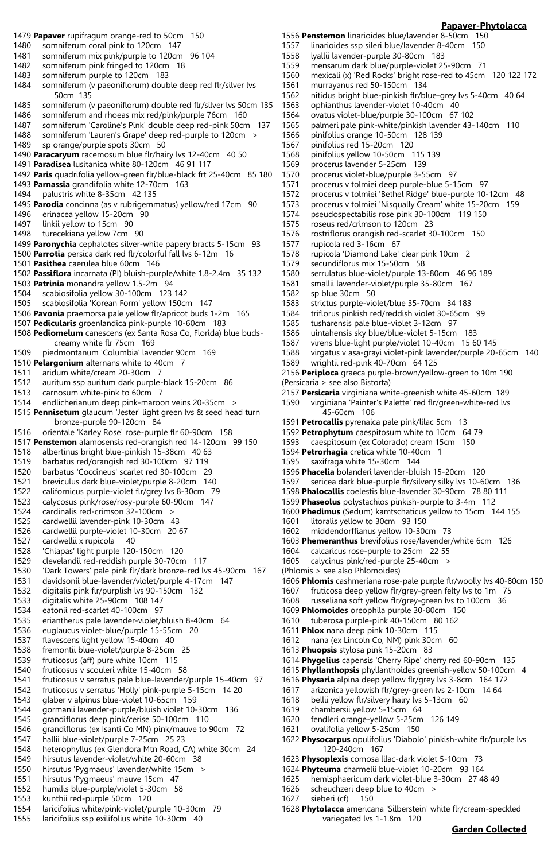## 1479 **Papaver** rupifragum orange-red to 50cm 150 1480 somniferum coral pink to 120cm 147 1481 somniferum mix pink/purple to 120cm 96 104<br>1482 somniferum pink fringed to 120cm 18 somniferum pink fringed to 120cm 18 1483 somniferum purple to 120cm 183 1484 somniferum (v paeoniflorum) double deep red flr/silver lvs 50cm 135 1485 somniferum (v paeoniflorum) double red flr/silver lvs 50cm 135<br>1486 somniferum and rhoeas mix red/pink/purple 76cm 160 somniferum and rhoeas mix red/pink/purple 76cm 160 1487 somniferum 'Caroline's Pink' double deep red-pink 50cm 137 1488 somniferum 'Lauren's Grape' deep red-purple to 120cm > 1489 sp orange/purple spots 30cm 50 1490 **Paracaryum** racemosum blue flr/hairy lvs 12-40cm 40 50 1491 **Paradisea** lusitanica white 80-120cm 46 91 117 1492 **Paris** quadrifolia yellow-green flr/blue-black frt 25-40cm 85 180 1493 **Parnassia** grandifolia white 12-70cm 163 1494 palustris white 8-35cm 42 135 1495 **Parodia** concinna (as v rubrigemmatus) yellow/red 17cm 90 1496 erinacea yellow 15-20cm 90 1497 linkii yellow to 15cm 90<br>1498 turecekiana vellow 7cm turecekiana yellow 7cm 90 1499 **Paronychia** cephalotes silver-white papery bracts 5-15cm 93 1500 **Parrotia** persica dark red flr/colorful fall lvs 6-12m 16 1501 **Pasithea** caerulea blue 60cm 146 1502 **Passiflora** incarnata (PI) bluish-purple/white 1.8-2.4m 35 132 1503 **Patrinia** monandra yellow 1.5-2m 94 1504 scabiosifolia yellow 30-100cm 123 142 1505 scabiosifolia 'Korean Form' yellow 150cm 147 1506 **Pavonia** praemorsa pale yellow flr/apricot buds 1-2m 165 1507 **Pedicularis** groenlandica pink-purple 10-60cm 183 creamy white flr 75cm 169 1510 **Pelargonium** alternans white to 40cm 7 1512 auritum ssp auritum dark purple-black 15-20cm 86 1514 endlicherianum deep pink-maroon veins 20-35cm > bronze-purple 90-120cm<sup>3</sup>4 1516 orientale 'Karley Rose' rose-purple flr 60-90cm 158 1517 **Penstemon** alamosensis red-orangish red 14-120cm 99 150 1518 albertinus bright blue-pinkish 15-38cm 40 63 1519 barbatus red/orangish red 30-100cm 97 119 1520 barbatus 'Coccineus' scarlet red 30-100cm 29 1521 breviculus dark blue-violet/purple 8-20cm 140 1522 californicus purple-violet flr/grey lvs 8-30cm 79 1523 calycosus pink/rose/rosy-purple 60-90cm 147 1524 cardinalis red-crimson 32-100cm > 1525 cardwellii lavender-pink 10-30cm 43 1526 cardwellii purple-violet 10-30cm 20 67 1527 cardwellii x rupicola 40 1528 'Chiapas' light purple 120-150cm 120 1529 clevelandii red-reddish purple 30-70cm 117 'Dark Towers' pale pink flr/dark bronze-red lvs 45-90cm 167 1531 davidsonii blue-lavender/violet/purple 4-17cm 147 1532 digitalis pink flr/purplish lvs 90-150cm 132 1533 digitalis white 25-90cm 108 147 1534 eatonii red-scarlet 40-100cm 97 1535 eriantherus pale lavender-violet/bluish 8-40cm 64 1536 euglaucus violet-blue/purple 15-55cm 20 1537 flavescens light yellow 15-40cm 40 1538 fremontii blue-violet/purple 8-25cm 25 1539 fruticosus (aff) pure white 10cm 115 1540 fruticosus v scouleri white 15-40cm 58<br>1541 fruticosus v serratus pale blue-lavender, fruticosus v serratus pale blue-lavender/purple 15-40cm 97 1542 fruticosus v serratus 'Holly' pink-purple 5-15cm 14 20 1543 glaber v alpinus blue-violet 10-65cm 159 1544 gormanii lavender-purple/bluish violet 10-30cm 136 1545 grandiflorus deep pink/cerise 50-100cm 110 1546 grandiflorus (ex Isanti Co MN) pink/mauve to 90cm 72 1547 hallii blue-violet/purple 7-25cm 25 23 heterophyllus (ex Glendora Mtn Road, CA) white 30cm 24 1549 hirsutus lavender-violet/white 20-60cm 38 hirsutus 'Pygmaeus' lavender/white 15cm >

- 1551 hirsutus 'Pygmaeus' mauve 15cm 47
- 1552 humilis blue-purple/violet 5-30cm 58
- 1553 kunthii red-purple 50cm 120
- 1554 laricifolius white/pink-violet/purple 10-30cm 79
- 1555 laricifolius ssp exilifolius white 10-30cm 40
- 1556 **Penstemon** linarioides blue/lavender 8-50cm 150
- 1557 linarioides ssp sileri blue/lavender 8-40cm 150
- 1558 lyallii lavender-purple 30-80cm 183
- 1559 mensarum dark blue/purple-violet 25-90cm 71
- 1560 mexicali (x) 'Red Rocks' bright rose-red to 45cm 120 122 172
- 1561 murrayanus red 50-150cm 134<br>1562 nitidus bright blue-pinkish flr/bl
	- nitidus bright blue-pinkish flr/blue-grey lvs 5-40cm 40 64
- 1563 ophianthus lavender-violet 10-40cm 40
	- ovatus violet-blue/purple 30-100cm 67 102
- 1565 palmeri pale pink-white/pinkish lavender 43-140cm 110
- 1566 pinifolius orange 10-50cm 128 139
- 1567 pinifolius red 15-20cm 120
- 1568 pinifolius yellow 10-50cm 115 139
- 1569 procerus lavender 5-25cm 139<br>1570 procerus violet-blue/purple 3-5
- procerus violet-blue/purple 3-55cm 97
- 1571 procerus v tolmiei deep purple-blue 5-15cm 97
- 1572 procerus v tolmiei 'Bethel Ridge' blue-purple 10-12cm 48 procerus v tolmiei 'Nisqually Cream' white 15-20cm 159
- 
- 1574 pseudospectabilis rose pink 30-100cm 119 150
- 1575 roseus red/crimson to 120cm 23<br>1576 rostriflorus orangish red-scarlet 30 rostriflorus orangish red-scarlet 30-100cm 150
	-
- 1577 rupicola red 3-16cm 67<br>1578 rupicola 'Diamond Lake' rupicola 'Diamond Lake' clear pink 10cm 2
- 1579 secundiflorus mix 15-50cm 58
- 1580 serrulatus blue-violet/purple 13-80cm 46 96 189
	- smallii lavender-violet/purple 35-80cm 167
- 1582 sp blue 30cm 50
- 1583 strictus purple-violet/blue 35-70cm 34 183
- triflorus pinkish red/reddish violet 30-65cm 99
- 1585 tusharensis pale blue-violet 3-12cm 97
- 1586 uintahensis sky blue/blue-violet 5-15cm 183
- 1587 virens blue-light purple/violet 10-40cm 15 60 145
- 1588 virgatus v asa-grayi violet-pink lavender/purple 20-65cm 140
- 1589 wrightii red-pink 40-70cm 64 125 2156 **Periploca** graeca purple-brown/yellow-green to 10m 190

(Persicaria > see also Bistorta)

2157 **Persicaria** virginiana white-greenish white 45-60cm 189

1590 virginiana 'Painter's Palette' red flr/green-white-red lvs 45-60cm 106

- 1591 **Petrocallis** pyrenaica pale pink/lilac 5cm 13
- 1592 **Petrophytum** caespitosum white to 10cm 64 79
- caespitosum (ex Colorado) cream 15cm 150
- 1594 **Petrorhagia** cretica white 10-40cm 1
- 1595 saxifraga white 15-30cm 144
- 1596 **Phacelia** bolanderi lavender-bluish 15-20cm 120
- 1597 sericea dark blue-purple flr/silvery silky lvs 10-60cm 136
- 1598 **Phalocallis** coelestis blue-lavender 30-90cm 78 80 111
- 1599 **Phaseolus** polystachios pinkish-purple to 3-4m 112
- 1600 **Phedimus** (Sedum) kamtschaticus yellow to 15cm 144 155
- 1601 litoralis yellow to 30cm 93 150
- 1602 middendorffianus yellow 10-30cm 73
- 1603 **Phemeranthus** brevifolius rose/lavender/white 6cm 126
- 1604 calcaricus rose-purple to 25cm 22 55
- 1605 calycinus pink/red-purple 25-40cm >
- (Phlomis > see also Phlomoides)
- 1606 **Phlomis** cashmeriana rose-pale purple flr/woolly lvs 40-80cm 150
- 1607 fruticosa deep yellow flr/grey-green felty lvs to 1m 75
- 1608 russeliana soft yellow flr/grey-green lvs to 100cm 36
- 1609 **Phlomoides** oreophila purple 30-80cm 150
- 1610 tuberosa purple-pink 40-150cm 80 162
- 1611 **Phlox** nana deep pink 10-30cm 115
- 1612 nana (ex Lincoln Co, NM) pink 30cm 60
- 1613 **Phuopsis** stylosa pink 15-20cm 83
- 1614 **Phygelius** capensis 'Cherry Ripe' cherry red 60-90cm 135
- 1615 **Phyllanthopsis** phyllanthoides greenish-yellow 50-100cm 4
- 1616 **Physaria** alpina deep yellow flr/grey lvs 3-8cm 164 172
- 1617 arizonica yellowish flr/grey-green lvs 2-10cm 14 64
- 1618 bellii yellow flr/silvery hairy lvs 5-13cm 60
- 1619 chambersii yellow 5-15cm 64
- 1620 fendleri orange-yellow 5-25cm 126 149
- 1621 ovalifolia yellow 5-25cm 150
- 1622 **Physocarpus** opulifolius 'Diabolo' pinkish-white flr/purple lvs 120-240cm 167
- 1623 **Physoplexis** comosa lilac-dark violet 5-10cm 73
- 1624 **Phyteuma** charmelii blue-violet 10-20cm 93 164
- 1625 hemisphaericum dark violet-blue 3-30cm 27 48 49
- 1626 scheuchzeri deep blue to 40cm >
- 1627 sieberi (cf) 150
- 1628 **Phytolacca** americana 'Silberstein' white flr/cream-speckled variegated lvs 1-1.8m 120

# **Garden Collected**

# **Papaver-Phytolacca**

- 1508 **Pediomelum** canescens (ex Santa Rosa Co, Florida) blue buds-
- 1509 piedmontanum 'Columbia' lavender 90cm 169
- 
- 1511 aridum white/cream 20-30cm 7
- 
- 1513 carnosum white-pink to 60cm 7
- 
- 1515 **Pennisetum** glaucum 'Jester' light green lvs & seed head turn
- 
- 
- 
- 
- 
- 
- 
-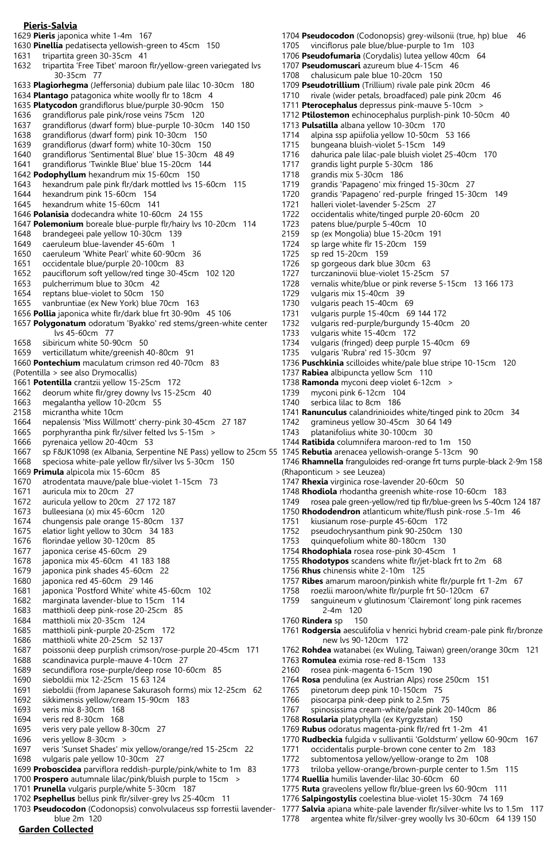#### **Pieris-Salvia**

1629 **Pieris** japonica white 1-4m 167

- 1630 **Pinellia** pedatisecta yellowish-green to 45cm 150
- 1631 tripartita green 30-35cm 41
- 1632 tripartita 'Free Tibet' maroon flr/yellow-green variegated lvs 30-35cm 77 1633 **Plagiorhegma** (Jeffersonia) dubium pale lilac 10-30cm 180
- 1634 **Plantago** patagonica white woolly flr to 18cm 4
- 1635 **Platycodon** grandiflorus blue/purple 30-90cm 150
- 1636 grandiflorus pale pink/rose veins 75cm 120
- 1637 grandiflorus (dwarf form) blue-purple 10-30cm 140 150
- 1638 grandiflorus (dwarf form) pink 10-30cm 150
- 1639 grandiflorus (dwarf form) white 10-30cm 150
- 1640 grandiflorus 'Sentimental Blue' blue 15-30cm 48 49
- 1641 grandiflorus 'Twinkle Blue' blue 15-20cm 144 1642 **Podophyllum** hexandrum mix 15-60cm 150
- 1643 hexandrum pale pink flr/dark mottled lvs 15-60cm 115
- 
- 1644 hexandrum pink 15-60cm 154<br>1645 hexandrum white 15-60cm 14 hexandrum white 15-60cm 141
- 1646 **Polanisia** dodecandra white 10-60cm 24 155
- 1647 **Polemonium** boreale blue-purple flr/hairy lvs 10-20cm 114
- 1648 brandegeei pale yellow 10-30cm 139
- 1649 caeruleum blue-lavender 45-60m 1<br>1650 caeruleum 'White Pearl' white 60-90
- caeruleum 'White Pearl' white 60-90cm 36
- 1651 occidentale blue/purple 20-100cm 83
- 1652 pauciflorum soft yellow/red tinge 30-45cm 102 120
- pulcherrimum blue to 30cm 42
- 1654 reptans blue-violet to 50cm 150
- 1655 vanbruntiae (ex New York) blue 70cm 163 1656 **Pollia** japonica white flr/dark blue frt 30-90m 45 106
- 1657 **Polygonatum** odoratum 'Byakko' red stems/green-white center lvs 45-60cm 77
- 1658 sibiricum white 50-90cm 50
- 1659 verticillatum white/greenish 40-80cm 91
- 1660 **Pontechium** maculatum crimson red 40-70cm 83
- (Potentilla > see also Drymocallis)
- 1661 **Potentilla** crantzii yellow 15-25cm 172
- 1662 deorum white flr/grey downy lvs 15-25cm 40
- 1663 megalantha yellow 10-20cm 55
- 2158 micrantha white 10cm
- 1664 nepalensis 'Miss Willmott' cherry-pink 30-45cm 27 187
- 1665 porphyrantha pink flr/silver felted lvs 5-15m >
- 1666 pyrenaica yellow 20-40cm 53
- 1667 sp F&JK1098 (ex Albania, Serpentine NE Pass) yellow to 25cm 55 1745 **Rebutia** arenacea yellowish-orange 5-13cm 90
- 1668 speciosa white-pale yellow flr/silver lvs 5-30cm 150 1669 **Primula** alpicola mix 15-60cm 85
- 1670 atrodentata mauve/pale blue-violet 1-15cm 73
- 1671 auricula mix to 20cm 27
- 1672 auricula yellow to 20cm 27 172 187
- 1673 bulleesiana (x) mix 45-60cm 120
- 1674 chungensis pale orange 15-80cm 137
- 1675 elatior light yellow to 30cm 34 183
- 1676 florindae yellow 30-120cm 85
- 1677 japonica cerise 45-60cm 29
- 1678 japonica mix 45-60cm 41 183 188
- 1679 japonica pink shades 45-60cm 22
- 1680 japonica red 45-60cm 29 146
- 1681 japonica 'Postford White' white 45-60cm 102
- 1682 marginata lavender-blue to 15cm 114 1683 matthioli deep pink-rose 20-25cm 85
- 1684 matthioli mix 20-35cm 124
- 
- 1685 matthioli pink-purple 20-25cm 172 1686 matthioli white 20-25cm 52 137
- 1687 poissonii deep purplish crimson/rose-purple 20-45cm 171
- 1688 scandinavica purple-mauve 4-10cm 27
- 1689 secundiflora rose-purple/deep rose 10-60cm 85
- sieboldii mix 12-25cm 15 63 124
- 1691 sieboldii (from Japanese Sakurasoh forms) mix 12-25cm 62
- 1692 sikkimensis yellow/cream 15-90cm 183
- 1693 veris mix 8-30cm 168
- 1694 veris red 8-30cm 168
- 1695 veris very pale yellow 8-30cm 27
- 1696 veris yellow 8-30cm >
- 1697 veris 'Sunset Shades' mix yellow/orange/red 15-25cm 22
- 1698 vulgaris pale yellow 10-30cm 27
- 1699 **Proboscidea** parviflora reddish-purple/pink/white to 1m 83
- 1700 **Prospero** autumnale lilac/pink/bluish purple to 15cm > 1701 **Prunella** vulgaris purple/white 5-30cm 187
- 
- 1702 **Psephellus** bellus pink flr/silver-grey lvs 25-40cm 11
- **Garden Collected** 1703 **Pseudocodon** (Codonopsis) convolvulaceus ssp forrestii lavender blue 2m 120
- 1704 **Pseudocodon** (Codonopsis) grey-wilsonii (true, hp) blue 46 1705 vinciflorus pale blue/blue-purple to 1m 103 1706 **Pseudofumaria** (Corydalis) lutea yellow 40cm 64 1707 **Pseudomuscari** azureum blue 4-15cm 46 1708 chalusicum pale blue 10-20cm 150 1709 **Pseudotrillium** (Trillium) rivale pale pink 20cm 46 1710 rivale (wider petals, broadfaced) pale pink 20cm 46 1711 **Pterocephalus** depressus pink-mauve 5-10cm > 1712 **Ptilostemon** echinocephalus purplish-pink 10-50cm 40 1713 **Pulsatilla** albana yellow 10-30cm 170 1714 alpina ssp apiifolia yellow 10-50cm 53 166<br>1715 bungeana bluish-violet 5-15cm 149 bungeana bluish-violet 5-15cm 149 1716 dahurica pale lilac-pale bluish violet 25-40cm 170 1717 grandis light purple 5-30cm 186<br>1718 grandis mix 5-30cm 186 grandis mix 5-30cm 186 1719 grandis 'Papageno' mix fringed 15-30cm 27 1720 grandis 'Papageno' red-purple fringed 15-30cm 149 halleri violet-lavender 5-25cm 27 1722 occidentalis white/tinged purple 20-60cm 20
- 1723 patens blue/purple 5-40cm 10<br>2159 sp (ex Mongolia) blue 15-20cm
- sp (ex Mongolia) blue 15-20cm 191
- 1724 sp large white flr 15-20cm 159<br>1725 sp red 15-20cm 159 sp red 15-20cm 159
- 1726 sp gorgeous dark blue 30cm 63
- 
- 1727 turczaninovii blue-violet 15-25cm 57<br>1728 vernalis white/blue or pink reverse 5-1 vernalis white/blue or pink reverse 5-15cm 13 166 173
- 1729 vulgaris mix 15-40cm 39
- 1730 vulgaris peach 15-40cm 69<br>1731 vulgaris purple 15-40cm 69
- vulgaris purple 15-40cm 69 144 172
- 1732 vulgaris red-purple/burgundy 15-40cm 20
- 1733 vulgaris white 15-40cm 172
- 1734 vulgaris (fringed) deep purple 15-40cm 69
- 1735 vulgaris 'Rubra' red 15-30cm 97
- 1736 **Puschkinia** scilloides white/pale blue stripe 10-15cm 120
- 1737 **Rabiea** albipuncta yellow 5cm 110
- 1738 **Ramonda** myconi deep violet 6-12cm >
- 1739 myconi pink 6-12cm 104
- 1740 serbica lilac to 8cm 186
- 1741 **Ranunculus** calandrinioides white/tinged pink to 20cm 34
- 1742 gramineus yellow 30-45cm 30 64 149

1751 kiusianum rose-purple 45-60cm 172 1752 pseudochrysanthum pink 90-250cm 130 1753 quinquefolium white 80-180cm 130 1754 **Rhodophiala** rosea rose-pink 30-45cm 1

new lvs 90-120cm 172

1763 **Romulea** eximia rose-red 8-15cm 133 2160 rosea pink-magenta 6-15cm 190

1765 pinetorum deep pink 10-150cm 75 1766 pisocarpa pink-deep pink to 2.5m 75

1768 **Rosularia** platyphylla (ex Kyrgyzstan) 150 1769 **Rubus** odoratus magenta-pink flr/red frt 1-2m 41

1774 **Ruellia** humilis lavender-lilac 30-60cm 60

1756 **Rhus** chinensis white 2-10m 125

2-4m 120

1760 **Rindera** sp 150

- 1743 platanifolius white 30-100cm 30
- 1744 **Ratibida** columnifera maroon-red to 1m 150
- 
- 1746 **Rhamnella** franguloides red-orange frt turns purple-black 2-9m 158 (Rhaponticum > see Leuzea)
- 1747 **Rhexia** virginica rose-lavender 20-60cm 50
- 1748 **Rhodiola** rhodantha greenish white-rose 10-60cm 183 1749 rosea pale green-yellow/red tip flr/blue-green lvs 5-40cm 124 187

1755 **Rhodotypos** scandens white flr/jet-black frt to 2m 68

1758 roezlii maroon/white flr/purple frt 50-120cm 67

1764 **Rosa** pendulina (ex Austrian Alps) rose 250cm 151

1767 spinosissima cream-white/pale pink 20-140cm 86

1771 occidentalis purple-brown cone center to 2m 183 1772 subtomentosa yellow/yellow-orange to 2m 108 1773 triloba yellow-orange/brown-purple center to 1.5m 115

1775 **Ruta** graveolens yellow flr/blue-green lvs 60-90cm 111 1776 **Salpingostylis** coelestina blue-violet 15-30cm 74 169

1757 **Ribes** amarum maroon/pinkish white flr/purple frt 1-2m 67

1759 sanguineum v glutinosum 'Clairemont' long pink racemes

1761 **Rodgersia** aesculifolia v henrici hybrid cream-pale pink flr/bronze

1762 **Rohdea** watanabei (ex Wuling, Taiwan) green/orange 30cm 121

1770 **Rudbeckia** fulgida v sullivantii 'Goldsturm' yellow 60-90cm 167

1777 **Salvia** apiana white-pale lavender flr/silver-white lvs to 1.5m 117 1778 argentea white flr/silver-grey woolly lvs 30-60cm 64 139 150

1750 **Rhododendron** atlanticum white/flush pink-rose .5-1m 46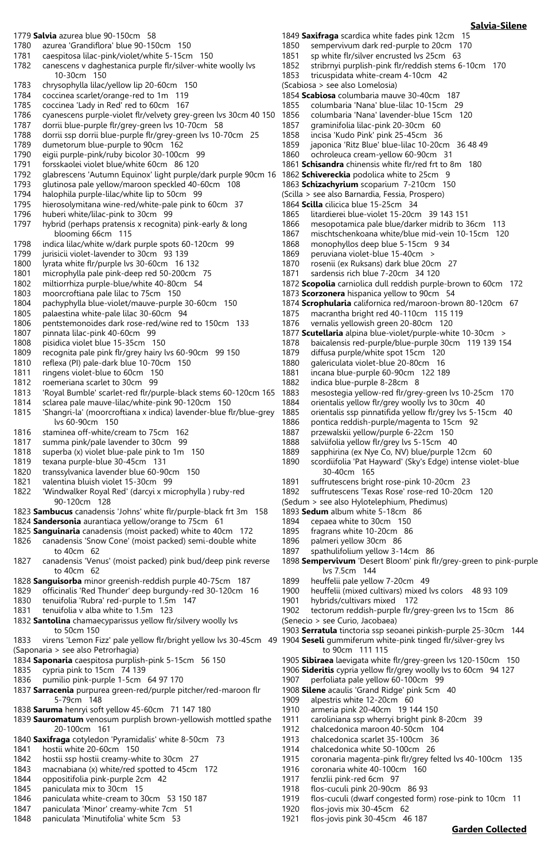#### 1779 **Salvia** azurea blue 90-150cm 58 1780 azurea 'Grandiflora' blue 90-150cm 150 1781 caespitosa lilac-pink/violet/white 5-15cm 150<br>1782 canescens v daghestanica purple flr/silver-whit canescens v daghestanica purple flr/silver-white woolly lvs 10-30cm 150 1783 chrysophylla lilac/yellow lip 20-60cm 150 1784 coccinea scarlet/orange-red to 1m 119 1785 coccinea 'Lady in Red' red to 60cm 167<br>1786 cyanescens purple-violet flr/velvety grev cyanescens purple-violet flr/velvety grey-green lvs 30cm 40 150 1787 dorrii blue-purple flr/grey-green lvs 10-70cm 58 1788 dorrii ssp dorrii blue-purple flr/grey-green lvs 10-70cm 25 dumetorum blue-purple to 90cm 162 1790 eigii purple-pink/ruby bicolor 30-100cm 99 1791 forsskaolei violet blue/white 60cm 86 120 1792 glabrescens 'Autumn Equinox' light purple/dark purple 90cm 16<br>1793 alutinosa pale vellow/maroon speckled 40-60cm 108 glutinosa pale yellow/maroon speckled 40-60cm 108 1794 halophila purple-lilac/white lip to 50cm 99<br>1795 hierosolymitana wine-red/white-pale pink to hierosolymitana wine-red/white-pale pink to 60cm 37 1796 huberi white/lilac-pink to 30cm 99 1797 hybrid (perhaps pratensis x recognita) pink-early & long blooming 66cm 115 1798 indica lilac/white w/dark purple spots 60-120cm 99<br>1799 iurisicii violet-lavender to 30cm 93 139 1799 jurisicii violet-lavender to 30cm 93 139 lyrata white flr/purple lvs 30-60cm 16 132 1801 microphylla pale pink-deep red 50-200cm 75<br>1802 miltiorrhiza purple-blue/white 40-80cm 54 miltiorrhiza purple-blue/white 40-80cm 54 1803 moorcroftiana pale lilac to 75cm 150 1804 pachyphylla blue-violet/mauve-purple 30-60cm 150 1805 palaestina white-pale lilac 30-60cm 94 1806 pentstemonoides dark rose-red/wine red to 150cm 133 1807 pinnata lilac-pink 40-60cm 99 1808 pisidica violet blue 15-35cm 150 1809 recognita pale pink flr/grey hairy lvs 60-90cm 99 150 1810 reflexa (PI) pale-dark blue 10-70cm 150 1811 ringens violet-blue to 60cm 150 1812 roemeriana scarlet to 30cm 99 1813 'Royal Bumble' scarlet-red flr/purple-black stems 60-120cm 165 1814 sclarea pale mauve-lilac/white-pink 90-120cm 150 1815 'Shangri-la' (moorcroftiana x indica) lavender-blue flr/blue-grey lvs 60-90cm 150 1816 staminea off-white/cream to 75cm 162 1817 summa pink/pale lavender to 30cm 99 1818 superba (x) violet blue-pale pink to 1m 150 1819 texana purple-blue 30-45cm 131 1820 transsylvanica lavender blue 60-90cm 150 1821 valentina bluish violet 15-30cm 99 1822 'Windwalker Royal Red' (darcyi x microphylla ) ruby-red 90-120cm 128 1823 **Sambucus** canadensis 'Johns' white flr/purple-black frt 3m 158 1824 **Sandersonia** aurantiaca yellow/orange to 75cm 61 1825 **Sanguinaria** canadensis (moist packed) white to 40cm 172 1826 canadensis 'Snow Cone' (moist packed) semi-double white to 40cm 62 1827 canadensis 'Venus' (moist packed) pink bud/deep pink reverse to 40cm 62 1828 **Sanguisorba** minor greenish-reddish purple 40-75cm 187 1829 officinalis 'Red Thunder' deep burgundy-red 30-120cm 16 1830 tenuifolia 'Rubra' red-purple to 1.5m 147 1831 tenuifolia v alba white to 1.5m 123 1832 **Santolina** chamaecyparissus yellow flr/silvery woolly lvs to 50cm 150 1833 virens 'Lemon Fizz' pale yellow flr/bright yellow lvs 30-45cm 49 1904 **Seseli** gummiferum white-pink tinged flr/silver-grey lvs (Saponaria > see also Petrorhagia) 1834 **Saponaria** caespitosa purplish-pink 5-15cm 56 150 1835 cypria pink to 15cm 74 139 1836 pumilio pink-purple 1-5cm 64 97 170 1837 **Sarracenia** purpurea green-red/purple pitcher/red-maroon flr 5-79cm 148 1838 **Saruma** henryi soft yellow 45-60cm 71 147 180 1839 **Sauromatum** venosum purplish brown-yellowish mottled spathe 20-100cm 161 1840 **Saxifraga** cotyledon 'Pyramidalis' white 8-50cm 73 1841 hostii white 20-60cm 150 1842 hostii ssp hostii creamy-white to 30cm 27 1843 macnabiana (x) white/red spotted to 45cm 172 1844 oppositifolia pink-purple 2cm 42 1845 paniculata mix to 30cm 15 1846 paniculata white-cream to 30cm 53 150 187 1849 **Saxifraga** scardica white fades pink 12cm 15 1850 sempervivum dark red-purple to 20cm 170<br>1851 sp. white flr/silver encrusted lys 25cm 63 1851 sp white flr/silver encrusted lvs 25cm 63<br>1852 stribrnyi purplish-pink flr/reddish stems 6 1853 tricuspidata white-cream 4-10cm 42

1847 paniculata 'Minor' creamy-white 7cm 51 1848 paniculata 'Minutifolia' white 5cm 53

(Scabiosa > see also Lomelosia) 1854 **Scabiosa** columbaria mauve 30-40cm 187 1855 columbaria 'Nana' blue-lilac 10-15cm 29 1856 columbaria 'Nana' lavender-blue 15cm 120 1857 graminifolia lilac-pink 20-30cm 60 1858 incisa 'Kudo Pink' pink 25-45cm 36 japonica 'Ritz Blue' blue-lilac 10-20cm 36 48 49 1860 ochroleuca cream-yellow 60-90cm 31 1861 **Schisandra** chinensis white flr/red frt to 8m 180 1862 **Schivereckia** podolica white to 25cm 9 1863 **Schizachyrium** scoparium 7-210cm 150 (Scilla > see also Barnardia, Fessia, Prospero) 1864 **Scilla** cilicica blue 15-25cm 34 1865 litardierei blue-violet 15-20cm 39 143 151 1866 mesopotamica pale blue/darker midrib to 36cm 113 1867 mischtschenkoana white/blue mid-vein 10-15cm 120 1868 monophyllos deep blue 5-15cm 9 34 peruviana violet-blue 15-40cm > 1870 rosenii (ex Ruksans) dark blue 20cm 27 1871 sardensis rich blue 7-20cm 34 120 1872 **Scopolia** carniolica dull reddish purple-brown to 60cm 172 1873 **Scorzonera** hispanica yellow to 90cm 54 1874 **Scrophularia** californica red/maroon-brown 80-120cm 67 macrantha bright red 40-110cm 115 119 1876 vernalis yellowish green 20-80cm 120 1877 **Scutellaria** alpina blue-violet/purple-white 10-30cm > 1878 baicalensis red-purple/blue-purple 30cm 119 139 154 1879 diffusa purple/white spot 15cm 120 1880 galericulata violet-blue 20-80cm 16 incana blue-purple 60-90cm 122 189 1882 indica blue-purple 8-28cm 8 1883 mesostegia yellow-red flr/grey-green lvs 10-25cm 170<br>1884 orientalis vellow flr/grey woolly lys to 30cm 40 orientalis yellow flr/grey woolly lvs to 30cm 40 1885 orientalis ssp pinnatifida yellow flr/grey lvs 5-15cm 40 1886 pontica reddish-purple/magenta to 15cm 92 1887 przewalskii yellow/purple 6-22cm 150 1888 salviifolia yellow flr/grey lvs 5-15cm 40 1889 sapphirina (ex Nye Co, NV) blue/purple 12cm 60 1890 scordiifolia 'Pat Hayward' (Sky's Edge) intense violet-blue 30-40cm 165 1891 suffrutescens bright rose-pink 10-20cm 23 1892 suffrutescens 'Texas Rose' rose-red 10-20cm 120 (Sedum > see also Hylotelephium, Phedimus) 1893 **Sedum** album white 5-18cm 86 1894 cepaea white to 30cm 150 1895 fragrans white 10-20cm 86 1896 palmeri yellow 30cm 86 1897 spathulifolium yellow 3-14cm 86 1898 **Sempervivum** 'Desert Bloom' pink flr/grey-green to pink-purple lvs 7.5cm 144 1899 heuffelii pale yellow 7-20cm 49 1900 heuffelii (mixed cultivars) mixed lvs colors 48 93 109 1901 hybrids/cultivars mixed 172 1902 tectorum reddish-purple flr/grey-green lvs to 15cm 86 (Senecio > see Curio, Jacobaea) 1903 **Serratula** tinctoria ssp seoanei pinkish-purple 25-30cm 144 to 90cm 111 115 1905 **Sibiraea** laevigata white flr/grey-green lvs 120-150cm 150 1906 **Sideritis** cypria yellow flr/grey woolly lvs to 60cm 94 127 1907 perfoliata pale yellow 60-100cm 99 1908 **Silene** acaulis 'Grand Ridge' pink 5cm 40 1909 alpestris white 12-20cm 60 1910 armeria pink 20-40cm 19 144 150 1911 caroliniana ssp wherryi bright pink 8-20cm 39 1912 chalcedonica maroon 40-50cm 104 1913 chalcedonica scarlet 35-100cm 36 1914 chalcedonica white 50-100cm 26 1915 coronaria magenta-pink flr/grey felted lvs 40-100cm 135 1916 coronaria white 40-100cm 160

stribrnyi purplish-pink flr/reddish stems 6-10cm 170

- 1917 fenzlii pink-red 6cm 97
- 1918 flos-cuculi pink 20-90cm 86 93
- 1919 flos-cuculi (dwarf congested form) rose-pink to 10cm 11
- 1920 flos-jovis mix 30-45cm 62
- 1921 flos-jovis pink 30-45cm 46 187

## **Salvia-Silene**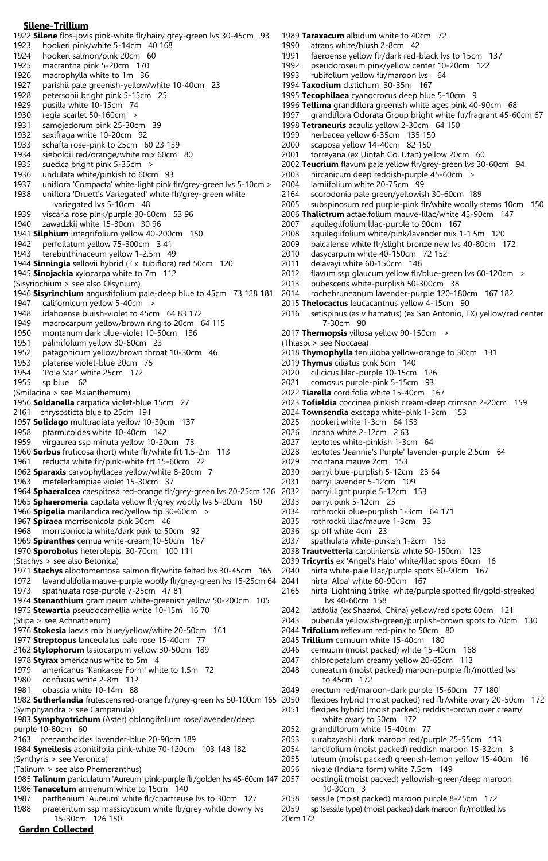#### **Silene-Trillium**

- 1922 **Silene** flos-jovis pink-white flr/hairy grey-green lvs 30-45cm 93 1923 hookeri pink/white 5-14cm 40 168 1924 hookeri salmon/pink 20cm 60<br>1925 macrantha pink 5-20cm 170 macrantha pink 5-20cm 170 1926 macrophylla white to 1m 36 1927 parishii pale greenish-yellow/white 10-40cm 23<br>1928 petersonii bright pink 5-15cm 25 petersonii bright pink 5-15cm 25
- 
- 1929 pusilla white 10-15cm 74<br>1930 regia scarlet 50-160cm > regia scarlet 50-160cm >
- 1931 samojedorum pink 25-30cm 39
- 1932 saxifraga white 10-20cm 92<br>1933 schafta rose-pink to 25cm 6
- 1933 schafta rose-pink to 25cm 60 23 139<br>1934 sieboldii red/orange/white mix 60cm
- sieboldii red/orange/white mix 60cm 80
- 1935 suecica bright pink 5-35cm ><br>1936 undulata white/pinkish to 60cr
- undulata white/pinkish to 60cm 93
- 1937 uniflora 'Compacta' white-light pink flr/grey-green lvs 5-10cm > 1938 uniflora 'Druett's Variegated' white flr/grey-green white
- variegated lvs 5-10cm 48
- 1939 viscaria rose pink/purple 30-60cm 53 96
- 1940 zawadzkii white 15-30cm 30 96
- 1941 **Silphium** integrifolium yellow 40-200cm 150
- 1942 perfoliatum yellow 75-300cm 3 41<br>1943 terebinthinaceum vellow 1-2.5m 4
- terebinthinaceum yellow 1-2.5m 49
- 1944 **Sinningia** sellovii hybrid (? x tubiflora) red 50cm 120
- 1945 **Sinojackia** xylocarpa white to 7m 112 (Sisyrinchium > see also Olsynium)
- 
- 1946 **Sisyrinchium** angustifolium pale-deep blue to 45cm 73 128 181
- 1947 californicum yellow 5-40cm<br>1948 idahoense bluish-violet to 45d idahoense bluish-violet to 45cm 64 83 172
- 1949 macrocarpum yellow/brown ring to 20cm 64 115
- 1950 montanum dark blue-violet 10-50cm 136
- 1951 palmifolium yellow 30-60cm 23
- 1952 patagonicum yellow/brown throat 10-30cm 46
- 
- 1953 platense violet-blue 20cm 75<br>1954 Pole Star' white 25cm 172 'Pole Star' white 25cm 172
- 1955 sp blue 62
- (Smilacina > see Maianthemum)
- 1956 **Soldanella** carpatica violet-blue 15cm 27
- 2161 chrysosticta blue to 25cm 191
- 1957 **Solidago** multiradiata yellow 10-30cm 137
- 1958 ptarmicoides white 10-40cm 142
- 1959 virgaurea ssp minuta yellow 10-20cm 73
- 1960 **Sorbus** fruticosa (hort) white flr/white frt 1.5-2m 113
- 1961 reducta white flr/pink-white frt 15-60cm 22
- 1962 **Sparaxis** caryophyllacea yellow/white 8-20cm 7
- 1963 metelerkampiae violet 15-30cm 37
- 1964 **Sphaeralcea** caespitosa red-orange flr/grey-green lvs 20-25cm 126
- 1965 **Sphaeromeria** capitata yellow flr/grey woolly lvs 5-20cm 150
- 1966 **Spigelia** marilandica red/yellow tip 30-60cm >
- 1967 **Spiraea** morrisonicola pink 30cm 46
- 1968 morrisonicola white/dark pink to 50cm 92
- 1969 **Spiranthes** cernua white-cream 10-50cm 167 1970 **Sporobolus** heterolepis 30-70cm 100 111
- (Stachys > see also Betonica)
- 1971 **Stachys** albotomentosa salmon flr/white felted lvs 30-45cm 165
- 1972 lavandulifolia mauve-purple woolly flr/grey-green lvs 15-25cm 64
- 1973 spathulata rose-purple 7-25cm 47 81
- 1974 **Stenanthium** gramineum white-greenish yellow 50-200cm 105 1975 **Stewartia** pseudocamellia white 10-15m 16 70
- (Stipa > see Achnatherum)
- 1976 **Stokesia** laevis mix blue/yellow/white 20-50cm 161
- 1977 **Streptopus** lanceolatus pale rose 15-40cm 77
- 2162 **Stylophorum** lasiocarpum yellow 30-50cm 189
- 1978 **Styrax** americanus white to 5m 4
- 1979 americanus 'Kankakee Form' white to 1.5m 72
- 1980 confusus white 2-8m 112
- 1981 obassia white 10-14m 88
- 1982 **Sutherlandia** frutescens red-orange flr/grey-green lvs 50-100cm 165 (Symphyandra > see Campanula)
- 1983 **Symphyotrichum** (Aster) oblongifolium rose/lavender/deep purple 10-80cm 60
- 2163 prenanthoides lavender-blue 20-90cm 189
- 1984 **Syneilesis** aconitifolia pink-white 70-120cm 103 148 182
- (Synthyris > see Veronica)
- (Talinum > see also Phemeranthus)
- 1985 **Talinum** paniculatum 'Aureum' pink-purple flr/golden lvs 45-60cm 147 1986 **Tanacetum** armenum white to 15cm 140 2058 sessile (moist packed) maroon purple 8-25cm 172
- 1987 parthenium 'Aureum' white flr/chartreuse lvs to 30cm 127
- **Garden Collected** 1988 praeteritum ssp massicyticum white flr/grey-white downy lvs 15-30cm 126 150
- 1989 **Taraxacum** albidum white to 40cm 72
- 1990 atrans white/blush 2-8cm 42<br>1991 faeroense vellow flr/dark red-l
- 1991 faeroense yellow flr/dark red-black lvs to 15cm 137<br>1992 pseudoroseum pink/yellow center 10-20cm 122
	- pseudoroseum pink/yellow center 10-20cm 122
- 1993 rubifolium yellow flr/maroon lvs 64
- 1994 **Taxodium** distichum 30-35m 167
- 1995 **Tecophilaea** cyanocrocus deep blue 5-10cm 9
- 1996 **Tellima** grandiflora greenish white ages pink 40-90cm 68
- grandiflora Odorata Group bright white flr/fragrant 45-60cm 67
- 1998 **Tetraneuris** acaulis yellow 2-30cm 64 150
- 1999 herbacea yellow 6-35cm 135 150
- 2000 scaposa yellow 14-40cm 82 150
- torreyana (ex Uintah Co, Utah) yellow 20cm 60
- 2002 **Teucrium** flavum pale yellow flr/grey-green lvs 30-60cm 94
- hircanicum deep reddish-purple 45-60cm >
- 2004 lamiifolium white 20-75cm 99
- 2164 scorodonia pale green/yellowish 30-60cm 189
- subspinosum red purple-pink flr/white woolly stems 10cm 150
- 2006 **Thalictrum** actaeifolium mauve-lilac/white 45-90cm 147
- 2007 aquilegiifolium lilac-purple to 90cm 167<br>2008 aquilegiifolium white/pink/lavender mix
- 
- 2008 aquilegiifolium white/pink/lavender mix 1-1.5m 120 2009 baicalense white flr/slight bronze new lvs 40-80cm 172<br>2010 dasycarpum white 40-150cm 72 152
- dasycarpum white 40-150cm 72 152
- 2011 delavayi white 60-150cm 146
- 2012 flavum ssp glaucum yellow flr/blue-green lvs 60-120cm > 2013 pubescens white-purplish 50-300cm 38
- pubescens white-purplish 50-300cm 38
- 2014 rochebruneanum lavender-purple 120-180cm 167 182
- 
- 2015 **Thelocactus** leucacanthus yellow 4-15cm 90 setispinus (as v hamatus) (ex San Antonio, TX) yellow/red center 7-30cm 90
- 2017 **Thermopsis** villosa yellow 90-150cm >

2024 **Townsendia** exscapa white-pink 1-3cm 153

- (Thlaspi > see Noccaea)
- 2018 **Thymophylla** tenuiloba yellow-orange to 30cm 131

2023 **Tofieldia** coccinea pinkish cream-deep crimson 2-20cm 159

2028 leptotes 'Jeannie's Purple' lavender-purple 2.5cm 64

2019 **Thymus** ciliatus pink 5cm 140

2025 hookeri white 1-3cm 64 153 2026 incana white 2-12cm 2 63 2027 leptotes white-pinkish 1-3cm 64

2036 sp off white 4cm 23

2020 cilicicus lilac-purple 10-15cm 126 2021 comosus purple-pink 5-15cm 93 2022 **Tiarella** cordifolia white 15-40cm 167

montana mauve 2cm 153 2030 parryi blue-purplish 5-12cm 23 64 2031 parryi lavender 5-12cm 109 2032 parryi light purple 5-12cm 153 2033 parryi pink 5-12cm 25

2034 rothrockii blue-purplish 1-3cm 64 171 2035 rothrockii lilac/mauve 1-3cm 33

2037 spathulata white-pinkish 1-2cm 153

2041 hirta 'Alba' white 60-90cm 167

lvs 40-60cm 158

to 45cm 172

10-30cm 3

20cm 172

2044 **Trifolium** reflexum red-pink to 50cm 80 2045 **Trillium** cernuum white 15-40cm 180

 white ovary to 50cm 172 2052 grandiflorum white 15-40cm 77

2056 nivale (Indiana form) white 7.5cm 149

2046 cernuum (moist packed) white 15-40cm 168 2047 chloropetalum creamy yellow 20-65cm 113

2038 **Trautvetteria** caroliniensis white 50-150cm 123 2039 **Tricyrtis** ex 'Angel's Halo' white/lilac spots 60cm 16 2040 hirta white-pale lilac/purple spots 60-90cm 167

2165 hirta 'Lightning Strike' white/purple spotted flr/gold-streaked

2042 latifolia (ex Shaanxi, China) yellow/red spots 60cm 121 2043 puberula yellowish-green/purplish-brown spots to 70cm 130

2048 cuneatum (moist packed) maroon-purple flr/mottled lvs

2050 flexipes hybrid (moist packed) red flr/white ovary 20-50cm 172 2051 flexipes hybrid (moist packed) reddish-brown over cream/

lancifolium (moist packed) reddish maroon 15-32cm 3 2055 luteum (moist packed) greenish-lemon yellow 15-40cm 16

2057 oostingii (moist packed) yellowish-green/deep maroon

2049 erectum red/maroon-dark purple 15-60cm 77 180

2053 kurabayashii dark maroon red/purple 25-55cm 113

2059 sp (sessile type) (moist packed) dark maroon flr/mottled lvs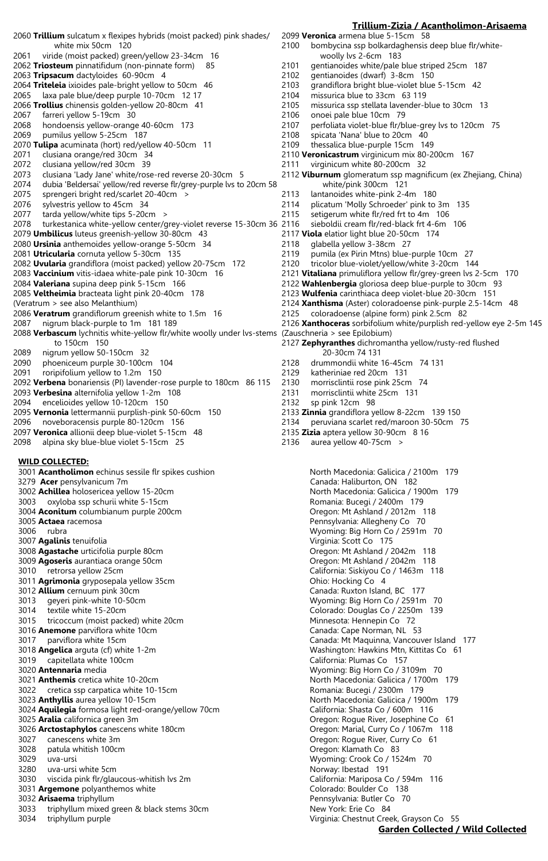2060 **Trillium** sulcatum x flexipes hybrids (moist packed) pink shades/ white mix 50cm 120 2061 viride (moist packed) green/yellow 23-34cm 16<br>2062 Triosteum pinnatifidum (non-pinnate form) 85 2062 **Triosteum** pinnatifidum (non-pinnate form) 2063 **Tripsacum** dactyloides 60-90cm 4 2064 **Triteleia** ixioides pale-bright yellow to 50cm 46 2065 laxa pale blue/deep purple 10-70cm 12 17 2066 **Trollius** chinensis golden-yellow 20-80cm 41 farreri yellow 5-19cm 30 2068 hondoensis yellow-orange 40-60cm 173 2069 pumilus yellow 5-25cm 187 2070 **Tulipa** acuminata (hort) red/yellow 40-50cm 11 2071 clusiana orange/red 30cm 34 2072 clusiana yellow/red 30cm 39 2073 clusiana 'Lady Jane' white/rose-red reverse 20-30cm 5 2074 dubia 'Beldersai' yellow/red reverse flr/grey-purple lvs to 20cm 58 2075 sprengeri bright red/scarlet 20-40cm ><br>2076 sylvestris vellow to 45cm 34 sylvestris yellow to 45cm 34 2077 tarda yellow/white tips 5-20cm > 2078 turkestanica white-yellow center/grey-violet reverse 15-30cm 36 2079 **Umbilicus** luteus greenish-yellow 30-80cm 43 2080 **Ursinia** anthemoides yellow-orange 5-50cm 34 2081 **Utricularia** cornuta yellow 5-30cm 135 2082 **Uvularia** grandiflora (moist packed) yellow 20-75cm 172 2083 **Vaccinium** vitis-idaea white-pale pink 10-30cm 16 2084 **Valeriana** supina deep pink 5-15cm 166 2085 **Veltheimia** bracteata light pink 20-40cm 178 (Veratrum > see also Melanthium) 2086 **Veratrum** grandiflorum greenish white to 1.5m 16 2087 nigrum black-purple to 1m 181 189 2088 **Verbascum** lychnitis white-yellow flr/white woolly under lvs-stems (Zauschneria > see Epilobium) to 150cm 150 2089 nigrum yellow 50-150cm 32 phoeniceum purple 30-100cm 104 2091 roripifolium yellow to 1.2m 150 2092 **Verbena** bonariensis (PI) lavender-rose purple to 180cm 86 115 2093 **Verbesina** alternifolia yellow 1-2m 108 2094 encelioides yellow 10-120cm 150 2095 **Vernonia** lettermannii purplish-pink 50-60cm 150 2096 noveboracensis purple 80-120cm 156 2097 **Veronica** allionii deep blue-violet 5-15cm 48 2098 alpina sky blue-blue violet 5-15cm 25 **WILD COLLECTED:** 3001 **Acantholimon** echinus sessile flr spikes cushion North Macedonia: Galicica / 2100m 179 3279 **Acer** pensylvanicum 7m Canada: Haliburton, ON 182 3002 **Achillea** holosericea yellow 15-20cm North Macedonia: Galicica / 1900m 179 3003 oxyloba ssp schurii white 5-15cm<br>3004 **Aconitum** columbianum purple 200cm **Romania: Bucegi / 2400m 179** Oregon: Mt Ashland / 2012m 118 3004 **Aconitum** columbianum purple 200cm 3005 **Actaea** racemosa Pennsylvania: Allegheny Co 70 3006 rubra Wyoming: Big Horn Co / 2591m 70 3007 **Agalinis** tenuifolia Virginia: Scott Co 175 3009 **Agoseris** aurantiaca orange 50cm Oregon: Mt Ashland / 2042m 118 3011 **Agrimonia** gryposepala yellow 35cm **Consumers Consumers Consumers Consumers Consumers Consumers Consumers Consumers Consumers Consumers Consumers Agricultural Agricultural Consumers Agricultural Agricultural Agricult** 3012 **Allium** cernuum pink 30cm<br>3013 Geyeri pink-white 10-50cm Canada: Ruxton Island, BC 177 3013 geyeri pink-white 10-50cm Wyoming: Big Horn Co / 2591m 70 3014 textile white 15-20cm Colorado: Douglas Co / 2250m 139 3015 tricoccum (moist packed) white 20cm Minnesota: Hennepin Co 72 3016 **Anemone** parviflora white 10cm Canada: Cape Norman, NL 53 3017 parviflora white 15cm<br>3018 **Angelica** arguta (cf) white 1-2m<br>3018 **Angelica** arguta (cf) white 1-2m 3019 capitellata white 100cm California: Plumas Co 157 3020 **Antennaria** media Wyoming: Big Horn Co / 3109m 70 3021 **Anthemis** cretica white 10-20cm **North Macedonia: Galicica / 1700m** 179 3022 cretica ssp carpatica white 10-15cm extendion of the Romania: Bucegi / 2300m 179 3023 **Anthyllis** aurea yellow 10-15cm North Macedonia: Galicica / 1900m 179 3024 **Aquilegia** formosa light red-orange/yellow 70cm California: Shasta Co / 600m 116 3025 **Aralia** californica green 3m Oregon: Rogue River, Josephine Co 61 3026 **Arctostaphylos** canescens white 180cm Oregon: Marial, Curry Co / 1067m 118 3027 canescens white 3m Oregon: Rogue River, Curry Co 61 3028 patula whitish 100cm Oregon: Klamath Co 83

- 
- 3030 viscida pink flr/glaucous-whitish lvs 2m California: Mariposa Co / 594m 116
- 
- 
- 3033 triphyllum mixed green & black stems 30cm New York: Erie Co 84
- 

2099 **Veronica** armena blue 5-15cm 58 2100 bombycina ssp bolkardaghensis deep blue flr/white woolly lvs 2-6cm 183<br>| 2101 aentianoides white/pale gentianoides white/pale blue striped 25cm 187 2102 gentianoides (dwarf) 3-8cm 150 2103 grandiflora bright blue-violet blue 5-15cm 42<br>2104 missurica blue to 33cm 63 119 missurica blue to 33cm 63 119 2105 missurica ssp stellata lavender-blue to 30cm 13<br>2106 onoei pale blue 10cm 79 onoei pale blue 10cm 79 2107 perfoliata violet-blue flr/blue-grey lvs to 120cm 75 2108 spicata 'Nana' blue to 20cm 40<br>2109 thessalica blue-purple 15cm 14 thessalica blue-purple 15cm 149 2110 **Veronicastrum** virginicum mix 80-200cm 167 2111 virginicum white 80-200cm 32 2112 **Viburnum** glomeratum ssp magnificum (ex Zhejiang, China) white/pink 300cm 121 2113 lantanoides white-pink 2-4m 180<br>2114 plicatum 'Molly Schroeder' pink to plicatum 'Molly Schroeder' pink to 3m 135 2115 setigerum white flr/red frt to 4m 106 sieboldii cream flr/red-black frt 4-6m 106 2117 **Viola** elatior light blue 20-50cm 174 2118 glabella yellow 3-38cm 27<br>2119 pumila (ex Pirin Mtns) bluepumila (ex Pirin Mtns) blue-purple 10cm 27 2120 tricolor blue-violet/yellow/white 3-20cm 144 2121 **Vitaliana** primuliflora yellow flr/grey-green lvs 2-5cm 170 2122 **Wahlenbergia** gloriosa deep blue-purple to 30cm 93 2123 **Wulfenia** carinthiaca deep violet-blue 20-30cm 151 2124 **Xanthisma** (Aster) coloradoense pink-purple 2.5-14cm 48 2125 coloradoense (alpine form) pink 2.5cm 82 2126 **Xanthoceras** sorbifolium white/purplish red-yellow eye 2-5m 145 2127 **Zephyranthes** dichromantha yellow/rusty-red flushed 20-30cm 74 131 2128 drummondii white 16-45cm 74 131 2129 katheriniae red 20cm 131 2130 morrisclintii rose pink 25cm 74 2131 morrisclintii white 25cm 131 2132 sp pink 12cm 98 2133 **Zinnia** grandiflora yellow 8-22cm 139 150 2134 peruviana scarlet red/maroon 30-50cm 75 2135 **Zizia** aptera yellow 30-90cm 8 16 2136 aurea yellow 40-75cm >

**Trillium-Zizia / Acantholimon-Arisaema**

Oregon: Mt Ashland / 2042m 118 California: Siskiyou Co / 1463m 118 Washington: Hawkins Mtn, Kittitas Co 61 3029 uva-ursi Wyoming: Crook Co / 1524m 70 3280 uva-ursi white 5cm Norway: Ibestad 191 3031 **Argemone** polyanthemos white Colorado: Boulder Co 138 3032 **Arisaema** triphyllum Pennsylvania: Butler Co 70 3034 triphyllum purple Virginia: Chestnut Creek, Grayson Co 55

# **Garden Collected / Wild Collected**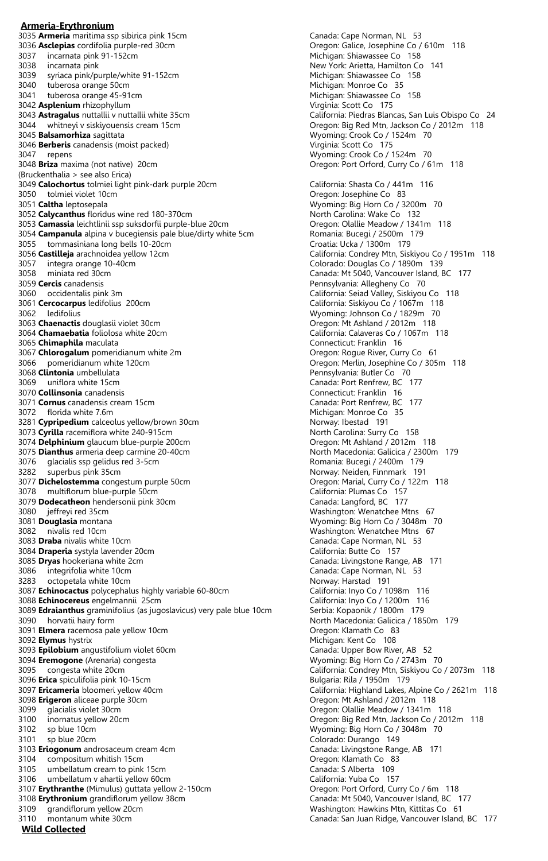**Armeria-Erythronium** 3035 **Armeria** maritima ssp sibirica pink 15cm and the state of the Canada: Cape Norman, NL 53<br>3036 **Asclepias** cordifolia purple-red 30cm and the state of Cape Oregon: Galice, Josephine Co / 610m 118 3036 **Asclepias** cordifolia purple-red 30cm **Community Community Community Community Community Community Community**<br>3037 incarnata pink 91-152cm **Michigan: Shiawassee Co** 158 3037 incarnata pink 91-152cm<br>3038 incarnata pink 3038 incarnata pink<br>3039 syriaca pink/purple/white 91-152cm<br>3039 syriaca pink/purple/white 91-152cm<br>3039 syriaca pink/purple/white 91-152cm syriaca pink/purple/white 91-152cm 3040 tuberosa orange 50cm Michigan: Monroe Co 35 3042 **Asplenium** rhizophyllum **Ashidrahim Communist Communist Communist Communist Communist Communist Communist Communist Communist Communist Communist Communist Communist Communist Communist Communist Communist Communist** 3044 whitneyi v siskiyouensis cream 15cm Oregon: Big Red Mtn, Jackson Co / 2012m 118 3045 **Balsamorhiza** sagittata and the same of the Wyoming: Crook Co / 1524m 70<br>3046 **Berberis** canadensis (moist packed) and the same of the Virginia: Scott Co 175 3046 **Berberis** canadensis (moist packed) 3047 repens <br>3048 **Briza** maxima (not native) 20cm<br>3048 **Briza** maxima (not native) 20cm (Bruckenthalia > see also Erica) 3049 **Calochortus** tolmiei light pink-dark purple 20cm California: Shasta Co / 441m 116 3050 tolmiei violet 10cm<br>3051 **Caltha** leptosepala<br>3051 **Caltha** leptosepala 3052 Calycanthus floridus wine red 180-370cm 3053 **Camassia** leichtlinii ssp suksdorfii purple-blue 20cm **Oregon: Olallie Meadow / 1341m** 118<br>3054 **Campanula** alpina v bucegiensis pale blue/dirty white 5cm Romania: Bucegi / 2500m 179 3054 **Campanula** alpina v bucegiensis pale blue/dirty white 5cm **Romania: Bucegi / 2500m**<br>3055 tommasiniana long bells 10-20cm 3055 tommasiniana long bells 10-20cm<br>3056 Castilleja arachnoidea yellow 12cm 3057 integra orange 10-40cm<br>3058 miniata red 30cm 3058 miniata red 30cm<br>3059 **Cercis** canadensis<br>3059 **Cercis** canadensis<br>Pennsylvania: Allegheny Co. 70 3059 **Cercis** canadensis Pennsylvania: Allegheny Co 70 3061 **Cercocarpus** ledifolius 200cm California: Siskiyou Co / 1067m 118 3063 **Chaenactis** douglasii violet 30cm Oregon: Mt Ashland / 2012m 118 3064 Chamaebatia foliolosa white 20cm California: Calaveras Co / 1067m 118 3065 **Chimaphila** maculata Connecticut: Franklin 16 3067 **Chlorogalum** pomeridianum white 2m 3066 pomeridianum white 120cm<br>3068 **Clintonia** umbellulata di Barcelonia: Durante Co / 305m 118<br>Pennsylvania: Butler Co / 70 3068 **Clintonia** umbellulata 3069 uniflora white 15cm Canada: Port Renfrew, BC 177 3070 **Collinsonia** canadensis<br>
3071 **Cornus** canadensis cream 15cm<br>
Canada: Port Renfrew, BC 177 3071 **Cornus** canadensis cream 15cm 3072 florida white 7.6m<br>3281 **Cypripedium** calceolus vellow/brown 30cm<br>3281 **Cypripedium** calceolus vellow/brown 30cm<br>3281 **Cypripedium** calceolus vellow/brown 30cm 3281 **Cypripedium** calceolus yellow/brown 30cm<br>3073 **Cyrilla** racemiflora white 240-915cm<br>**North Carolina: Surry Co** 158 3073 **Cyrilla** racemiflora white 240-915cm<br>3074 **Delphinium** glaucum blue-purple 200cm North Carolina: Surry Co 158 3074 **Delphinium** glaucum blue-purple 200cm<br>3075 **Dianthus** armeria deep carmine 20-40cm<br>**Oregon: Morth Macedonia: Galicica / 2300m** 179 3075 **Dianthus** armeria deep carmine 20-40cm<br>3076 glacialis ssp gelidus red 3-5cm 3076 glacialis ssp gelidus red 3-5cm external results of the Romania: Bucegi / 2400m 179 3282 superbus pink 35cm Norway: Neiden, Finnmark 191 3077 **Dichelostemma** congestum purple 50cm Oregon: Marial, Curry Co / 122m 118 3078 multiflorum blue-purple 50cm California: Plumas Co 157 3079 **Dodecatheon** hendersonii pink 30cm<br>3080 jeffreyi red 35cm Canada: Langford, BC 177 3081 **Douglasia** montana Wyoming: Big Horn Co / 3048m 70 3082 nivalis red 10cm entitled and the settlement of the Mashington: Wenatchee Mtns 67<br>3083 **Draba** nivalis white 10cm entitled and the Mashington: Canada: Cape Norman, NL 53 3084 **Draperia** systyla lavender 20cm 3085 **Dryas** hookeriana white 2cm Canada: Livingstone Range, AB 171 3086 integrifolia white 10cm Canada: Cape Norman, NL 53 3283 octopetala white 10cm<br>3087 **Echinocactus** polycephalus highly variable 60-80cm **Norway: Harstad 191**<br>3088 Echinocereus engelmannii 25cm California: Inyo Co / 1200m 116 3087 **Echinocactus** polycephalus highly variable 60-80cm 3088 **Echinocereus** engelmannii 25cm 3089 **Edraianthus** graminifolius (as jugoslavicus) very pale blue 10cm Serbia: Kopaonik / 1800m 179 3090 horvatii hairy form **North Macedonia: Galicica / 1850m** 179 3091 **Elmera** racemosa pale yellow 10cm **COV COVERSIS 100 COVERSIS 100 COVERSIS 100 COVERSIS 100 COVERSIS 100 COVERSIS 100 COVERSIS 100 COVERSIS 100 COVERSIS 100 COVERSIS 100 COVERSIS 100 COVERSIS 100 COVERSIS 100 COVERSIS 3092 Elymus** hystrix Michigan: Kent Co 108 3093 **Epilobium** angustifolium violet 60cm **Canada: Upper Bow River, AB 52**<br>3094 **Eremogone** (Arenaria) congesta Canada: Canada: Communism Canada: Upper Bow River, AB 52 3094 **Eremogone** (Arenaria) congesta 3095 congesta white 20cm<br>3096 **Erica** spiculifolia pink 10-15cm **California: Condrey Mtn, Siskiyou Co** / 2073m 118 3096 **Erica** spiculifolia pink 10-15cm<br>3097 **Ericameria** bloomeri yellow 40cm 3098 **Erigeron** aliceae purple 30cm<br>3099 glacialis violet 30cm<br>Oregon: Olallie Meadow / 1341m 3100 inornatus yellow 20cm Oregon: Big Red Mtn, Jackson Co / 2012m 118 3102 sp blue 10cm Wyoming: Big Horn Co / 3048m 70 3101 sp blue 20cm Colorado: Durango 149 3103 **Eriogonum** androsaceum cream 4cm 3104 compositum whitish 15cm Oregon: Klamath Co 83 3105 umbellatum cream to pink 15cm 3106 umbellatum v ahartii yellow 60cm Cometa California: Yuba Co 157 3107 **Erythranthe** (Mimulus) guttata yellow 2-150cm Oregon: Port Orford, Curry Co / 6m 118 3108 **Erythronium** grandiflorum yellow 38cm Canada: Mt 5040, Vancouver Island, BC 177 3109 grandiflorum yellow 20cm Washington: Hawkins Mtn, Kittitas Co 61 3110 montanum white 30cm Canada: San Juan Ridge, Vancouver Island, BC 177

Michigan: Shiawassee Co 158 California: Piedras Blancas, San Luis Obispo Co 24 Oregon: Port Orford, Curry Co / 61m 118 Wyoming: Big Horn Co / 3200m 70<br>North Carolina: Wake Co 132 California: Condrey Mtn, Siskiyou Co / 1951m 118<br>Colorado: Douglas Co / 1890m 139 California: Seiad Valley, Siskiyou Co 118 Wyoming: Johnson Co / 1829m 70 Washington: Wenatchee Mtns 67 Canada: Cape Norman, NL 53<br>California: Butte Co 157 California: Highland Lakes, Alpine Co / 2621m 118 Oregon: Olallie Meadow / 1341m 118

**Wild Collected**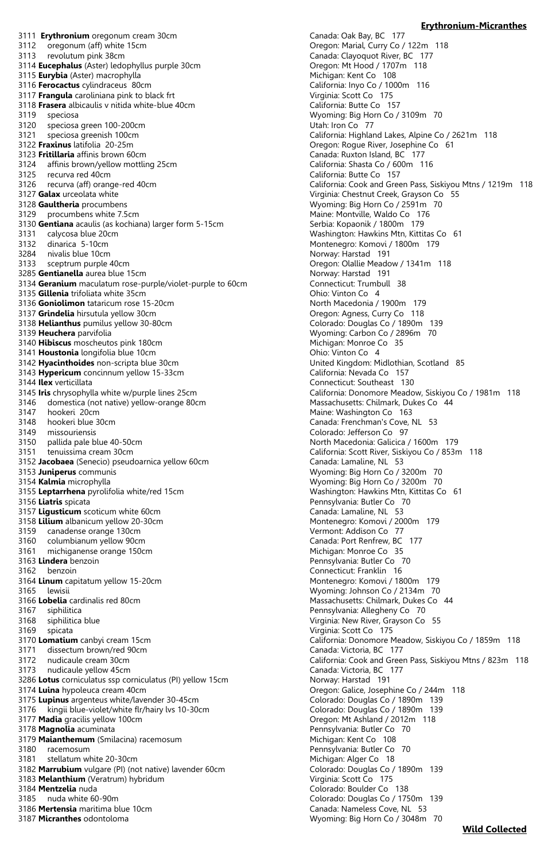3111 **Erythronium** oregonum cream 30cm Canada: Oak Bay, BC 177<br>3112 oregonum (aff) white 15cm Canada: Oregon: Marial, Curry Co 3112 oregonum (aff) white 15cm <br>3113 revolutum pink 38cm **Oregon: Marial, Curry Co / 122m 118**<br>Canada: Clayoquot River, BC 177 3113 revolutum pink 38cm<br>3114 **Eucephalus** (Aster) ledophyllus purple 30cm<br>**Cregon: Mt Hood / 1707m** 118 3114 **Eucephalus** (Aster) ledophyllus purple 30cm<br>3115 **Eurybia** (Aster) macrophylla **District purple 30cm** Michigan: Kent Co 108 3115 **Eurybia** (Aster) macrophylla<br>3116 **Ferocactus** cylindraceus 80cm<br>3116 **Ferocactus** cylindraceus 80cm 3116 **Ferocactus** cylindraceus 80cm California: Inyo Co / 10<br>3117 **Frangula** caroliniana pink to black frt Communication Communication Communication Co / 175 3117 **Frangula** caroliniana pink to black frt 3118 **Frasera** albicaulis v nitida white-blue 40cm California: Butte Co 157 3120 speciosa green 100-200cm<br>3121 speciosa greenish 100cm 3121 speciosa greenish 100cm<br>3122 **Fraxinus** latifolia 20-25m (1899) show California: Highland Lakes, Alpine Co / 2621m in 3122 **Fraxinus** latifolia 20-25m 3123 **Fritillaria** affinis brown 60cm<br>3124 affinis brown/yellow mottling 25cm<br>California: Shasta Co / 600m 116 3124 affinis brown/yellow mottling 25cm California: Shasta Co / 600m 116 3125 recurva red 40cm<br>3126 recurva (aff) orange-red 40cm 3126 recurva (aff) orange-red 40cm California: Cook and Green Pass, Siskiyou Mtns / 1219m 118 3127 **Galax** urceolata white Virginia: Chestnut Creek, Grayson Co 55 3129 procumbens white 7.5cm<br>3130 **Gentiana** acaulis (as kochiana) larger form 5-15cm Maine: Monto Serbia: Kopaonik / 1800m 179 3130 **Gentiana** acaulis (as kochiana) larger form 5-15cm<br>3131 calycosa blue 20cm 3131 calycosa blue 20cm Washington: Hawkins Mtn, Kittitas Co 61 3132 dinarica 5-10cm Montenegro: Komovi / 1800m 179 3284 nivalis blue 10cm Norway: Harstad 191 3133 sceptrum purple 40cm<br>3285 **Gentianella** aurea blue 15cm<br>3285 **Gentianella** aurea blue 15cm 3285 **Gentianella** aurea blue 15cm<br>3134 Geranium maculatum rose-purple/violet-purple to 60cm **Norway: Connecticut: Trumbull** 38 3134 **Geranium** maculatum rose-purple/violet-purple to 60cm Connecticut: Trumb<br>3135 **Gillenia** trifoliata white 35cm Computer purple to 60cm Computer Computer Schip 20 3135 **Gillenia** trifoliata white 35cm<br>3136 **Goniolimon** tataricum rose 15-20cm<br>3136 **Goniolimon** tataricum rose 15-20cm 3136 **Goniolimon** tataricum rose 15-20cm<br>3137 **Grindelia** hirsutula vellow 30cm 3138 Helianthus pumilus yellow 30-80cm 3139 **Heuchera** parvifolia **Neutralistic participates** Wyoming: Carbon Co / 2896m 70<br>3140 **Hibiscus** moscheutos pink 180cm 3140 **Hibiscus** moscheutos pink 180cm<br>3141 **Houstonia** longifolia blue 10cm **Michigan: Monroe Constant Co 36 Constant Co 36 Co 36 Co 36 Co 36 Co 36 Co 36 Co 36 Co 36 Co 36 Co 36 Co 36 Co 36 Co 36 Co 36 Co 36 Co 36 Co 36 Co** 3141 **Houstonia** longifolia blue 10cm<br>3142 **Hyacinthoides** non-scripta blue 30cm **Ohio:** Ohio: Vinton Co 4<br>1142 **Hyacinthoides** non-scripta blue 30cm 3142 **Hyacinthoides** non-scripta blue 30cm<br>3143 **Hypericum** concinnum yellow 15-33cm<br>California: Nevada Co 157 3143 **Hypericum** concinnum yellow 15-33cm 3144 **Ilex** verticillata<br>3145 **Iris** chrysophylla white w/purple lines 25cm<br>California: Donomore Meado 3146 domestica (not native) yellow-orange 80cm<br>3147 hookeri 20cm 3147 hookeri 20cm Maine: Washington Co 163 3148 hookeri blue 30cm Canada: Frenchman's Cove, NL 53 3149 missouriensis Colorado: Jefferson Co 97 3150 pallida pale blue 40-50cm **North Macedonia: Galicica / 1600m** 179<br>3151 tenuissima cream 30cm **North America California: Scott River, Siskiyou Co / 853r** 3152 Jacobaea (Senecio) pseudoarnica yellow 60cm 3153 **Juniperus** communis Wyoming: Big Horn Co / 3200m 70 3154 **Kalmia** microphylla Wyoming: Big Horn Co / 3200m 70 3155 Leptarrhena pyrolifolia white/red 15cm 3156 **Liatris** spicata Pennsylvania: Butler Co 70 3157 **Ligusticum** scoticum white 60cm<br>3158 **Lilium** albanicum yellow 20-30cm Canada: Lamather Montenegro: Komovi / 2000m 179 3158 **Lilium** albanicum yellow 20-30cm and the state of the Montenegro: Komovi / 2000m 179 Montenegro: Komovi / 200<br>3159 **Canadense orange 130cm** 179 Montenegro: Alexandria extensive orange in the State of Tale of Tale of 3159 canadense orange 130cm 3160 columbianum yellow 90cm Canada: Port Renfrew, BC 177 3161 michiganense orange 150cm 3163 **Lindera** benzoin Pennsylvania: Butler Co 70 3162 benzoin Connecticut: Franklin 16 3164 **Linum** capitatum yellow 15-20cm Montenegro: Komovi / 1800m 179 3165 lewisii lewisii Xareyon Musulman Musulman Musulman Wyoming: Johnson Co / 2134m 70<br>3166 Lobelia cardinalis red 80cm and the state of Massachusetts: Chilmark, Dukes Co

- 
- 
- 
- 
- 
- 
- 
- 
- 3173 nudicaule yellow 45cm<br>3286 Lotus corniculatus ssp corniculatus (PI) yellow 15cm<br>286 Lotus corniculatus ssp corniculatus (PI) yellow 15cm<br>286 Lotus: Norway: Harstad 191 3286 Lotus corniculatus ssp corniculatus (PI) yellow 15cm
- 
- 
- 3176 kingii blue-violet/white flr/hairy lvs 10-30cm
- 3177 **Madia** gracilis yellow 100cm Oregon: Mt Ashland / 2012m 118
- 3178 **Magnolia** acuminata Pennsylvania: Butler Co 70
- 3179 **Maianthemum** (Smilacina) racemosum **Michigan: Kent Communisty Communisty** Michigan: Kent Communisty Communisty
- 
- 
- 3182 Marrubium vulgare (PI) (not native) lavender 60cm 3183 **Melanthium** (Veratrum) hybridum **Vice Access 1983** Virginia: Scott Co 175
- 
- 
- 
- 
- 

# **Erythronium-Micranthes**

Wyoming: Big Horn Co / 3109m 70<br>Utah: Iron Co 77 Oregon: Rogue River, Josephine Co 61<br>Canada: Ruxton Island, BC 177 Wyoming: Big Horn Co / 2591m 70 Oregon: Agness, Curry Co 118<br>Colorado: Douglas Co / 1890m 139 California: Donomore Meadow, Siskiyou Co / 1981m 118<br>Massachusetts: Chilmark, Dukes Co 44 California: Scott River, Siskiyou Co / 853m 118<br>Canada: Lamaline, NL 53 Massachusetts: Chilmark, Dukes Co 44 3167 siphilitica Pennsylvania: Allegheny Co 70 3168 siphilitica blue 3168 siphilitica blue 3169 spicata (175)<br>3170 **Lomatium** canbyi cream 15cm (1890) 1999 (1890) 1999 (1890) 1999 (2011 1890) 1999 (2011 1890) 1999 (2011 1 California: Donomore Meadow, Siskiyou Co / 1859m 118 3171 dissectum brown/red 90cm Canada: Victoria, BC 177 3172 nudicaule cream 30cm California: Cook and Green Pass, Siskiyou Mtns / 823m 118 3174 **Luina** hypoleuca cream 40cm Oregon: Galice, Josephine Co / 244m 118 3175 **Lupinus** argenteus white/lavender 30-45cm **Colorado: Douglas Co / 1890m** 139<br>3176 kingii blue-violet/white flr/hairy lvs 10-30cm Colorado: Douglas Co / 1890m 139 3180 racemosum Pennsylvania: Butler Co 70 3181 stellatum white 20-30cm Michigan: Alger Co 18 3184 **Mentzelia** nuda Colorado: Boulder Co 138 3185 nuda white 60-90m Colorado: Douglas Co / 1750m 139 3186 **Mertensia** maritima blue 10cm<br>3187 **Micranthes** odontoloma<br>3187 **Micranthes** odontoloma Wyoming: Big Horn Co / 3048m 70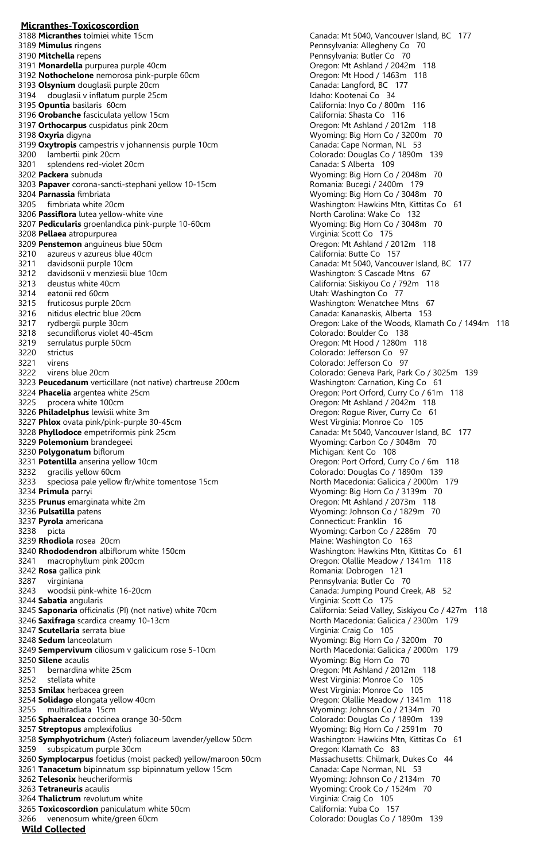# **Micranthes-Toxicoscordion**<br>3188 Micranthes tolmiei white 15cm 3189 **Mimulus** ringens Pennsylvania: Allegheny Co 70 3191 **Monardella** purpurea purple 40cm<br>3192 **Nothochelone** nemorosa pink-purple 60cm **Oregon: Mt Ashland / 2042m** 118 3192 **Nothochelone** nemorosa pink-purple 60cm<br>3193 **Olsynium** douglasii purple 20cm<br>Canada: Langford, BC 177 3193 **Olsynium** douglasii purple 20cm<br>3194 douglasii v inflatum purple 25cm Canada: Communicum Canada: Langford, BC 3194 douglasii v inflatum purple 25cm 3195 **Opuntia** basilaris 60cm<br>3196 **Orobanche** fasciculata yellow 15cm<br>**California: Shasta Co** 116 3196 **Orobanche** fasciculata yellow 15cm<br>3197 **Orthocarpus** cuspidatus pink 20cm<br>3197 **Orthocarpus** cuspidatus pink 20cm 3197 Orthocarpus cuspidatus pink 20cm 3198 **Oxyria** digyna<br>3199 **Oxytropis** campestris v johannensis purple 10cm<br>**Canada: Cape Norman, NL** 53 3199 **Oxytropis** campestris v johannensis purple 10cm<br>3200 lambertii pink 20cm 3200 lambertii pink 20cm<br>3201 splendens red-violet 20cm<br>3201 splendens red-violet 20cm<br>2001 splendens red-violet 20cm 3201 splendens red-violet 20cm<br>3202 Packera subnuda 3203 Papaver corona-sancti-stephani yellow 10-15cm 3204 **Parnassia** fimbriata Wyoming: Big Horn Co / 3048m 70 3206 **Passiflora** lutea yellow-white vine<br>3207 **Pedicularis** groenlandica pink-purple 10-60cm<br>3207 **Pedicularis** groenlandica pink-purple 10-60cm<br>3207 **Pedicularis** groenlandica pink-purple 10-60cm 3207 **Pedicularis** groenlandica pink-purple 10-60cm Wyoming: Big Horn Co <sup>3208</sup> **Peliaea** atropurpurea 3208 **Pellaea** atropurpurea Virginia: Scott Co 175 3209 **Penstemon** anguineus blue 50cm<br>3210 azureus v azureus blue 40cm **Oregon: Mt Ashland / 2012** California: Butte Co 3210 azureus v azureus blue 40cm<br>3211 davidsonii purple 10cm 3212 davidsonii v menziesii blue 10cm<br>3213 deustus white 40cm Washington: S Cascade Mtns 67<br>3213 deustus white 40cm 3214 eatonii red 60cm Utah: Washington Co 77 3215 fruticosus purple 20cm<br>3216 nitidus electric blue 20cm (3216 metals) and the Canada: Kananaskis, Alberta 153 3217 rydbergii purple 30cm Oregon: Lake of the Woods, Klamath Co / 1494m 118 secundiflorus violet 40-45cm 3219 serrulatus purple 50cm **Oregon: Mt Hood / 1280m** 118 3220 strictus Colorado: Jefferson Co 97 3221 virens Colorado: Jefferson Co 97 3222 virens blue 20cm<br>3223 **Peucedanum** verticillare (not native) chartreuse 200cm<br>3223 **Peucedanum** verticillare (not native) chartreuse 200cm<br>3223 **Peucedanum** verticillare (not native) chartreuse 200cm 3223 **Peucedanum** verticillare (not native) chartreuse 200cm 3224 **Phacelia** argentea white 25cm<br>3225 procera white 100cm<br>3225 procera white 100cm 3226 **Philadelphus** lewisii white 3m<br>3227 **Phlox** ovata pink/pink-purple 30-45cm<br>3227 **Phlox** ovata pink/pink-purple 30-45cm 3227 **Phlox** ovata pink/pink-purple 30-45cm<br>3228 **Phyllodoce** empetriformis pink 25cm 3228 **Phyllodoce** empetriformis pink 25cm Canada: Mt 5040, Vancouver Island, BC 177<br>3229 **Polemonium** brandegeei **Canada: Music Carlo Canada: Carbon Co** / 3048m 70 3230 **Polygonatum** biflorum<br>3231 **Potentilla** anserina yellow 10cm 3232 gracilis yellow 60cm Colorado: Douglas Co / 1890m 139 3233 speciosa pale yellow flr/white tomentose 15cm North Macedonia: Galicica / 2000m 179<br>3234 **Primula** parryi **North America** Control of Myoming: Big Horn Co / 3139m 70 3235 **Prunus** emarginata white 2m **Community 19th Community 19th Community 19th Press, 19th Community 19th Community** 19th 3236 **Pulsatilla** patens 7( 3237 **Pyrola** americana Connecticut: Franklin 16 3239 **Rhodiola** rosea 20cm<br>3240 **Rhododendron** albiflorum white 150cm 3241 macrophyllum pink 200cm Oregon: Olallie Meadow / 1341m 118 3287 virginiana Pennsylvania: Butler Co 70 3243 woodsii pink-white 16-20cm Canada: Jumping Pound Creek, AB 52<br>3244 Sabatia angularis Canada: Jumping Pound Creek, AB 52 3244 **Sabatia** angularis 3245 **Saponaria** officinalis (PI) (not native) white 70cm California: Seiad Valley, Siskiyou Co / 427m 118<br>3246 Saxifraga scardica creamy 10-13cm California: Galicica / 2300m 179 3246 **Saxifraga** scardica creamy 10-13cm **North Macedonia: Galicica / 2346 Saxifraga** scardica creamy 10-13cm **1798**<br>3247 **Scutellaria** serrata blue 3247 **Scutellaria** serrata blue 3248 **Sedum** lanceolatum annotatum and the set of the S248 Section Myoming: Big Horn Co / 3200m 70<br>3249 **Sempervivum** ciliosum v galicicum rose 5-10cm and the Morth Macedonia: Galicica / 2000m 179 3249 **Sempervivum** ciliosum v galicicum rose 5-10cm 3250 **Silene** acaulis Wyoming: Big Horn Co 70 bernardina white 25cm and the settlement of the Soviet Coregon: Mt Ashland / 2012m at 118<br>Stellata white the settlement of the Soviet Coregon: Mt Ashland / 2012m at 118 3252 stellata white stellate white white which were well as a stellar white which west Virginia: Monroe Co 105<br>3253 **Smilax** herbacea green stellar which were well as a stellar which west Virginia: Monroe Co 105 3254 **Solidago** elongata yellow 40cm Oregon: Olallie Meadow / 1341m 118 3256 **Sphaeralcea** coccinea orange 30-50cm Colorado: Douglas Co / 1890m 139 3257 **Streptopus** amplexifolius and avender/yellow 50cm and Myoming: Big Horn Co / 2591m 70<br>3258 **Symphyotrichum** (Aster) foliaceum lavender/yellow 50cm **and Multim Washington: Hawkins Mtn, Kittitas Co** 61 3258 **Symphyotrichum** (Aster) foliaceum lavender/yellow 50cm Washington: Hawkins Mt<br>3259 subspicatum purple 30cm Co 61 Coreans Co 63 3259 subspicatum purple 30cm 3260 **Symplocarpus** foetidus (moist packed) yellow/maroon 50cm Massachusetts: Chilmark, Dukes Co 44<br>3261 **Tanacetum** bipinnatum ssp bipinnatum yellow 15cm Canada: Cape Norman, NL 53 3261 **Tanacetum** bipinnatum ssp bipinnatum yellow 15cm 3262 **Telesonix** heucheriformis Wyoming: Johnson Co / 2134m 70 3263 **Tetraneuris** acaulis Wyoming: Crook Co / 1524m 70 3264 **Thalictrum** revolutum white **Virginia: Craig Co 105** Virginia: Craig Co 105 3265 **Toxicoscordion** paniculatum white 50cm<br>3266 venenosum white/green 60cm Colorado: Douglas Co / 1890m 139

Canada: Mt 5040, Vancouver Island, BC 177 Pennsylvania: Butler Co 70<br>Oregon: Mt Ashland / 2042m 118 Wyoming: Big Horn Co / 2048m 70<br>Romania: Bucegi / 2400m 179 Washington: Hawkins Mtn, Kittitas Co 61<br>North Carolina: Wake Co 132 Canada: Mt 5040, Vancouver Island, BC 177 California: Siskiyou Co / 792m 118 Canada: Kananaskis, Alberta 153 Oregon: Mt Ashland / 2042m 118<br>Oregon: Rogue River, Curry Co 61 Wyoming: Carbon Co / 3048m 70<br>Michigan: Kent Co 108 Oregon: Port Orford, Curry Co / 6m 118 Wyoming: Big Horn Co / 3139m 70 Wyoming: Johnson Co / 1829m 70 Wyoming: Carbon Co / 2286m 70<br>Maine: Washington Co 163 Washington: Hawkins Mtn, Kittitas Co 61 Romania: Dobrogen 121 West Virginia: Monroe Co 105 Wyoming: Johnson Co / 2134m 70

**Wild Collected**

3266 venenosum white/green 60cm